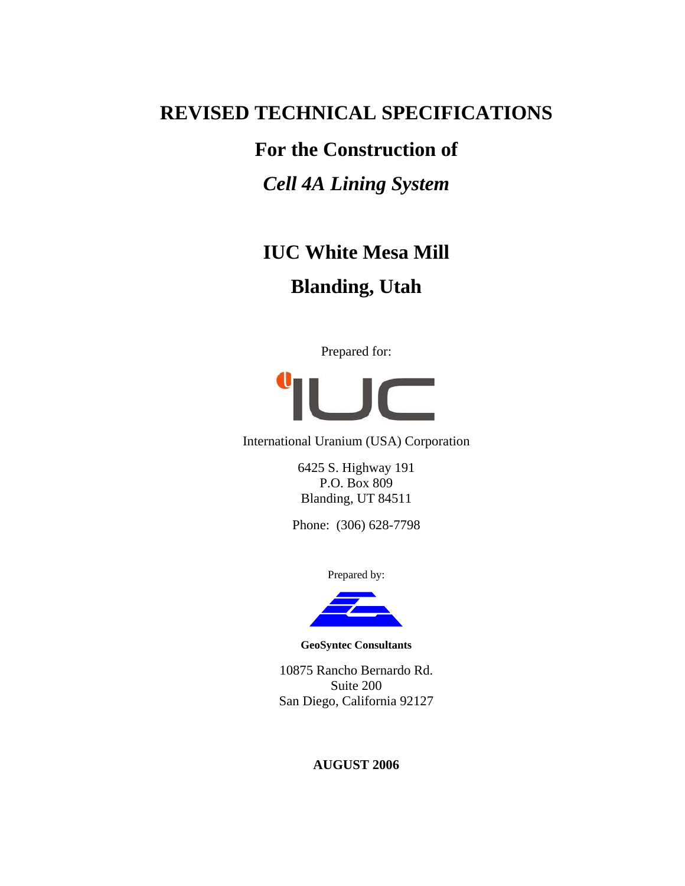# <span id="page-0-0"></span>**REVISED TECHNICAL SPECIFICATIONS**

# **For the Construction of**

# *Cell 4A Lining System*

# **IUC White Mesa Mill Blanding, Utah**

Prepared for:



International Uranium (USA) Corporation

6425 S. Highway 191 P.O. Box 809 Blanding, UT 84511

Phone: (306) 628-7798

Prepared by:



**GeoSyntec Consultants** 

10875 Rancho Bernardo Rd. Suite 200 San Diego, California 92127

# **AUGUST 2006**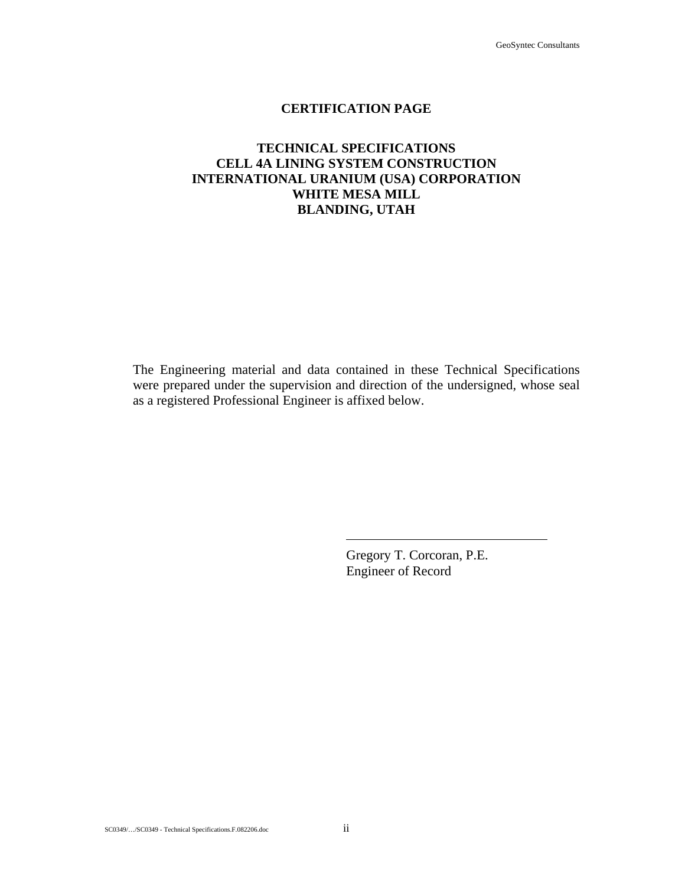# **CERTIFICATION PAGE**

# **TECHNICAL SPECIFICATIONS CELL 4A LINING SYSTEM CONSTRUCTION INTERNATIONAL URANIUM (USA) CORPORATION WHITE MESA MILL BLANDING, UTAH**

The Engineering material and data contained in these Technical Specifications were prepared under the supervision and direction of the undersigned, whose seal as a registered Professional Engineer is affixed below.

 $\overline{a}$ 

Gregory T. Corcoran, P.E. Engineer of Record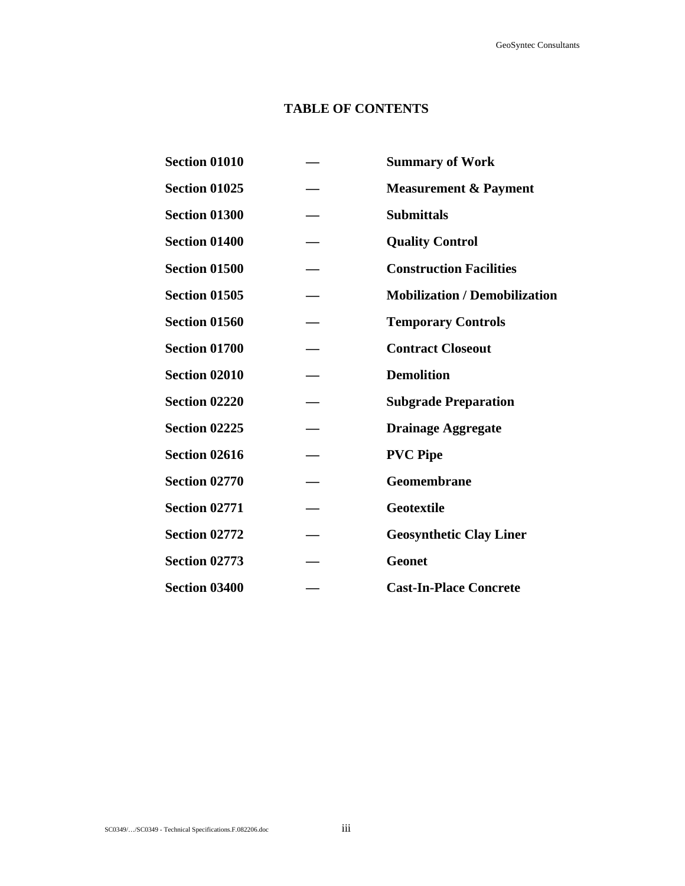# **TABLE OF CONTENTS**

| <b>Section 01010</b> | <b>Summary of Work</b>               |
|----------------------|--------------------------------------|
| <b>Section 01025</b> | <b>Measurement &amp; Payment</b>     |
| <b>Section 01300</b> | <b>Submittals</b>                    |
| <b>Section 01400</b> | <b>Quality Control</b>               |
| <b>Section 01500</b> | <b>Construction Facilities</b>       |
| <b>Section 01505</b> | <b>Mobilization / Demobilization</b> |
| <b>Section 01560</b> | <b>Temporary Controls</b>            |
| <b>Section 01700</b> | <b>Contract Closeout</b>             |
| <b>Section 02010</b> | <b>Demolition</b>                    |
| <b>Section 02220</b> | <b>Subgrade Preparation</b>          |
| <b>Section 02225</b> | <b>Drainage Aggregate</b>            |
| <b>Section 02616</b> | <b>PVC Pipe</b>                      |
| <b>Section 02770</b> | <b>Geomembrane</b>                   |
| <b>Section 02771</b> | <b>Geotextile</b>                    |
| <b>Section 02772</b> | <b>Geosynthetic Clay Liner</b>       |
| <b>Section 02773</b> | <b>Geonet</b>                        |
| <b>Section 03400</b> | <b>Cast-In-Place Concrete</b>        |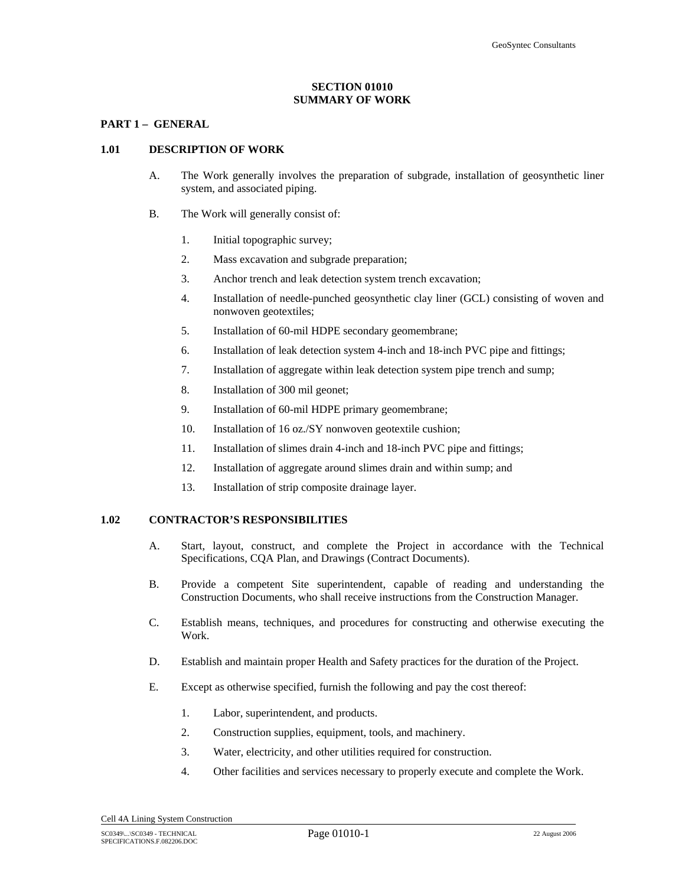# **SECTION 01010 SUMMARY OF WORK**

# **PART 1 – GENERAL**

#### **1.01 DESCRIPTION OF WORK**

- A. The Work generally involves the preparation of subgrade, installation of geosynthetic liner system, and associated piping.
- B. The Work will generally consist of:
	- 1. Initial topographic survey;
	- 2. Mass excavation and subgrade preparation;
	- 3. Anchor trench and leak detection system trench excavation;
	- 4. Installation of needle-punched geosynthetic clay liner (GCL) consisting of woven and nonwoven geotextiles;
	- 5. Installation of 60-mil HDPE secondary geomembrane;
	- 6. Installation of leak detection system 4-inch and 18-inch PVC pipe and fittings;
	- 7. Installation of aggregate within leak detection system pipe trench and sump;
	- 8. Installation of 300 mil geonet;
	- 9. Installation of 60-mil HDPE primary geomembrane;
	- 10. Installation of 16 oz./SY nonwoven geotextile cushion;
	- 11. Installation of slimes drain 4-inch and 18-inch PVC pipe and fittings;
	- 12. Installation of aggregate around slimes drain and within sump; and
	- 13. Installation of strip composite drainage layer.

## **1.02 CONTRACTOR'S RESPONSIBILITIES**

- A. Start, layout, construct, and complete the Project in accordance with the Technical Specifications, CQA Plan, and Drawings (Contract Documents).
- B. Provide a competent Site superintendent, capable of reading and understanding the Construction Documents, who shall receive instructions from the Construction Manager.
- C. Establish means, techniques, and procedures for constructing and otherwise executing the Work.
- D. Establish and maintain proper Health and Safety practices for the duration of the Project.
- E. Except as otherwise specified, furnish the following and pay the cost thereof:
	- 1. Labor, superintendent, and products.
	- 2. Construction supplies, equipment, tools, and machinery.
	- 3. Water, electricity, and other utilities required for construction.
	- 4. Other facilities and services necessary to properly execute and complete the Work.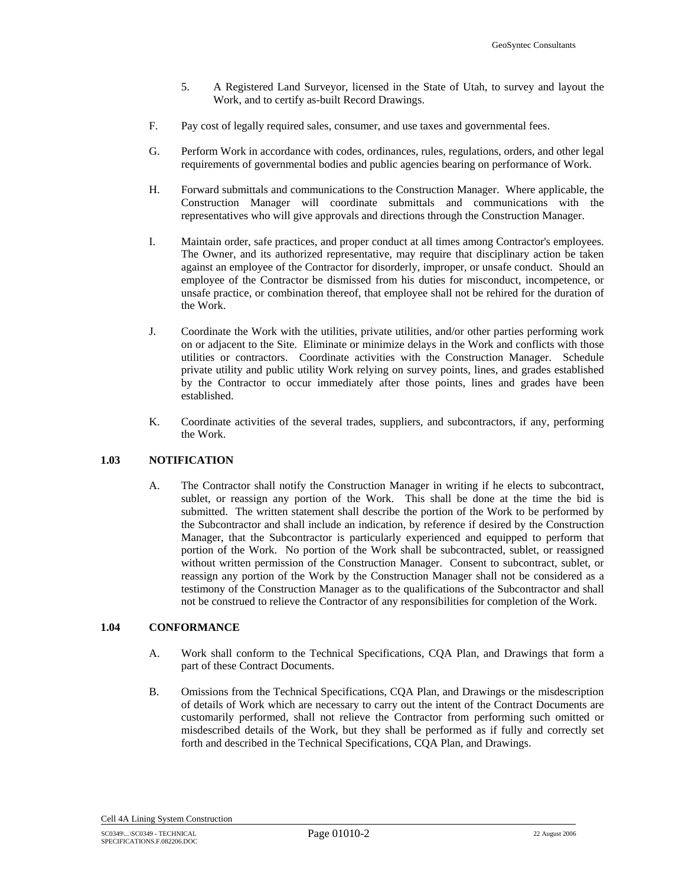- 5. A Registered Land Surveyor, licensed in the State of Utah, to survey and layout the Work, and to certify as-built Record Drawings.
- F. Pay cost of legally required sales, consumer, and use taxes and governmental fees.
- G. Perform Work in accordance with codes, ordinances, rules, regulations, orders, and other legal requirements of governmental bodies and public agencies bearing on performance of Work.
- H. Forward submittals and communications to the Construction Manager. Where applicable, the Construction Manager will coordinate submittals and communications with the representatives who will give approvals and directions through the Construction Manager.
- I. Maintain order, safe practices, and proper conduct at all times among Contractor's employees. The Owner, and its authorized representative, may require that disciplinary action be taken against an employee of the Contractor for disorderly, improper, or unsafe conduct. Should an employee of the Contractor be dismissed from his duties for misconduct, incompetence, or unsafe practice, or combination thereof, that employee shall not be rehired for the duration of the Work.
- J. Coordinate the Work with the utilities, private utilities, and/or other parties performing work on or adjacent to the Site. Eliminate or minimize delays in the Work and conflicts with those utilities or contractors. Coordinate activities with the Construction Manager. Schedule private utility and public utility Work relying on survey points, lines, and grades established by the Contractor to occur immediately after those points, lines and grades have been established.
- K. Coordinate activities of the several trades, suppliers, and subcontractors, if any, performing the Work.

#### **1.03 NOTIFICATION**

A. The Contractor shall notify the Construction Manager in writing if he elects to subcontract, sublet, or reassign any portion of the Work. This shall be done at the time the bid is submitted. The written statement shall describe the portion of the Work to be performed by the Subcontractor and shall include an indication, by reference if desired by the Construction Manager, that the Subcontractor is particularly experienced and equipped to perform that portion of the Work. No portion of the Work shall be subcontracted, sublet, or reassigned without written permission of the Construction Manager. Consent to subcontract, sublet, or reassign any portion of the Work by the Construction Manager shall not be considered as a testimony of the Construction Manager as to the qualifications of the Subcontractor and shall not be construed to relieve the Contractor of any responsibilities for completion of the Work.

# **1.04 CONFORMANCE**

- A. Work shall conform to the Technical Specifications, CQA Plan, and Drawings that form a part of these Contract Documents.
- B. Omissions from the Technical Specifications, CQA Plan, and Drawings or the misdescription of details of Work which are necessary to carry out the intent of the Contract Documents are customarily performed, shall not relieve the Contractor from performing such omitted or misdescribed details of the Work, but they shall be performed as if fully and correctly set forth and described in the Technical Specifications, CQA Plan, and Drawings.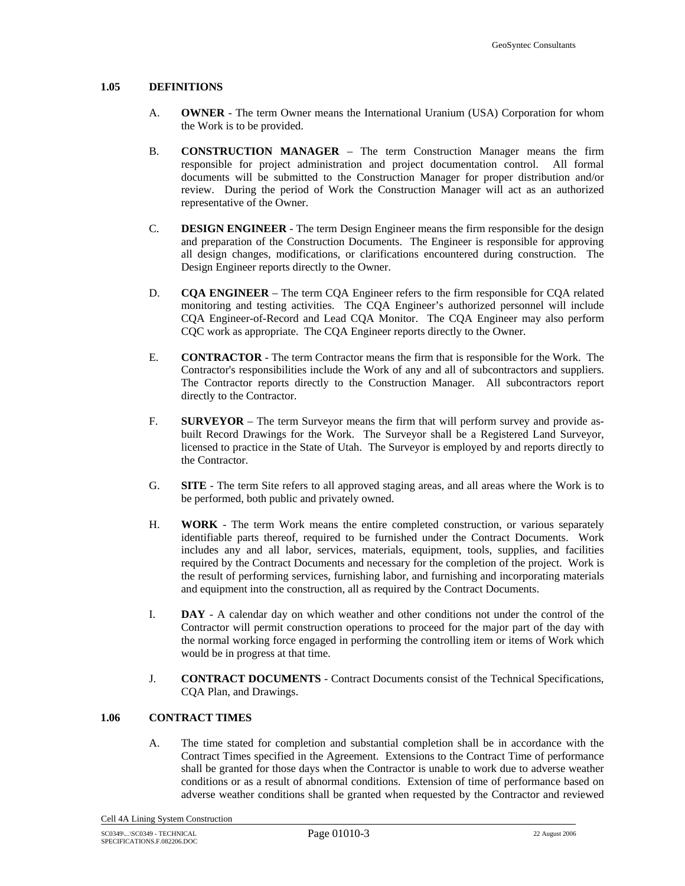# **1.05 DEFINITIONS**

- A. **OWNER** The term Owner means the International Uranium (USA) Corporation for whom the Work is to be provided.
- B. **CONSTRUCTION MANAGER**  The term Construction Manager means the firm responsible for project administration and project documentation control. All formal documents will be submitted to the Construction Manager for proper distribution and/or review. During the period of Work the Construction Manager will act as an authorized representative of the Owner.
- C. **DESIGN ENGINEER** The term Design Engineer means the firm responsible for the design and preparation of the Construction Documents. The Engineer is responsible for approving all design changes, modifications, or clarifications encountered during construction. The Design Engineer reports directly to the Owner.
- D. **CQA ENGINEER**  The term CQA Engineer refers to the firm responsible for CQA related monitoring and testing activities. The CQA Engineer's authorized personnel will include CQA Engineer-of-Record and Lead CQA Monitor. The CQA Engineer may also perform CQC work as appropriate. The CQA Engineer reports directly to the Owner.
- E. **CONTRACTOR** The term Contractor means the firm that is responsible for the Work. The Contractor's responsibilities include the Work of any and all of subcontractors and suppliers. The Contractor reports directly to the Construction Manager. All subcontractors report directly to the Contractor.
- F. **SURVEYOR**  The term Surveyor means the firm that will perform survey and provide asbuilt Record Drawings for the Work. The Surveyor shall be a Registered Land Surveyor, licensed to practice in the State of Utah. The Surveyor is employed by and reports directly to the Contractor.
- G. **SITE** The term Site refers to all approved staging areas, and all areas where the Work is to be performed, both public and privately owned.
- H. **WORK** The term Work means the entire completed construction, or various separately identifiable parts thereof, required to be furnished under the Contract Documents. Work includes any and all labor, services, materials, equipment, tools, supplies, and facilities required by the Contract Documents and necessary for the completion of the project. Work is the result of performing services, furnishing labor, and furnishing and incorporating materials and equipment into the construction, all as required by the Contract Documents.
- I. **DAY** A calendar day on which weather and other conditions not under the control of the Contractor will permit construction operations to proceed for the major part of the day with the normal working force engaged in performing the controlling item or items of Work which would be in progress at that time.
- J. **CONTRACT DOCUMENTS** Contract Documents consist of the Technical Specifications, CQA Plan, and Drawings.

# **1.06 CONTRACT TIMES**

A. The time stated for completion and substantial completion shall be in accordance with the Contract Times specified in the Agreement. Extensions to the Contract Time of performance shall be granted for those days when the Contractor is unable to work due to adverse weather conditions or as a result of abnormal conditions. Extension of time of performance based on adverse weather conditions shall be granted when requested by the Contractor and reviewed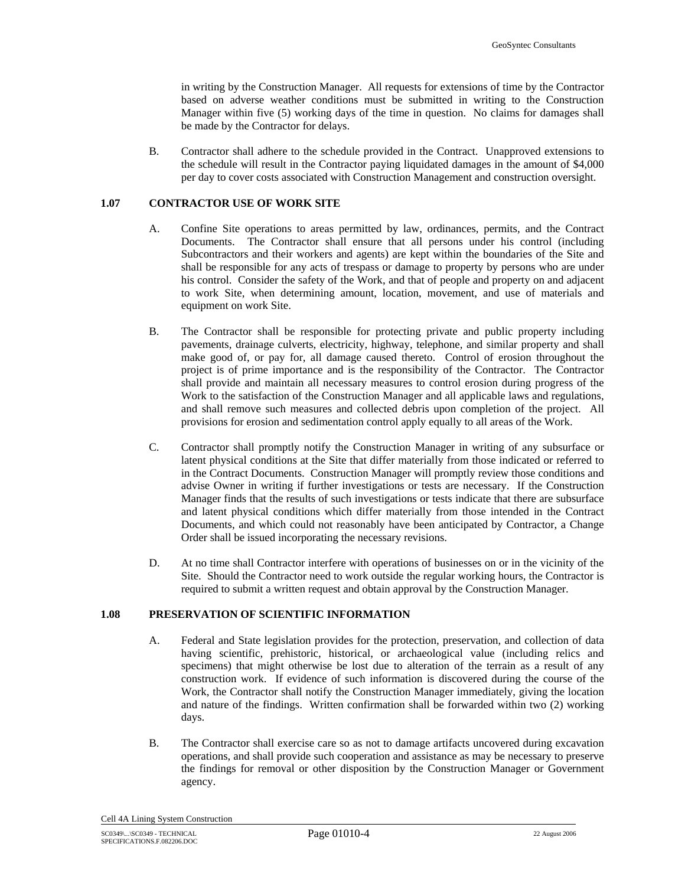in writing by the Construction Manager. All requests for extensions of time by the Contractor based on adverse weather conditions must be submitted in writing to the Construction Manager within five (5) working days of the time in question. No claims for damages shall be made by the Contractor for delays.

B. Contractor shall adhere to the schedule provided in the Contract. Unapproved extensions to the schedule will result in the Contractor paying liquidated damages in the amount of \$4,000 per day to cover costs associated with Construction Management and construction oversight.

# **1.07 CONTRACTOR USE OF WORK SITE**

- A. Confine Site operations to areas permitted by law, ordinances, permits, and the Contract Documents. The Contractor shall ensure that all persons under his control (including Subcontractors and their workers and agents) are kept within the boundaries of the Site and shall be responsible for any acts of trespass or damage to property by persons who are under his control. Consider the safety of the Work, and that of people and property on and adjacent to work Site, when determining amount, location, movement, and use of materials and equipment on work Site.
- B. The Contractor shall be responsible for protecting private and public property including pavements, drainage culverts, electricity, highway, telephone, and similar property and shall make good of, or pay for, all damage caused thereto. Control of erosion throughout the project is of prime importance and is the responsibility of the Contractor. The Contractor shall provide and maintain all necessary measures to control erosion during progress of the Work to the satisfaction of the Construction Manager and all applicable laws and regulations, and shall remove such measures and collected debris upon completion of the project. All provisions for erosion and sedimentation control apply equally to all areas of the Work.
- C. Contractor shall promptly notify the Construction Manager in writing of any subsurface or latent physical conditions at the Site that differ materially from those indicated or referred to in the Contract Documents. Construction Manager will promptly review those conditions and advise Owner in writing if further investigations or tests are necessary. If the Construction Manager finds that the results of such investigations or tests indicate that there are subsurface and latent physical conditions which differ materially from those intended in the Contract Documents, and which could not reasonably have been anticipated by Contractor, a Change Order shall be issued incorporating the necessary revisions.
- D. At no time shall Contractor interfere with operations of businesses on or in the vicinity of the Site. Should the Contractor need to work outside the regular working hours, the Contractor is required to submit a written request and obtain approval by the Construction Manager.

#### **1.08 PRESERVATION OF SCIENTIFIC INFORMATION**

- A. Federal and State legislation provides for the protection, preservation, and collection of data having scientific, prehistoric, historical, or archaeological value (including relics and specimens) that might otherwise be lost due to alteration of the terrain as a result of any construction work. If evidence of such information is discovered during the course of the Work, the Contractor shall notify the Construction Manager immediately, giving the location and nature of the findings. Written confirmation shall be forwarded within two (2) working days.
- B. The Contractor shall exercise care so as not to damage artifacts uncovered during excavation operations, and shall provide such cooperation and assistance as may be necessary to preserve the findings for removal or other disposition by the Construction Manager or Government agency.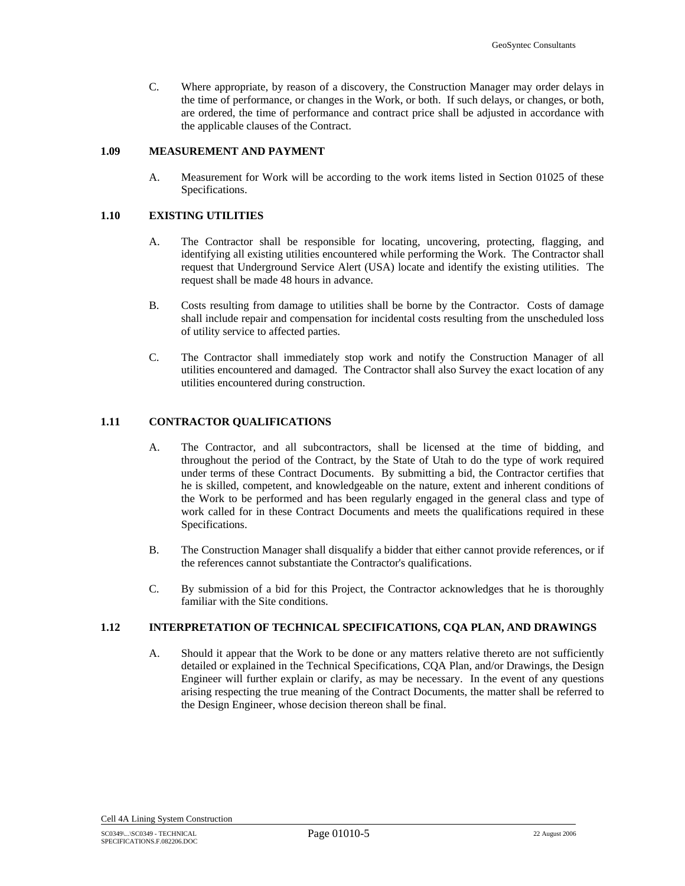C. Where appropriate, by reason of a discovery, the Construction Manager may order delays in the time of performance, or changes in the Work, or both. If such delays, or changes, or both, are ordered, the time of performance and contract price shall be adjusted in accordance with the applicable clauses of the Contract.

### **1.09 MEASUREMENT AND PAYMENT**

A. Measurement for Work will be according to the work items listed in Section 01025 of these Specifications.

#### **1.10 EXISTING UTILITIES**

- A. The Contractor shall be responsible for locating, uncovering, protecting, flagging, and identifying all existing utilities encountered while performing the Work. The Contractor shall request that Underground Service Alert (USA) locate and identify the existing utilities. The request shall be made 48 hours in advance.
- B. Costs resulting from damage to utilities shall be borne by the Contractor. Costs of damage shall include repair and compensation for incidental costs resulting from the unscheduled loss of utility service to affected parties.
- C. The Contractor shall immediately stop work and notify the Construction Manager of all utilities encountered and damaged. The Contractor shall also Survey the exact location of any utilities encountered during construction.

# **1.11 CONTRACTOR QUALIFICATIONS**

- A. The Contractor, and all subcontractors, shall be licensed at the time of bidding, and throughout the period of the Contract, by the State of Utah to do the type of work required under terms of these Contract Documents. By submitting a bid, the Contractor certifies that he is skilled, competent, and knowledgeable on the nature, extent and inherent conditions of the Work to be performed and has been regularly engaged in the general class and type of work called for in these Contract Documents and meets the qualifications required in these Specifications.
- B. The Construction Manager shall disqualify a bidder that either cannot provide references, or if the references cannot substantiate the Contractor's qualifications.
- C. By submission of a bid for this Project, the Contractor acknowledges that he is thoroughly familiar with the Site conditions.

# **1.12 INTERPRETATION OF TECHNICAL SPECIFICATIONS, CQA PLAN, AND DRAWINGS**

A. Should it appear that the Work to be done or any matters relative thereto are not sufficiently detailed or explained in the Technical Specifications, CQA Plan, and/or Drawings, the Design Engineer will further explain or clarify, as may be necessary. In the event of any questions arising respecting the true meaning of the Contract Documents, the matter shall be referred to the Design Engineer, whose decision thereon shall be final.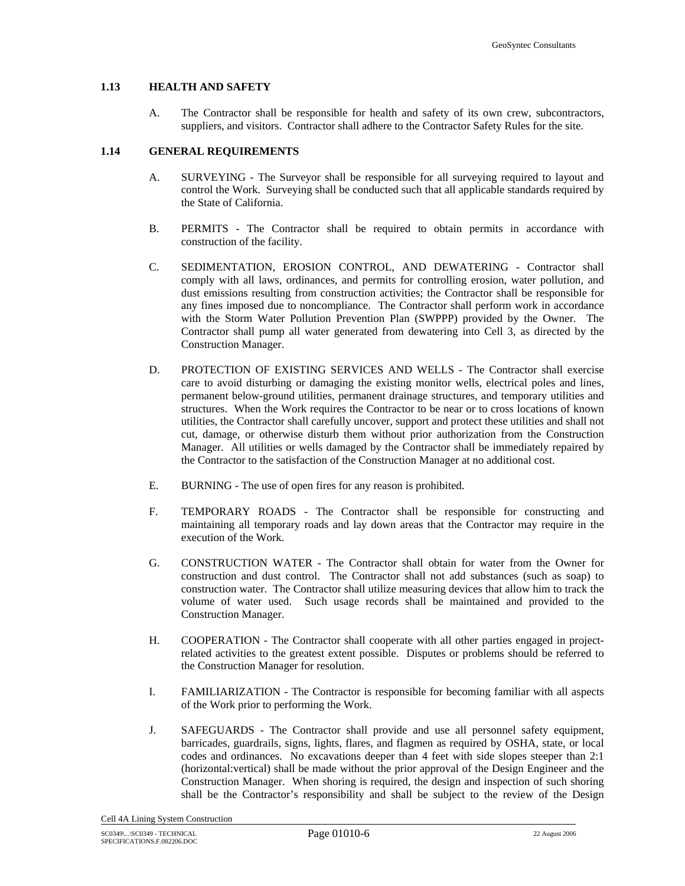# **1.13 HEALTH AND SAFETY**

A. The Contractor shall be responsible for health and safety of its own crew, subcontractors, suppliers, and visitors. Contractor shall adhere to the Contractor Safety Rules for the site.

# **1.14 GENERAL REQUIREMENTS**

- A. SURVEYING The Surveyor shall be responsible for all surveying required to layout and control the Work. Surveying shall be conducted such that all applicable standards required by the State of California.
- B. PERMITS The Contractor shall be required to obtain permits in accordance with construction of the facility.
- C. SEDIMENTATION, EROSION CONTROL, AND DEWATERING Contractor shall comply with all laws, ordinances, and permits for controlling erosion, water pollution, and dust emissions resulting from construction activities; the Contractor shall be responsible for any fines imposed due to noncompliance. The Contractor shall perform work in accordance with the Storm Water Pollution Prevention Plan (SWPPP) provided by the Owner. The Contractor shall pump all water generated from dewatering into Cell 3, as directed by the Construction Manager.
- D. PROTECTION OF EXISTING SERVICES AND WELLS The Contractor shall exercise care to avoid disturbing or damaging the existing monitor wells, electrical poles and lines, permanent below-ground utilities, permanent drainage structures, and temporary utilities and structures. When the Work requires the Contractor to be near or to cross locations of known utilities, the Contractor shall carefully uncover, support and protect these utilities and shall not cut, damage, or otherwise disturb them without prior authorization from the Construction Manager. All utilities or wells damaged by the Contractor shall be immediately repaired by the Contractor to the satisfaction of the Construction Manager at no additional cost.
- E. BURNING The use of open fires for any reason is prohibited.
- F. TEMPORARY ROADS The Contractor shall be responsible for constructing and maintaining all temporary roads and lay down areas that the Contractor may require in the execution of the Work.
- G. CONSTRUCTION WATER The Contractor shall obtain for water from the Owner for construction and dust control. The Contractor shall not add substances (such as soap) to construction water. The Contractor shall utilize measuring devices that allow him to track the volume of water used. Such usage records shall be maintained and provided to the Construction Manager.
- H. COOPERATION The Contractor shall cooperate with all other parties engaged in projectrelated activities to the greatest extent possible. Disputes or problems should be referred to the Construction Manager for resolution.
- I. FAMILIARIZATION The Contractor is responsible for becoming familiar with all aspects of the Work prior to performing the Work.
- J. SAFEGUARDS The Contractor shall provide and use all personnel safety equipment, barricades, guardrails, signs, lights, flares, and flagmen as required by OSHA, state, or local codes and ordinances. No excavations deeper than 4 feet with side slopes steeper than 2:1 (horizontal:vertical) shall be made without the prior approval of the Design Engineer and the Construction Manager. When shoring is required, the design and inspection of such shoring shall be the Contractor's responsibility and shall be subject to the review of the Design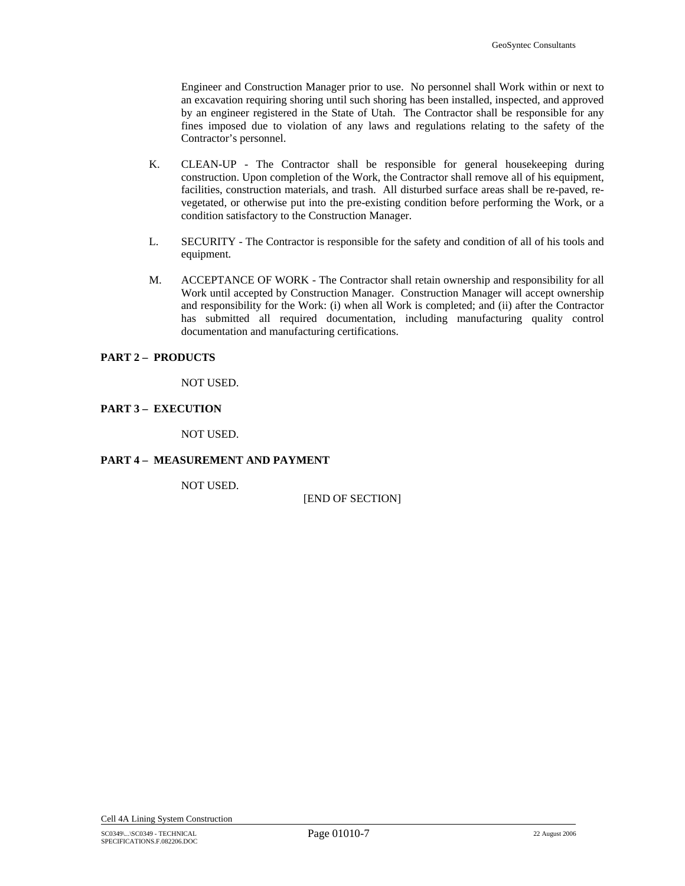Engineer and Construction Manager prior to use. No personnel shall Work within or next to an excavation requiring shoring until such shoring has been installed, inspected, and approved by an engineer registered in the State of Utah. The Contractor shall be responsible for any fines imposed due to violation of any laws and regulations relating to the safety of the Contractor's personnel.

- K. CLEAN-UP The Contractor shall be responsible for general housekeeping during construction. Upon completion of the Work, the Contractor shall remove all of his equipment, facilities, construction materials, and trash. All disturbed surface areas shall be re-paved, revegetated, or otherwise put into the pre-existing condition before performing the Work, or a condition satisfactory to the Construction Manager.
- L. SECURITY The Contractor is responsible for the safety and condition of all of his tools and equipment.
- M. ACCEPTANCE OF WORK The Contractor shall retain ownership and responsibility for all Work until accepted by Construction Manager. Construction Manager will accept ownership and responsibility for the Work: (i) when all Work is completed; and (ii) after the Contractor has submitted all required documentation, including manufacturing quality control documentation and manufacturing certifications.

# **PART 2 – PRODUCTS**

NOT USED.

### **PART 3 – EXECUTION**

NOT USED.

# **PART 4 – MEASUREMENT AND PAYMENT**

NOT USED.

[END OF SECTION]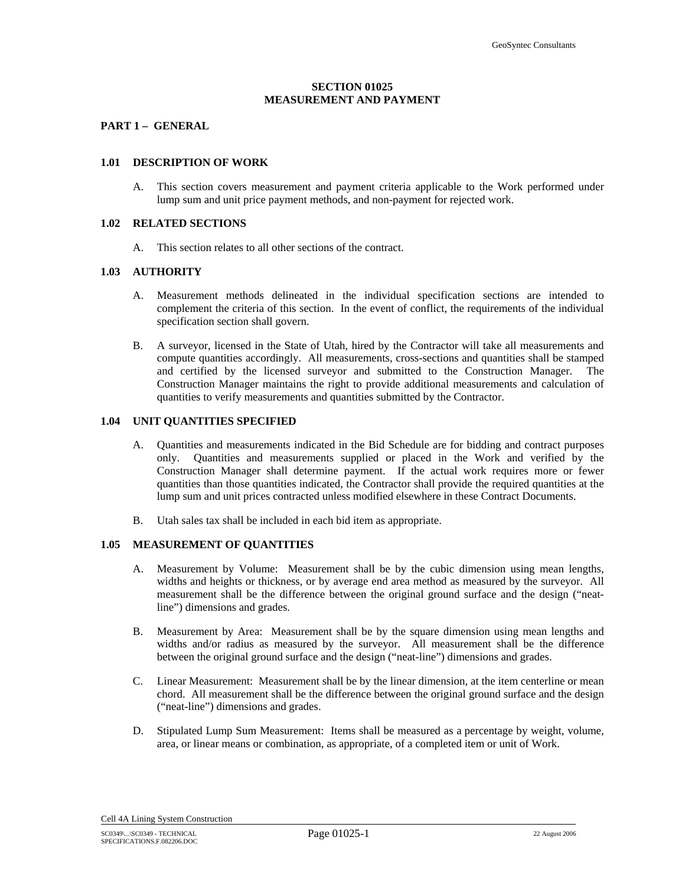# **SECTION 01025 MEASUREMENT AND PAYMENT**

# <span id="page-10-0"></span>**PART 1 – GENERAL**

# **1.01 DESCRIPTION OF WORK**

A. This section covers measurement and payment criteria applicable to the Work performed under lump sum and unit price payment methods, and non-payment for rejected work.

#### **1.02 RELATED SECTIONS**

A. This section relates to all other sections of the contract.

#### **1.03 AUTHORITY**

- A. Measurement methods delineated in the individual specification sections are intended to complement the criteria of this section. In the event of conflict, the requirements of the individual specification section shall govern.
- B. A surveyor, licensed in the State of Utah, hired by the Contractor will take all measurements and compute quantities accordingly. All measurements, cross-sections and quantities shall be stamped and certified by the licensed surveyor and submitted to the Construction Manager. The Construction Manager maintains the right to provide additional measurements and calculation of quantities to verify measurements and quantities submitted by the Contractor.

### **1.04 UNIT QUANTITIES SPECIFIED**

- A. Quantities and measurements indicated in the Bid Schedule are for bidding and contract purposes only. Quantities and measurements supplied or placed in the Work and verified by the Construction Manager shall determine payment. If the actual work requires more or fewer quantities than those quantities indicated, the Contractor shall provide the required quantities at the lump sum and unit prices contracted unless modified elsewhere in these Contract Documents.
- B. Utah sales tax shall be included in each bid item as appropriate.

#### **1.05 MEASUREMENT OF QUANTITIES**

- A. Measurement by Volume: Measurement shall be by the cubic dimension using mean lengths, widths and heights or thickness, or by average end area method as measured by the surveyor. All measurement shall be the difference between the original ground surface and the design ("neatline") dimensions and grades.
- B. Measurement by Area: Measurement shall be by the square dimension using mean lengths and widths and/or radius as measured by the surveyor. All measurement shall be the difference between the original ground surface and the design ("neat-line") dimensions and grades.
- C. Linear Measurement: Measurement shall be by the linear dimension, at the item centerline or mean chord. All measurement shall be the difference between the original ground surface and the design ("neat-line") dimensions and grades.
- D. Stipulated Lump Sum Measurement: Items shall be measured as a percentage by weight, volume, area, or linear means or combination, as appropriate, of a completed item or unit of Work.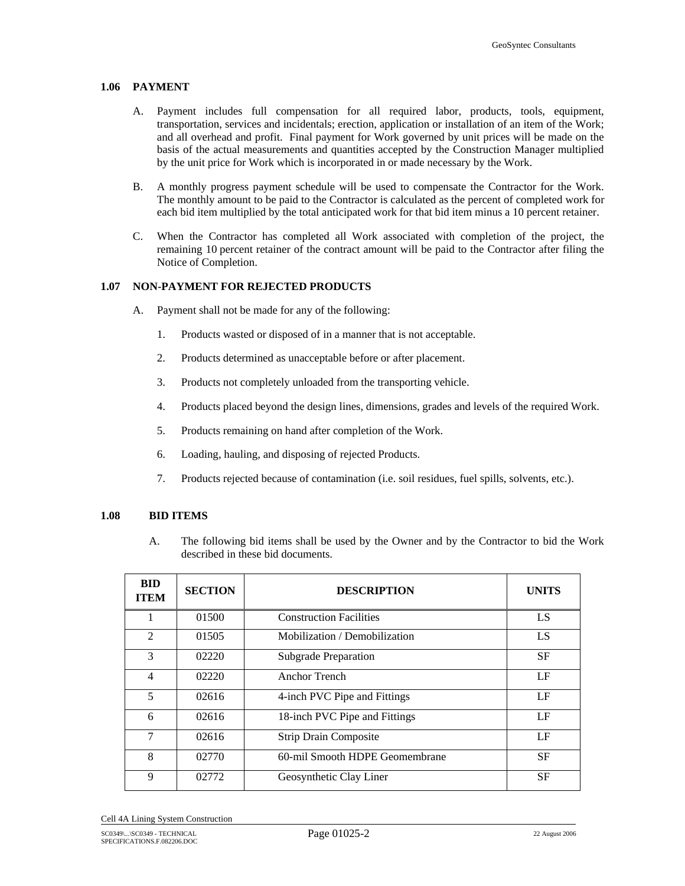# **1.06 PAYMENT**

- A. Payment includes full compensation for all required labor, products, tools, equipment, transportation, services and incidentals; erection, application or installation of an item of the Work; and all overhead and profit. Final payment for Work governed by unit prices will be made on the basis of the actual measurements and quantities accepted by the Construction Manager multiplied by the unit price for Work which is incorporated in or made necessary by the Work.
- B. A monthly progress payment schedule will be used to compensate the Contractor for the Work. The monthly amount to be paid to the Contractor is calculated as the percent of completed work for each bid item multiplied by the total anticipated work for that bid item minus a 10 percent retainer.
- C. When the Contractor has completed all Work associated with completion of the project, the remaining 10 percent retainer of the contract amount will be paid to the Contractor after filing the Notice of Completion.

# **1.07 NON-PAYMENT FOR REJECTED PRODUCTS**

- A. Payment shall not be made for any of the following:
	- 1. Products wasted or disposed of in a manner that is not acceptable.
	- 2. Products determined as unacceptable before or after placement.
	- 3. Products not completely unloaded from the transporting vehicle.
	- 4. Products placed beyond the design lines, dimensions, grades and levels of the required Work.
	- 5. Products remaining on hand after completion of the Work.
	- 6. Loading, hauling, and disposing of rejected Products.
	- 7. Products rejected because of contamination (i.e. soil residues, fuel spills, solvents, etc.).

# **1.08 BID ITEMS**

A. The following bid items shall be used by the Owner and by the Contractor to bid the Work described in these bid documents.

| <b>BID</b><br><b>ITEM</b> | <b>SECTION</b> | <b>DESCRIPTION</b>                   | <b>UNITS</b> |
|---------------------------|----------------|--------------------------------------|--------------|
|                           | 01500          | <b>Construction Facilities</b>       | LS           |
| $\mathfrak{D}$            | 01505          | Mobilization / Demobilization        | LS           |
| 3                         | 02220          | Subgrade Preparation                 | <b>SF</b>    |
| $\overline{4}$            | 02220          | Anchor Trench                        | LF           |
| 5                         | 02616          | 4-inch PVC Pipe and Fittings         | LF           |
| 6                         | 02616          | 18-inch PVC Pipe and Fittings        | LF           |
| 7                         | 02616          | <b>Strip Drain Composite</b>         | LF           |
| 8                         | 02770          | 60-mil Smooth HDPE Geomembrane       | <b>SF</b>    |
| 9                         | 02772          | <b>SF</b><br>Geosynthetic Clay Liner |              |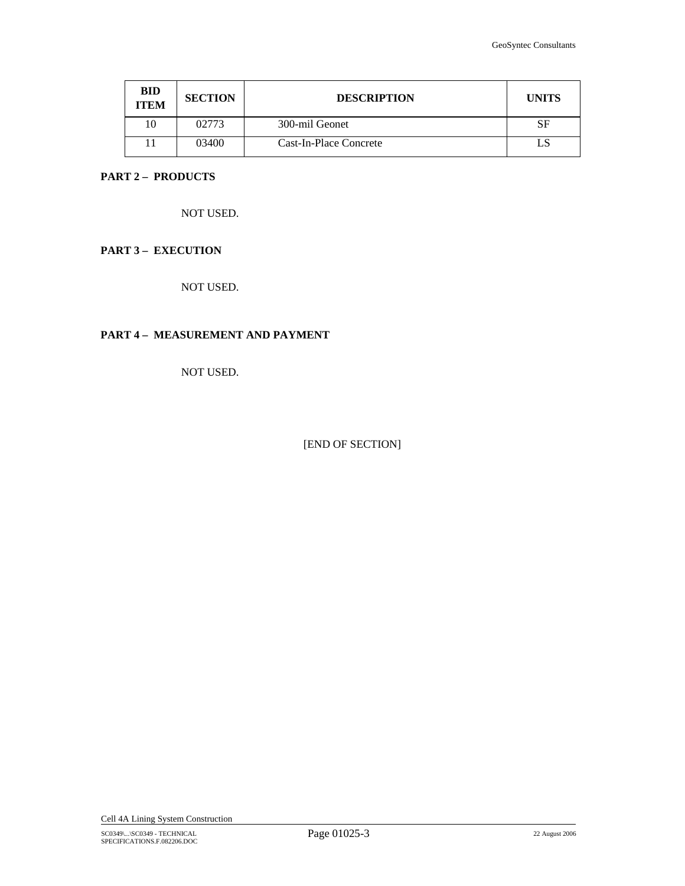| <b>BID</b><br><b>ITEM</b> | <b>SECTION</b> | <b>DESCRIPTION</b>     | <b>UNITS</b> |
|---------------------------|----------------|------------------------|--------------|
| 10                        | 02773          | 300-mil Geonet         |              |
|                           | 03400          | Cast-In-Place Concrete |              |

# **PART 2 – PRODUCTS**

NOT USED.

# **PART 3 – EXECUTION**

NOT USED.

# **PART 4 – MEASUREMENT AND PAYMENT**

NOT USED.

[END OF SECTION]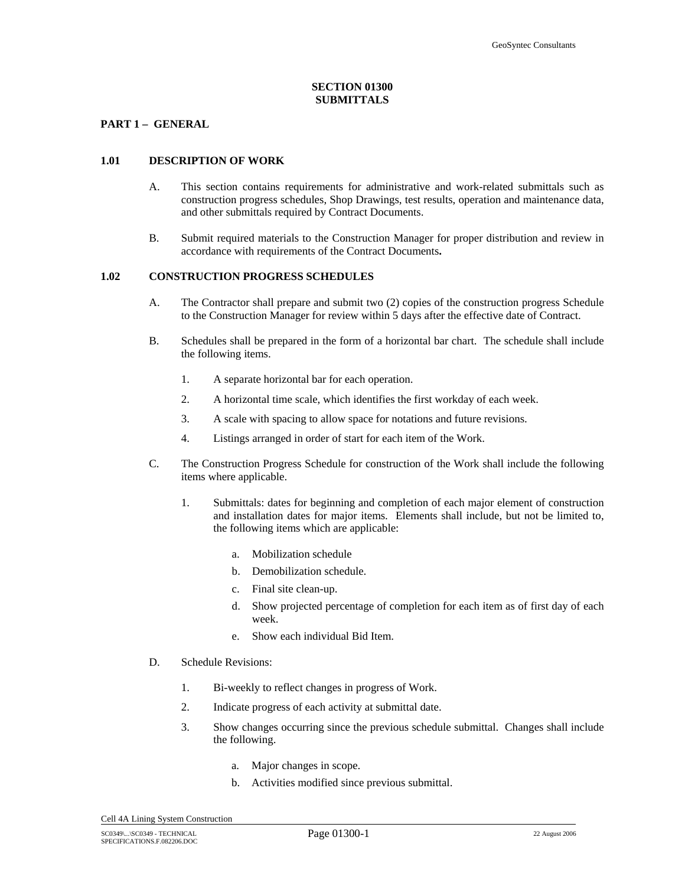# **SECTION 01300 SUBMITTALS**

# <span id="page-13-0"></span>**PART 1 – GENERAL**

# **1.01 DESCRIPTION OF WORK**

- A. This section contains requirements for administrative and work-related submittals such as construction progress schedules, Shop Drawings, test results, operation and maintenance data, and other submittals required by Contract Documents.
- B. Submit required materials to the Construction Manager for proper distribution and review in accordance with requirements of the Contract Documents**.**

# **1.02 CONSTRUCTION PROGRESS SCHEDULES**

- A. The Contractor shall prepare and submit two (2) copies of the construction progress Schedule to the Construction Manager for review within 5 days after the effective date of Contract.
- B. Schedules shall be prepared in the form of a horizontal bar chart. The schedule shall include the following items.
	- 1. A separate horizontal bar for each operation.
	- 2. A horizontal time scale, which identifies the first workday of each week.
	- 3. A scale with spacing to allow space for notations and future revisions.
	- 4. Listings arranged in order of start for each item of the Work.
- C. The Construction Progress Schedule for construction of the Work shall include the following items where applicable.
	- 1. Submittals: dates for beginning and completion of each major element of construction and installation dates for major items. Elements shall include, but not be limited to, the following items which are applicable:
		- a. Mobilization schedule
		- b. Demobilization schedule.
		- c. Final site clean-up.
		- d. Show projected percentage of completion for each item as of first day of each week.
		- e. Show each individual Bid Item.
- D. Schedule Revisions:
	- 1. Bi-weekly to reflect changes in progress of Work.
	- 2. Indicate progress of each activity at submittal date.
	- 3. Show changes occurring since the previous schedule submittal. Changes shall include the following.
		- a. Major changes in scope.
		- b. Activities modified since previous submittal.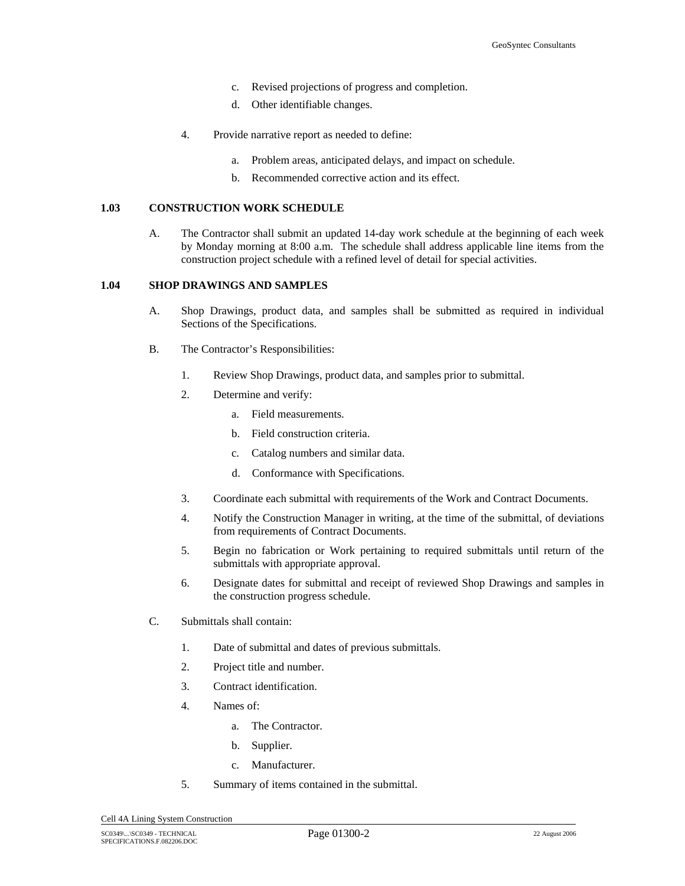- c. Revised projections of progress and completion.
- d. Other identifiable changes.
- 4. Provide narrative report as needed to define:
	- a. Problem areas, anticipated delays, and impact on schedule.
	- b. Recommended corrective action and its effect.

#### **1.03 CONSTRUCTION WORK SCHEDULE**

A. The Contractor shall submit an updated 14-day work schedule at the beginning of each week by Monday morning at 8:00 a.m. The schedule shall address applicable line items from the construction project schedule with a refined level of detail for special activities.

#### **1.04 SHOP DRAWINGS AND SAMPLES**

- A. Shop Drawings, product data, and samples shall be submitted as required in individual Sections of the Specifications.
- B. The Contractor's Responsibilities:
	- 1. Review Shop Drawings, product data, and samples prior to submittal.
	- 2. Determine and verify:
		- a. Field measurements.
		- b. Field construction criteria.
		- c. Catalog numbers and similar data.
		- d. Conformance with Specifications.
	- 3. Coordinate each submittal with requirements of the Work and Contract Documents.
	- 4. Notify the Construction Manager in writing, at the time of the submittal, of deviations from requirements of Contract Documents.
	- 5. Begin no fabrication or Work pertaining to required submittals until return of the submittals with appropriate approval.
	- 6. Designate dates for submittal and receipt of reviewed Shop Drawings and samples in the construction progress schedule.
- C. Submittals shall contain:
	- 1. Date of submittal and dates of previous submittals.
	- 2. Project title and number.
	- 3. Contract identification.
	- 4. Names of:
		- a. The Contractor.
		- b. Supplier.
		- c. Manufacturer.
	- 5. Summary of items contained in the submittal.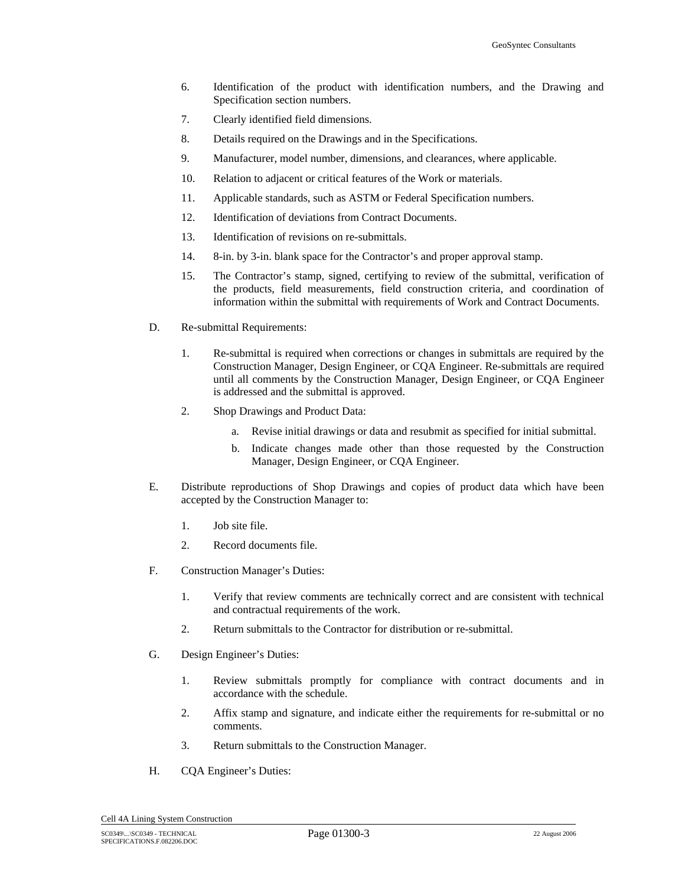- 6. Identification of the product with identification numbers, and the Drawing and Specification section numbers.
- 7. Clearly identified field dimensions.
- 8. Details required on the Drawings and in the Specifications.
- 9. Manufacturer, model number, dimensions, and clearances, where applicable.
- 10. Relation to adjacent or critical features of the Work or materials.
- 11. Applicable standards, such as ASTM or Federal Specification numbers.
- 12. Identification of deviations from Contract Documents.
- 13. Identification of revisions on re-submittals.
- 14. 8-in. by 3-in. blank space for the Contractor's and proper approval stamp.
- 15. The Contractor's stamp, signed, certifying to review of the submittal, verification of the products, field measurements, field construction criteria, and coordination of information within the submittal with requirements of Work and Contract Documents.
- D. Re-submittal Requirements:
	- 1. Re-submittal is required when corrections or changes in submittals are required by the Construction Manager, Design Engineer, or CQA Engineer. Re-submittals are required until all comments by the Construction Manager, Design Engineer, or CQA Engineer is addressed and the submittal is approved.
	- 2. Shop Drawings and Product Data:
		- a. Revise initial drawings or data and resubmit as specified for initial submittal.
		- b. Indicate changes made other than those requested by the Construction Manager, Design Engineer, or CQA Engineer.
- E. Distribute reproductions of Shop Drawings and copies of product data which have been accepted by the Construction Manager to:
	- 1. Job site file.
	- 2. Record documents file.
- F. Construction Manager's Duties:
	- 1. Verify that review comments are technically correct and are consistent with technical and contractual requirements of the work.
	- 2. Return submittals to the Contractor for distribution or re-submittal.
- G. Design Engineer's Duties:
	- 1. Review submittals promptly for compliance with contract documents and in accordance with the schedule.
	- 2. Affix stamp and signature, and indicate either the requirements for re-submittal or no comments.
	- 3. Return submittals to the Construction Manager.
- H. CQA Engineer's Duties: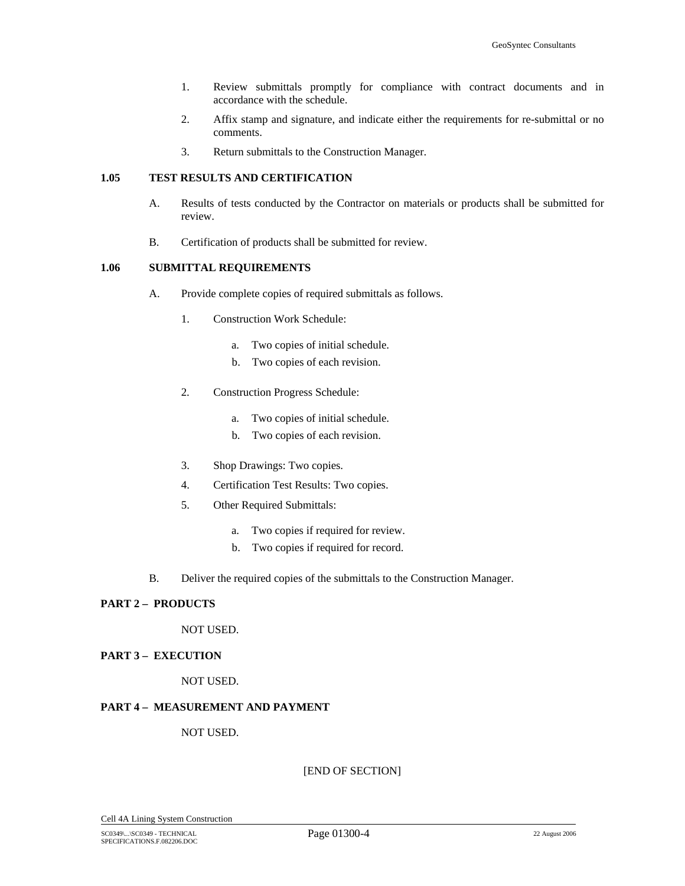- 1. Review submittals promptly for compliance with contract documents and in accordance with the schedule.
- 2. Affix stamp and signature, and indicate either the requirements for re-submittal or no comments.
- 3. Return submittals to the Construction Manager.

### **1.05 TEST RESULTS AND CERTIFICATION**

- A. Results of tests conducted by the Contractor on materials or products shall be submitted for review.
- B. Certification of products shall be submitted for review.

# **1.06 SUBMITTAL REQUIREMENTS**

- A. Provide complete copies of required submittals as follows.
	- 1. Construction Work Schedule:
		- a. Two copies of initial schedule.
		- b. Two copies of each revision.
	- 2. Construction Progress Schedule:
		- a. Two copies of initial schedule.
		- b. Two copies of each revision.
	- 3. Shop Drawings: Two copies.
	- 4. Certification Test Results: Two copies.
	- 5. Other Required Submittals:
		- a. Two copies if required for review.
		- b. Two copies if required for record.
- B. Deliver the required copies of the submittals to the Construction Manager.

# **PART 2 – PRODUCTS**

NOT USED.

#### **PART 3 – EXECUTION**

NOT USED.

# **PART 4 – MEASUREMENT AND PAYMENT**

# NOT USED.

[END OF SECTION]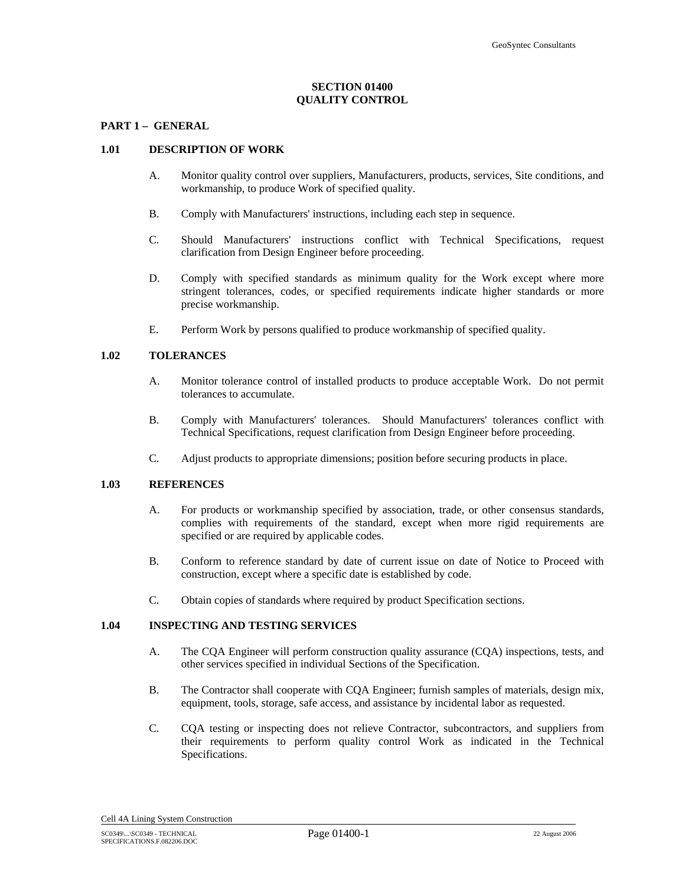# **SECTION 01400 QUALITY CONTROL**

### <span id="page-17-0"></span>**PART 1 – GENERAL**

#### **1.01 DESCRIPTION OF WORK**

- A. Monitor quality control over suppliers, Manufacturers, products, services, Site conditions, and workmanship, to produce Work of specified quality.
- B. Comply with Manufacturers' instructions, including each step in sequence.
- C. Should Manufacturers' instructions conflict with Technical Specifications, request clarification from Design Engineer before proceeding.
- D. Comply with specified standards as minimum quality for the Work except where more stringent tolerances, codes, or specified requirements indicate higher standards or more precise workmanship.
- E. Perform Work by persons qualified to produce workmanship of specified quality.

# **1.02 TOLERANCES**

- A. Monitor tolerance control of installed products to produce acceptable Work. Do not permit tolerances to accumulate.
- B. Comply with Manufacturers' tolerances. Should Manufacturers' tolerances conflict with Technical Specifications, request clarification from Design Engineer before proceeding.
- C. Adjust products to appropriate dimensions; position before securing products in place.

#### **1.03 REFERENCES**

- A. For products or workmanship specified by association, trade, or other consensus standards, complies with requirements of the standard, except when more rigid requirements are specified or are required by applicable codes.
- B. Conform to reference standard by date of current issue on date of Notice to Proceed with construction, except where a specific date is established by code.
- C. Obtain copies of standards where required by product Specification sections.

#### **1.04 INSPECTING AND TESTING SERVICES**

- A. The CQA Engineer will perform construction quality assurance (CQA) inspections, tests, and other services specified in individual Sections of the Specification.
- B. The Contractor shall cooperate with CQA Engineer; furnish samples of materials, design mix, equipment, tools, storage, safe access, and assistance by incidental labor as requested.
- C. CQA testing or inspecting does not relieve Contractor, subcontractors, and suppliers from their requirements to perform quality control Work as indicated in the Technical Specifications.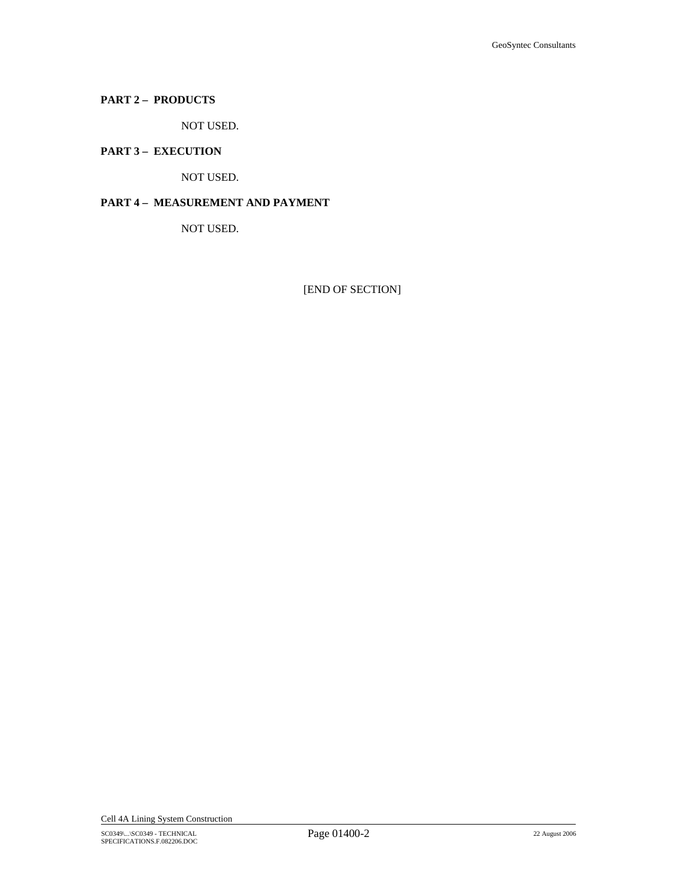# **PART 2 – PRODUCTS**

NOT USED.

# **PART 3 – EXECUTION**

NOT USED.

# **PART 4 – MEASUREMENT AND PAYMENT**

NOT USED.

[END OF SECTION]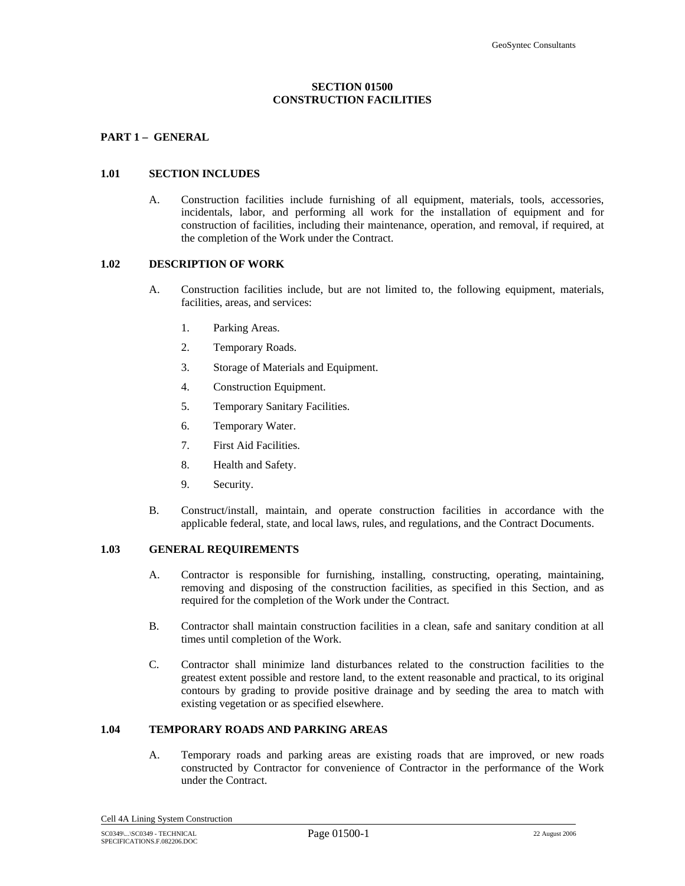# **SECTION 01500 CONSTRUCTION FACILITIES**

# <span id="page-19-0"></span>**PART 1 – GENERAL**

### **1.01 SECTION INCLUDES**

A. Construction facilities include furnishing of all equipment, materials, tools, accessories, incidentals, labor, and performing all work for the installation of equipment and for construction of facilities, including their maintenance, operation, and removal, if required, at the completion of the Work under the Contract.

#### **1.02 DESCRIPTION OF WORK**

- A. Construction facilities include, but are not limited to, the following equipment, materials, facilities, areas, and services:
	- 1. Parking Areas.
	- 2. Temporary Roads.
	- 3. Storage of Materials and Equipment.
	- 4. Construction Equipment.
	- 5. Temporary Sanitary Facilities.
	- 6. Temporary Water.
	- 7. First Aid Facilities.
	- 8. Health and Safety.
	- 9. Security.
- B. Construct/install, maintain, and operate construction facilities in accordance with the applicable federal, state, and local laws, rules, and regulations, and the Contract Documents.

#### **1.03 GENERAL REQUIREMENTS**

- A. Contractor is responsible for furnishing, installing, constructing, operating, maintaining, removing and disposing of the construction facilities, as specified in this Section, and as required for the completion of the Work under the Contract.
- B. Contractor shall maintain construction facilities in a clean, safe and sanitary condition at all times until completion of the Work.
- C. Contractor shall minimize land disturbances related to the construction facilities to the greatest extent possible and restore land, to the extent reasonable and practical, to its original contours by grading to provide positive drainage and by seeding the area to match with existing vegetation or as specified elsewhere.

# **1.04 TEMPORARY ROADS AND PARKING AREAS**

A. Temporary roads and parking areas are existing roads that are improved, or new roads constructed by Contractor for convenience of Contractor in the performance of the Work under the Contract.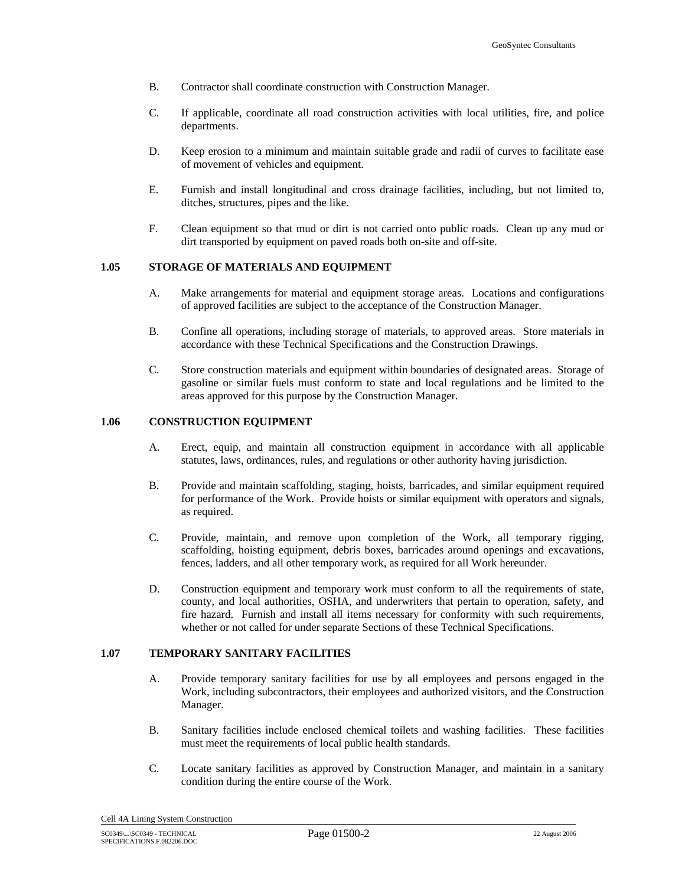- B. Contractor shall coordinate construction with Construction Manager.
- C. If applicable, coordinate all road construction activities with local utilities, fire, and police departments.
- D. Keep erosion to a minimum and maintain suitable grade and radii of curves to facilitate ease of movement of vehicles and equipment.
- E. Furnish and install longitudinal and cross drainage facilities, including, but not limited to, ditches, structures, pipes and the like.
- F. Clean equipment so that mud or dirt is not carried onto public roads. Clean up any mud or dirt transported by equipment on paved roads both on-site and off-site.

#### **1.05 STORAGE OF MATERIALS AND EQUIPMENT**

- A. Make arrangements for material and equipment storage areas. Locations and configurations of approved facilities are subject to the acceptance of the Construction Manager.
- B. Confine all operations, including storage of materials, to approved areas. Store materials in accordance with these Technical Specifications and the Construction Drawings.
- C. Store construction materials and equipment within boundaries of designated areas. Storage of gasoline or similar fuels must conform to state and local regulations and be limited to the areas approved for this purpose by the Construction Manager.

# **1.06 CONSTRUCTION EQUIPMENT**

- A. Erect, equip, and maintain all construction equipment in accordance with all applicable statutes, laws, ordinances, rules, and regulations or other authority having jurisdiction.
- B. Provide and maintain scaffolding, staging, hoists, barricades, and similar equipment required for performance of the Work. Provide hoists or similar equipment with operators and signals, as required.
- C. Provide, maintain, and remove upon completion of the Work, all temporary rigging, scaffolding, hoisting equipment, debris boxes, barricades around openings and excavations, fences, ladders, and all other temporary work, as required for all Work hereunder.
- D. Construction equipment and temporary work must conform to all the requirements of state, county, and local authorities, OSHA, and underwriters that pertain to operation, safety, and fire hazard. Furnish and install all items necessary for conformity with such requirements, whether or not called for under separate Sections of these Technical Specifications.

#### **1.07 TEMPORARY SANITARY FACILITIES**

- A. Provide temporary sanitary facilities for use by all employees and persons engaged in the Work, including subcontractors, their employees and authorized visitors, and the Construction Manager.
- B. Sanitary facilities include enclosed chemical toilets and washing facilities. These facilities must meet the requirements of local public health standards.
- C. Locate sanitary facilities as approved by Construction Manager, and maintain in a sanitary condition during the entire course of the Work.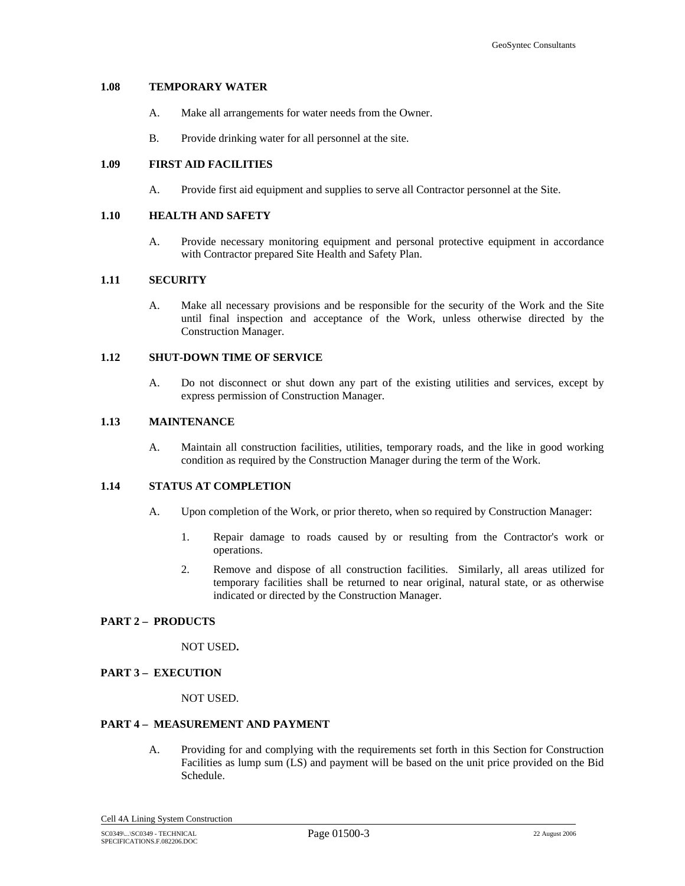# **1.08 TEMPORARY WATER**

- A. Make all arrangements for water needs from the Owner.
- B. Provide drinking water for all personnel at the site.

### **1.09 FIRST AID FACILITIES**

A. Provide first aid equipment and supplies to serve all Contractor personnel at the Site.

# **1.10 HEALTH AND SAFETY**

A. Provide necessary monitoring equipment and personal protective equipment in accordance with Contractor prepared Site Health and Safety Plan.

# **1.11 SECURITY**

A. Make all necessary provisions and be responsible for the security of the Work and the Site until final inspection and acceptance of the Work, unless otherwise directed by the Construction Manager.

# **1.12 SHUT-DOWN TIME OF SERVICE**

A. Do not disconnect or shut down any part of the existing utilities and services, except by express permission of Construction Manager.

### **1.13 MAINTENANCE**

A. Maintain all construction facilities, utilities, temporary roads, and the like in good working condition as required by the Construction Manager during the term of the Work.

# **1.14 STATUS AT COMPLETION**

- A. Upon completion of the Work, or prior thereto, when so required by Construction Manager:
	- 1. Repair damage to roads caused by or resulting from the Contractor's work or operations.
	- 2. Remove and dispose of all construction facilities. Similarly, all areas utilized for temporary facilities shall be returned to near original, natural state, or as otherwise indicated or directed by the Construction Manager.

# **PART 2 – PRODUCTS**

NOT USED**.** 

# **PART 3 – EXECUTION**

NOT USED.

#### **PART 4 – MEASUREMENT AND PAYMENT**

A. Providing for and complying with the requirements set forth in this Section for Construction Facilities as lump sum (LS) and payment will be based on the unit price provided on the Bid Schedule.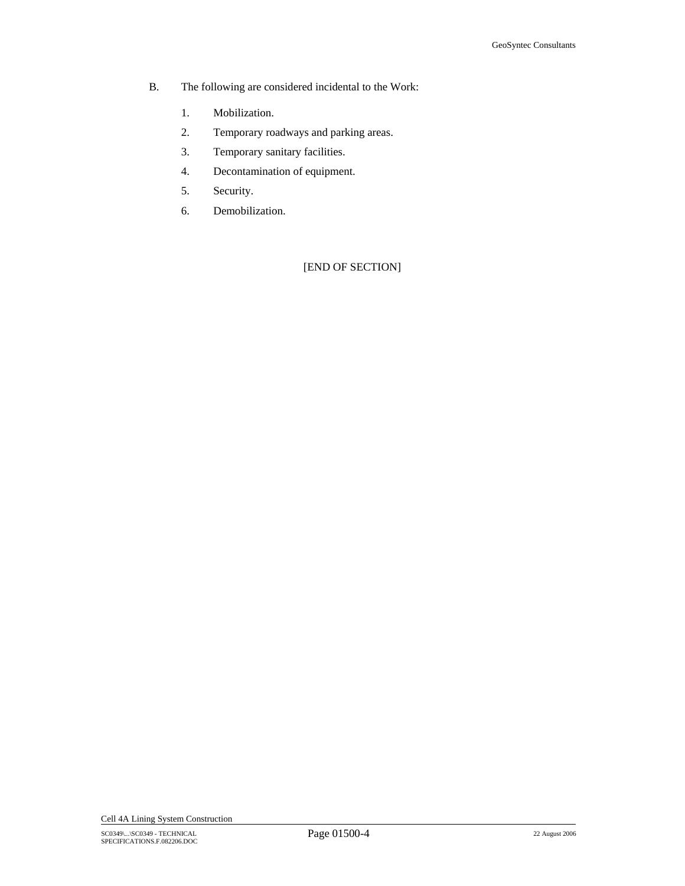- B. The following are considered incidental to the Work:
	- 1. Mobilization.
	- 2. Temporary roadways and parking areas.
	- 3. Temporary sanitary facilities.
	- 4. Decontamination of equipment.
	- 5. Security.
	- 6. Demobilization.

[END OF SECTION]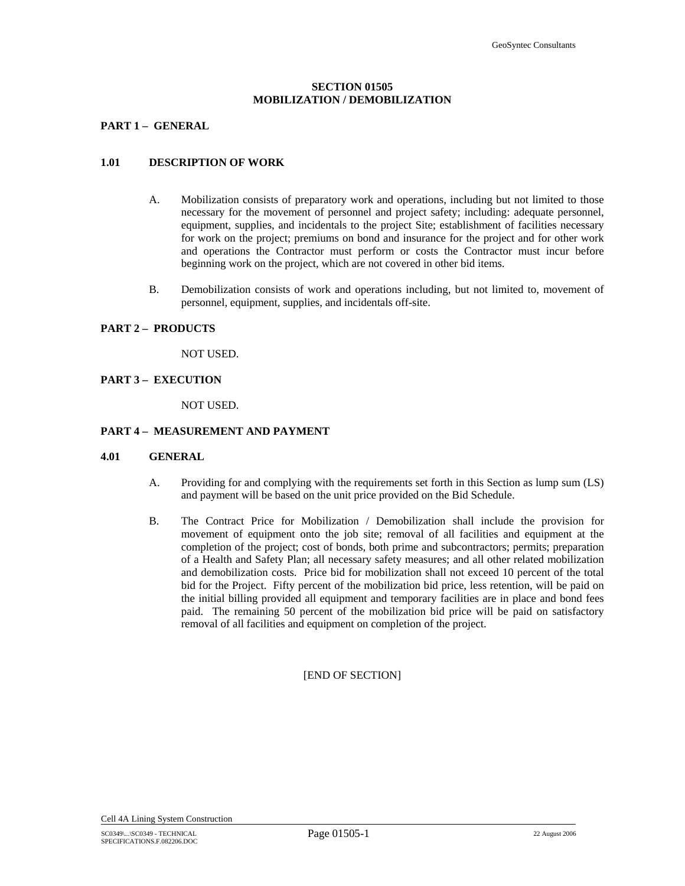# **SECTION 01505 MOBILIZATION / DEMOBILIZATION**

# <span id="page-23-0"></span>**PART 1 – GENERAL**

# **1.01 DESCRIPTION OF WORK**

- A. Mobilization consists of preparatory work and operations, including but not limited to those necessary for the movement of personnel and project safety; including: adequate personnel, equipment, supplies, and incidentals to the project Site; establishment of facilities necessary for work on the project; premiums on bond and insurance for the project and for other work and operations the Contractor must perform or costs the Contractor must incur before beginning work on the project, which are not covered in other bid items.
- B. Demobilization consists of work and operations including, but not limited to, movement of personnel, equipment, supplies, and incidentals off-site.

#### **PART 2 – PRODUCTS**

NOT USED.

### **PART 3 – EXECUTION**

NOT USED.

# **PART 4 – MEASUREMENT AND PAYMENT**

# **4.01 GENERAL**

- A. Providing for and complying with the requirements set forth in this Section as lump sum (LS) and payment will be based on the unit price provided on the Bid Schedule.
- B. The Contract Price for Mobilization / Demobilization shall include the provision for movement of equipment onto the job site; removal of all facilities and equipment at the completion of the project; cost of bonds, both prime and subcontractors; permits; preparation of a Health and Safety Plan; all necessary safety measures; and all other related mobilization and demobilization costs. Price bid for mobilization shall not exceed 10 percent of the total bid for the Project. Fifty percent of the mobilization bid price, less retention, will be paid on the initial billing provided all equipment and temporary facilities are in place and bond fees paid. The remaining 50 percent of the mobilization bid price will be paid on satisfactory removal of all facilities and equipment on completion of the project.

# [END OF SECTION]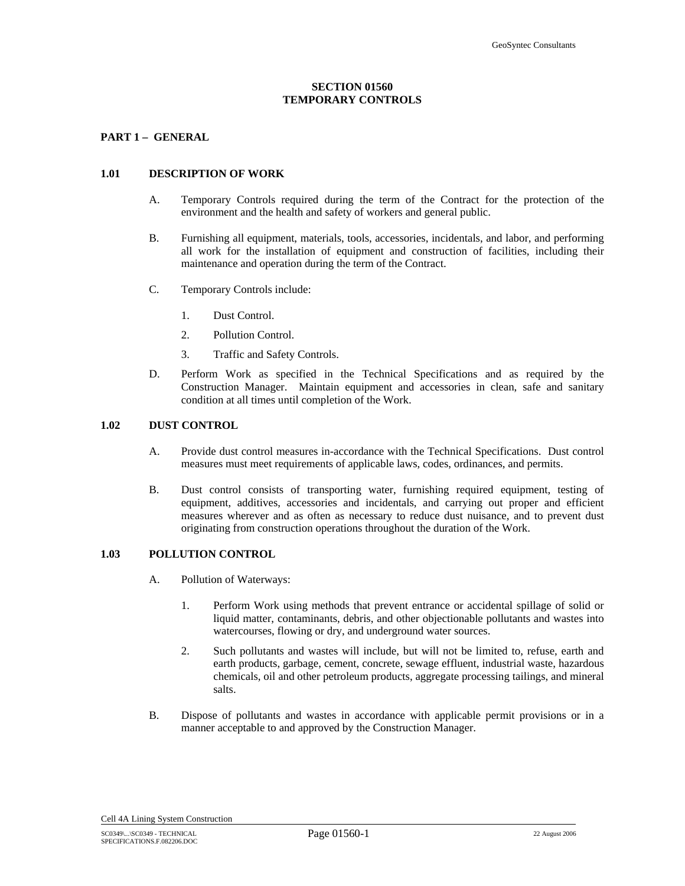# **SECTION 01560 TEMPORARY CONTROLS**

# <span id="page-24-0"></span>**PART 1 – GENERAL**

### **1.01 DESCRIPTION OF WORK**

- A. Temporary Controls required during the term of the Contract for the protection of the environment and the health and safety of workers and general public.
- B. Furnishing all equipment, materials, tools, accessories, incidentals, and labor, and performing all work for the installation of equipment and construction of facilities, including their maintenance and operation during the term of the Contract.
- C. Temporary Controls include:
	- 1. Dust Control.
	- 2. Pollution Control.
	- 3. Traffic and Safety Controls.
- D. Perform Work as specified in the Technical Specifications and as required by the Construction Manager. Maintain equipment and accessories in clean, safe and sanitary condition at all times until completion of the Work.

# **1.02 DUST CONTROL**

- A. Provide dust control measures in-accordance with the Technical Specifications. Dust control measures must meet requirements of applicable laws, codes, ordinances, and permits.
- B. Dust control consists of transporting water, furnishing required equipment, testing of equipment, additives, accessories and incidentals, and carrying out proper and efficient measures wherever and as often as necessary to reduce dust nuisance, and to prevent dust originating from construction operations throughout the duration of the Work.

# **1.03 POLLUTION CONTROL**

- A. Pollution of Waterways:
	- 1. Perform Work using methods that prevent entrance or accidental spillage of solid or liquid matter, contaminants, debris, and other objectionable pollutants and wastes into watercourses, flowing or dry, and underground water sources.
	- 2. Such pollutants and wastes will include, but will not be limited to, refuse, earth and earth products, garbage, cement, concrete, sewage effluent, industrial waste, hazardous chemicals, oil and other petroleum products, aggregate processing tailings, and mineral salts.
- B. Dispose of pollutants and wastes in accordance with applicable permit provisions or in a manner acceptable to and approved by the Construction Manager.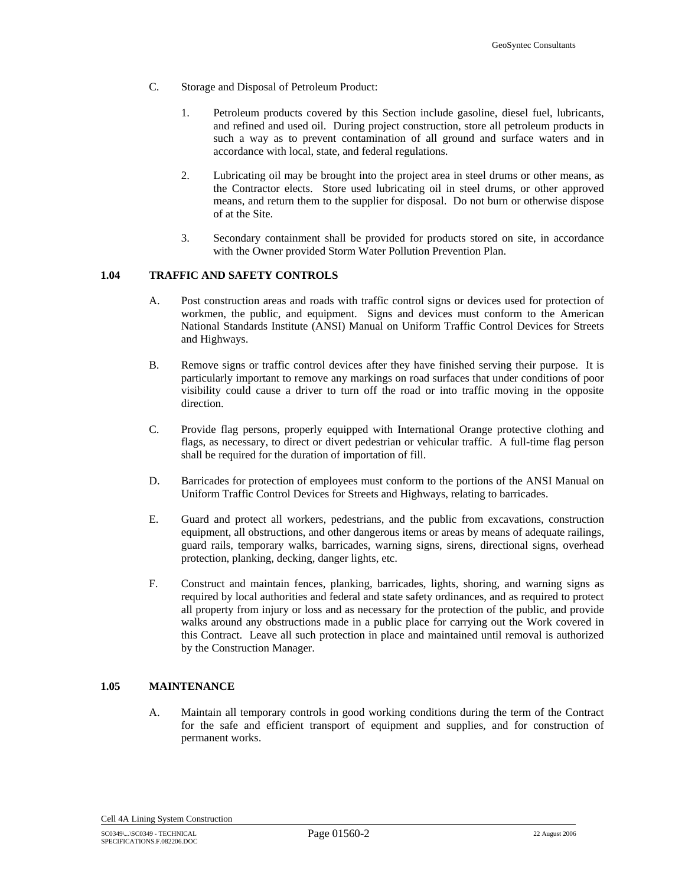- C. Storage and Disposal of Petroleum Product:
	- 1. Petroleum products covered by this Section include gasoline, diesel fuel, lubricants, and refined and used oil. During project construction, store all petroleum products in such a way as to prevent contamination of all ground and surface waters and in accordance with local, state, and federal regulations.
	- 2. Lubricating oil may be brought into the project area in steel drums or other means, as the Contractor elects. Store used lubricating oil in steel drums, or other approved means, and return them to the supplier for disposal. Do not burn or otherwise dispose of at the Site.
	- 3. Secondary containment shall be provided for products stored on site, in accordance with the Owner provided Storm Water Pollution Prevention Plan.

# **1.04 TRAFFIC AND SAFETY CONTROLS**

- A. Post construction areas and roads with traffic control signs or devices used for protection of workmen, the public, and equipment. Signs and devices must conform to the American National Standards Institute (ANSI) Manual on Uniform Traffic Control Devices for Streets and Highways.
- B. Remove signs or traffic control devices after they have finished serving their purpose. It is particularly important to remove any markings on road surfaces that under conditions of poor visibility could cause a driver to turn off the road or into traffic moving in the opposite direction.
- C. Provide flag persons, properly equipped with International Orange protective clothing and flags, as necessary, to direct or divert pedestrian or vehicular traffic. A full-time flag person shall be required for the duration of importation of fill.
- D. Barricades for protection of employees must conform to the portions of the ANSI Manual on Uniform Traffic Control Devices for Streets and Highways, relating to barricades.
- E. Guard and protect all workers, pedestrians, and the public from excavations, construction equipment, all obstructions, and other dangerous items or areas by means of adequate railings, guard rails, temporary walks, barricades, warning signs, sirens, directional signs, overhead protection, planking, decking, danger lights, etc.
- F. Construct and maintain fences, planking, barricades, lights, shoring, and warning signs as required by local authorities and federal and state safety ordinances, and as required to protect all property from injury or loss and as necessary for the protection of the public, and provide walks around any obstructions made in a public place for carrying out the Work covered in this Contract. Leave all such protection in place and maintained until removal is authorized by the Construction Manager.

# **1.05 MAINTENANCE**

A. Maintain all temporary controls in good working conditions during the term of the Contract for the safe and efficient transport of equipment and supplies, and for construction of permanent works.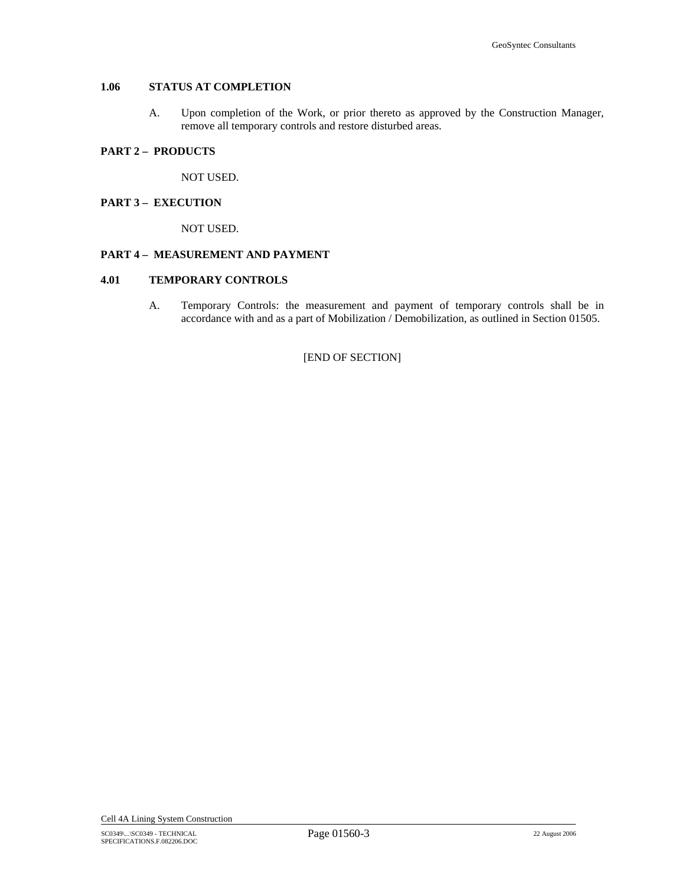# **1.06 STATUS AT COMPLETION**

A. Upon completion of the Work, or prior thereto as approved by the Construction Manager, remove all temporary controls and restore disturbed areas.

### **PART 2 – PRODUCTS**

NOT USED.

# **PART 3 – EXECUTION**

NOT USED.

### **PART 4 – MEASUREMENT AND PAYMENT**

# **4.01 TEMPORARY CONTROLS**

A. Temporary Controls: the measurement and payment of temporary controls shall be in accordance with and as a part of Mobilization / Demobilization, as outlined in Section 01505.

[END OF SECTION]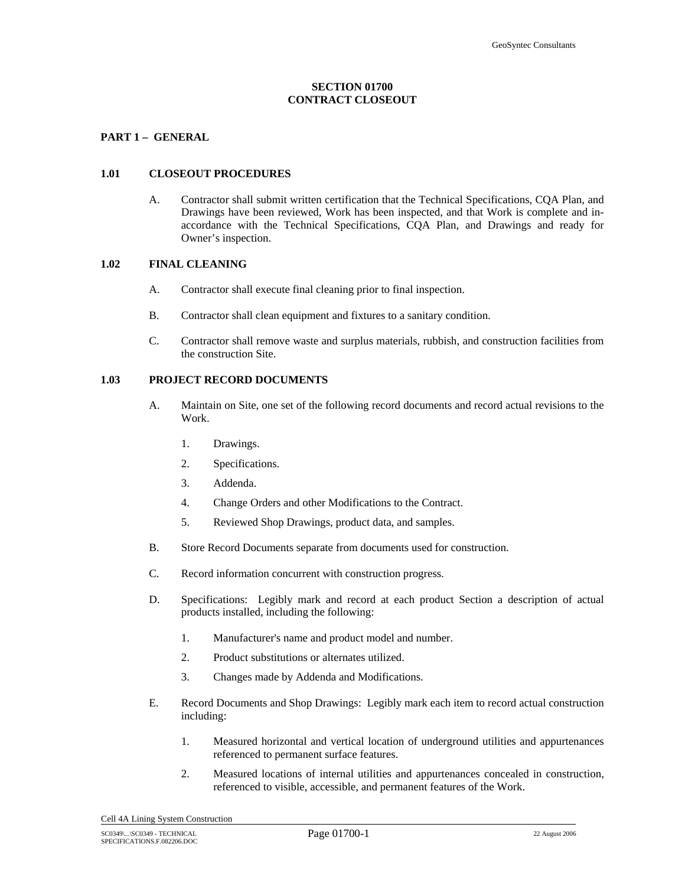# **SECTION 01700 CONTRACT CLOSEOUT**

# <span id="page-27-0"></span>**PART 1 – GENERAL**

### **1.01 CLOSEOUT PROCEDURES**

A. Contractor shall submit written certification that the Technical Specifications, CQA Plan, and Drawings have been reviewed, Work has been inspected, and that Work is complete and inaccordance with the Technical Specifications, CQA Plan, and Drawings and ready for Owner's inspection.

#### **1.02 FINAL CLEANING**

- A. Contractor shall execute final cleaning prior to final inspection.
- B. Contractor shall clean equipment and fixtures to a sanitary condition.
- C. Contractor shall remove waste and surplus materials, rubbish, and construction facilities from the construction Site.

# **1.03 PROJECT RECORD DOCUMENTS**

- A. Maintain on Site, one set of the following record documents and record actual revisions to the Work.
	- 1. Drawings.
	- 2. Specifications.
	- 3. Addenda.
	- 4. Change Orders and other Modifications to the Contract.
	- 5. Reviewed Shop Drawings, product data, and samples.
- B. Store Record Documents separate from documents used for construction.
- C. Record information concurrent with construction progress.
- D. Specifications: Legibly mark and record at each product Section a description of actual products installed, including the following:
	- 1. Manufacturer's name and product model and number.
	- 2. Product substitutions or alternates utilized.
	- 3. Changes made by Addenda and Modifications.
- E. Record Documents and Shop Drawings: Legibly mark each item to record actual construction including:
	- 1. Measured horizontal and vertical location of underground utilities and appurtenances referenced to permanent surface features.
	- 2. Measured locations of internal utilities and appurtenances concealed in construction, referenced to visible, accessible, and permanent features of the Work.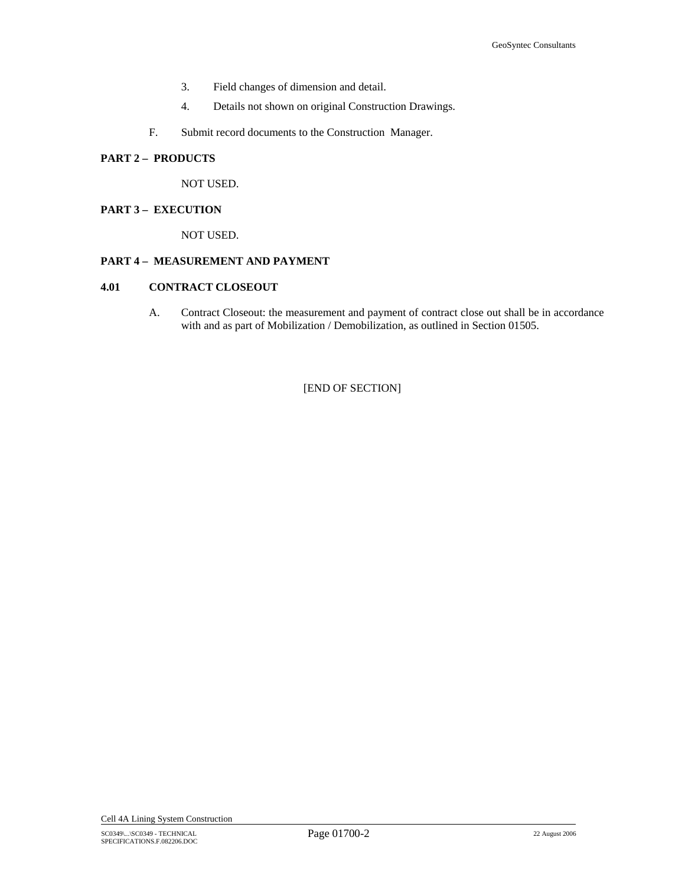- 3. Field changes of dimension and detail.
- 4. Details not shown on original Construction Drawings.
- F. Submit record documents to the Construction Manager.

# **PART 2 – PRODUCTS**

NOT USED.

# **PART 3 – EXECUTION**

NOT USED.

# **PART 4 – MEASUREMENT AND PAYMENT**

### **4.01 CONTRACT CLOSEOUT**

A. Contract Closeout: the measurement and payment of contract close out shall be in accordance with and as part of Mobilization / Demobilization, as outlined in Section 01505.

[END OF SECTION]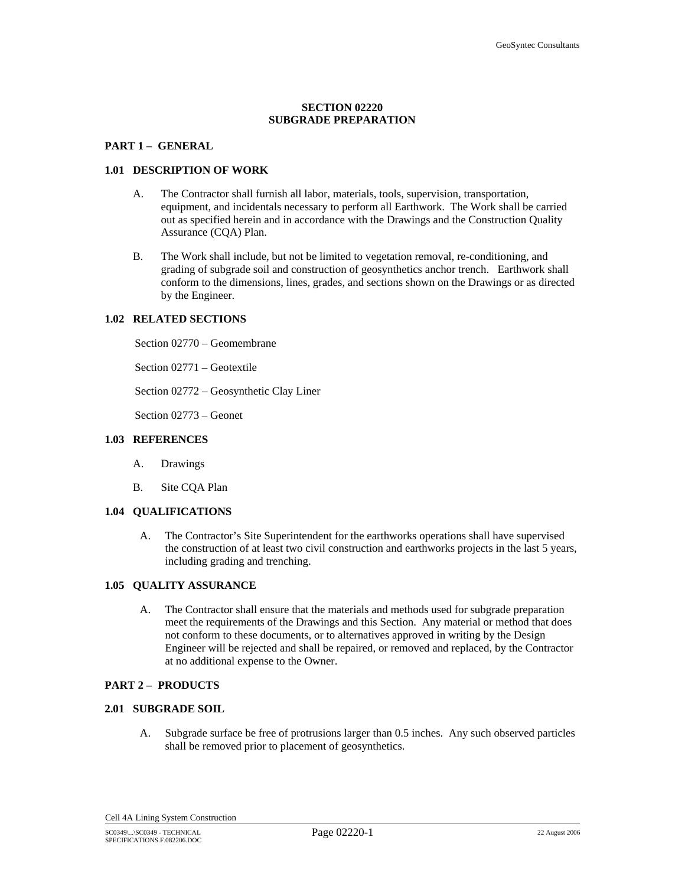# **SECTION 02220 SUBGRADE PREPARATION**

#### <span id="page-29-0"></span>**PART 1 – GENERAL**

#### **1.01 DESCRIPTION OF WORK**

- A. The Contractor shall furnish all labor, materials, tools, supervision, transportation, equipment, and incidentals necessary to perform all Earthwork. The Work shall be carried out as specified herein and in accordance with the Drawings and the Construction Quality Assurance (CQA) Plan.
- B. The Work shall include, but not be limited to vegetation removal, re-conditioning, and grading of subgrade soil and construction of geosynthetics anchor trench. Earthwork shall conform to the dimensions, lines, grades, and sections shown on the Drawings or as directed by the Engineer.

#### **1.02 RELATED SECTIONS**

Section 02770 – Geomembrane

Section 02771 – Geotextile

Section 02772 – Geosynthetic Clay Liner

Section 02773 – Geonet

#### **1.03 REFERENCES**

- A. Drawings
- B. Site CQA Plan

# **1.04 QUALIFICATIONS**

A. The Contractor's Site Superintendent for the earthworks operations shall have supervised the construction of at least two civil construction and earthworks projects in the last 5 years, including grading and trenching.

#### **1.05 QUALITY ASSURANCE**

A. The Contractor shall ensure that the materials and methods used for subgrade preparation meet the requirements of the Drawings and this Section. Any material or method that does not conform to these documents, or to alternatives approved in writing by the Design Engineer will be rejected and shall be repaired, or removed and replaced, by the Contractor at no additional expense to the Owner.

## **PART 2 – PRODUCTS**

#### **2.01 SUBGRADE SOIL**

A. Subgrade surface be free of protrusions larger than 0.5 inches. Any such observed particles shall be removed prior to placement of geosynthetics.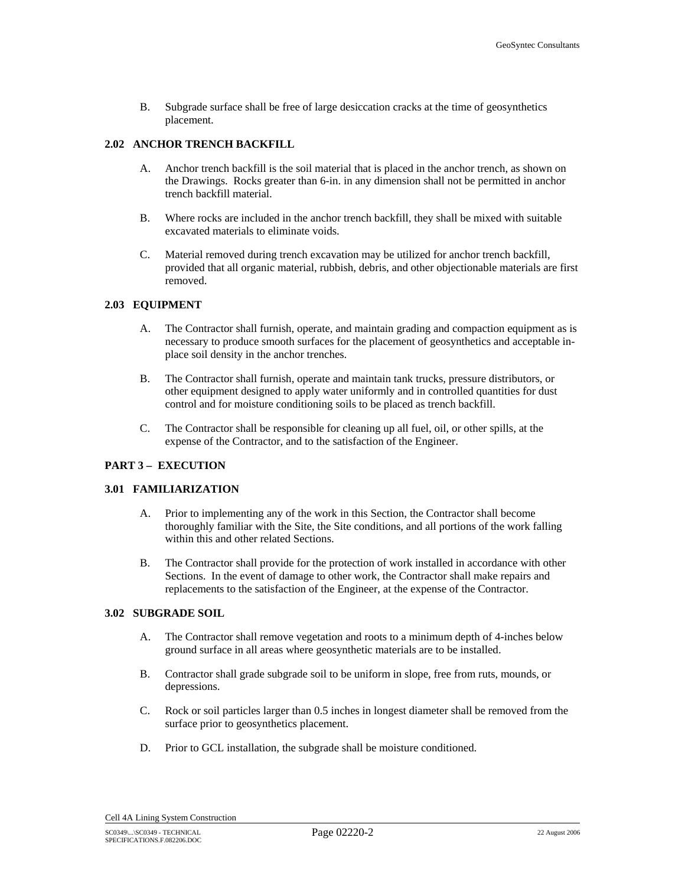B. Subgrade surface shall be free of large desiccation cracks at the time of geosynthetics placement.

# **2.02 ANCHOR TRENCH BACKFILL**

- A. Anchor trench backfill is the soil material that is placed in the anchor trench, as shown on the Drawings. Rocks greater than 6-in. in any dimension shall not be permitted in anchor trench backfill material.
- B. Where rocks are included in the anchor trench backfill, they shall be mixed with suitable excavated materials to eliminate voids.
- C. Material removed during trench excavation may be utilized for anchor trench backfill, provided that all organic material, rubbish, debris, and other objectionable materials are first removed.

# **2.03 EQUIPMENT**

- A. The Contractor shall furnish, operate, and maintain grading and compaction equipment as is necessary to produce smooth surfaces for the placement of geosynthetics and acceptable inplace soil density in the anchor trenches.
- B. The Contractor shall furnish, operate and maintain tank trucks, pressure distributors, or other equipment designed to apply water uniformly and in controlled quantities for dust control and for moisture conditioning soils to be placed as trench backfill.
- C. The Contractor shall be responsible for cleaning up all fuel, oil, or other spills, at the expense of the Contractor, and to the satisfaction of the Engineer.

# **PART 3 – EXECUTION**

#### **3.01 FAMILIARIZATION**

- A. Prior to implementing any of the work in this Section, the Contractor shall become thoroughly familiar with the Site, the Site conditions, and all portions of the work falling within this and other related Sections.
- B. The Contractor shall provide for the protection of work installed in accordance with other Sections. In the event of damage to other work, the Contractor shall make repairs and replacements to the satisfaction of the Engineer, at the expense of the Contractor.

#### **3.02 SUBGRADE SOIL**

- A. The Contractor shall remove vegetation and roots to a minimum depth of 4-inches below ground surface in all areas where geosynthetic materials are to be installed.
- B. Contractor shall grade subgrade soil to be uniform in slope, free from ruts, mounds, or depressions.
- C. Rock or soil particles larger than 0.5 inches in longest diameter shall be removed from the surface prior to geosynthetics placement.
- D. Prior to GCL installation, the subgrade shall be moisture conditioned.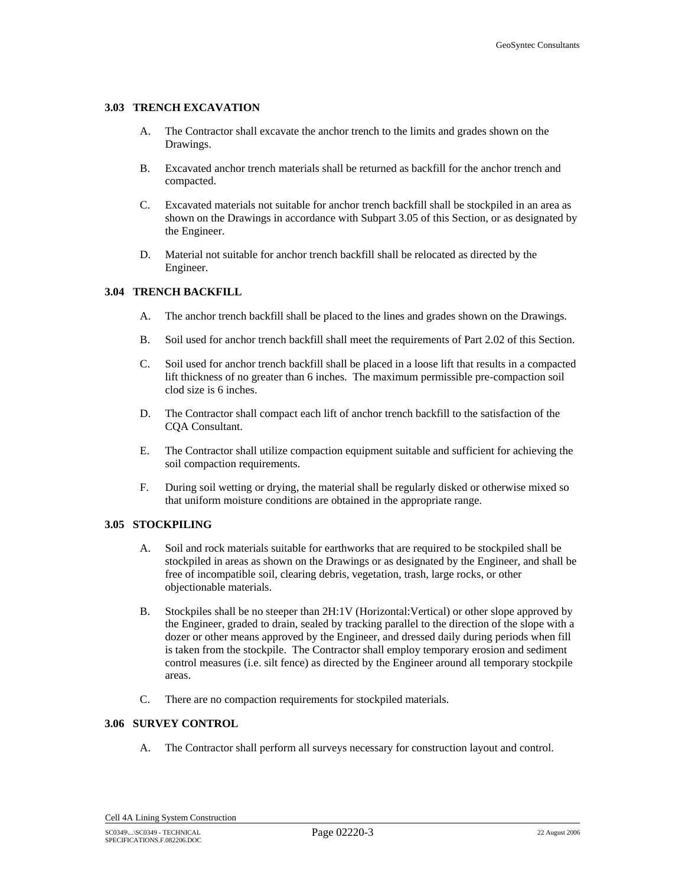#### **3.03 TRENCH EXCAVATION**

- A. The Contractor shall excavate the anchor trench to the limits and grades shown on the Drawings.
- B. Excavated anchor trench materials shall be returned as backfill for the anchor trench and compacted.
- C. Excavated materials not suitable for anchor trench backfill shall be stockpiled in an area as shown on the Drawings in accordance with Subpart 3.05 of this Section, or as designated by the Engineer.
- D. Material not suitable for anchor trench backfill shall be relocated as directed by the Engineer.

#### **3.04 TRENCH BACKFILL**

- A. The anchor trench backfill shall be placed to the lines and grades shown on the Drawings.
- B. Soil used for anchor trench backfill shall meet the requirements of Part 2.02 of this Section.
- C. Soil used for anchor trench backfill shall be placed in a loose lift that results in a compacted lift thickness of no greater than 6 inches. The maximum permissible pre-compaction soil clod size is 6 inches.
- D. The Contractor shall compact each lift of anchor trench backfill to the satisfaction of the CQA Consultant.
- E. The Contractor shall utilize compaction equipment suitable and sufficient for achieving the soil compaction requirements.
- F. During soil wetting or drying, the material shall be regularly disked or otherwise mixed so that uniform moisture conditions are obtained in the appropriate range.

#### **3.05 STOCKPILING**

- A. Soil and rock materials suitable for earthworks that are required to be stockpiled shall be stockpiled in areas as shown on the Drawings or as designated by the Engineer, and shall be free of incompatible soil, clearing debris, vegetation, trash, large rocks, or other objectionable materials.
- B. Stockpiles shall be no steeper than 2H:1V (Horizontal:Vertical) or other slope approved by the Engineer, graded to drain, sealed by tracking parallel to the direction of the slope with a dozer or other means approved by the Engineer, and dressed daily during periods when fill is taken from the stockpile. The Contractor shall employ temporary erosion and sediment control measures (i.e. silt fence) as directed by the Engineer around all temporary stockpile areas.
- C. There are no compaction requirements for stockpiled materials.

#### **3.06 SURVEY CONTROL**

A. The Contractor shall perform all surveys necessary for construction layout and control.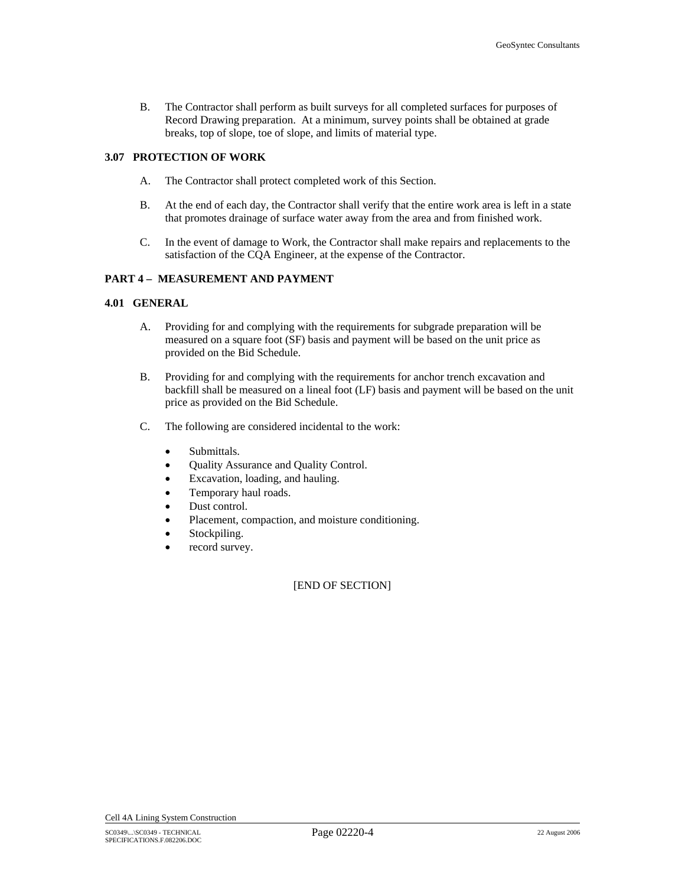<span id="page-32-0"></span>B. The Contractor shall perform as built surveys for all completed surfaces for purposes of Record Drawing preparation. At a minimum, survey points shall be obtained at grade breaks, top of slope, toe of slope, and limits of material type.

### **3.07 PROTECTION OF WORK**

- A. The Contractor shall protect completed work of this Section.
- B. At the end of each day, the Contractor shall verify that the entire work area is left in a state that promotes drainage of surface water away from the area and from finished work.
- C. In the event of damage to Work, the Contractor shall make repairs and replacements to the satisfaction of the CQA Engineer, at the expense of the Contractor.

### **PART 4 – MEASUREMENT AND PAYMENT**

#### **4.01 GENERAL**

- A. Providing for and complying with the requirements for subgrade preparation will be measured on a square foot (SF) basis and payment will be based on the unit price as provided on the Bid Schedule.
- B. Providing for and complying with the requirements for anchor trench excavation and backfill shall be measured on a lineal foot (LF) basis and payment will be based on the unit price as provided on the Bid Schedule.
- C. The following are considered incidental to the work:
	- Submittals.
	- Quality Assurance and Quality Control.
	- Excavation, loading, and hauling.
	- Temporary haul roads.
	- Dust control.
	- Placement, compaction, and moisture conditioning.
	- Stockpiling.
	- record survey.

#### [END OF SECTION]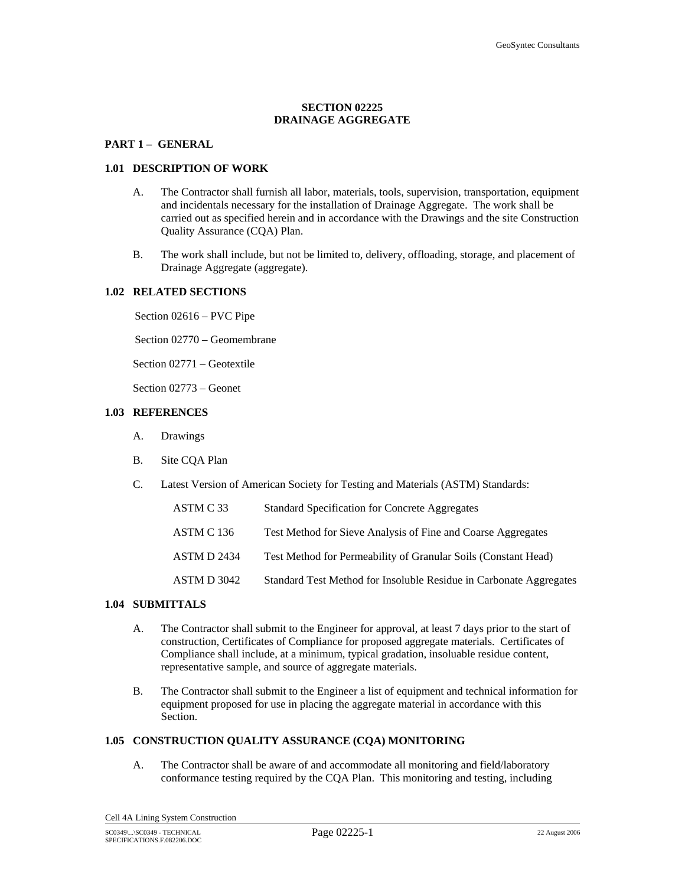# **SECTION 02225 DRAINAGE AGGREGATE**

# **PART 1 – GENERAL**

#### **1.01 DESCRIPTION OF WORK**

- A. The Contractor shall furnish all labor, materials, tools, supervision, transportation, equipment and incidentals necessary for the installation of Drainage Aggregate. The work shall be carried out as specified herein and in accordance with the Drawings and the site Construction Quality Assurance (CQA) Plan.
- B. The work shall include, but not be limited to, delivery, offloading, storage, and placement of Drainage Aggregate (aggregate).

#### **1.02 RELATED SECTIONS**

Section 02616 – PVC Pipe

Section 02770 – Geomembrane

Section 02771 – Geotextile

Section 02773 – Geonet

# **1.03 REFERENCES**

- A. Drawings
- B. Site CQA Plan
- C. Latest Version of American Society for Testing and Materials (ASTM) Standards:

| ASTM C 33   | <b>Standard Specification for Concrete Aggregates</b>              |
|-------------|--------------------------------------------------------------------|
| ASTM C 136  | Test Method for Sieve Analysis of Fine and Coarse Aggregates       |
| ASTM D 2434 | Test Method for Permeability of Granular Soils (Constant Head)     |
| ASTM D 3042 | Standard Test Method for Insoluble Residue in Carbonate Aggregates |

# **1.04 SUBMITTALS**

- A. The Contractor shall submit to the Engineer for approval, at least 7 days prior to the start of construction, Certificates of Compliance for proposed aggregate materials. Certificates of Compliance shall include, at a minimum, typical gradation, insoluable residue content, representative sample, and source of aggregate materials.
- B. The Contractor shall submit to the Engineer a list of equipment and technical information for equipment proposed for use in placing the aggregate material in accordance with this Section.

## **1.05 CONSTRUCTION QUALITY ASSURANCE (CQA) MONITORING**

A. The Contractor shall be aware of and accommodate all monitoring and field/laboratory conformance testing required by the CQA Plan. This monitoring and testing, including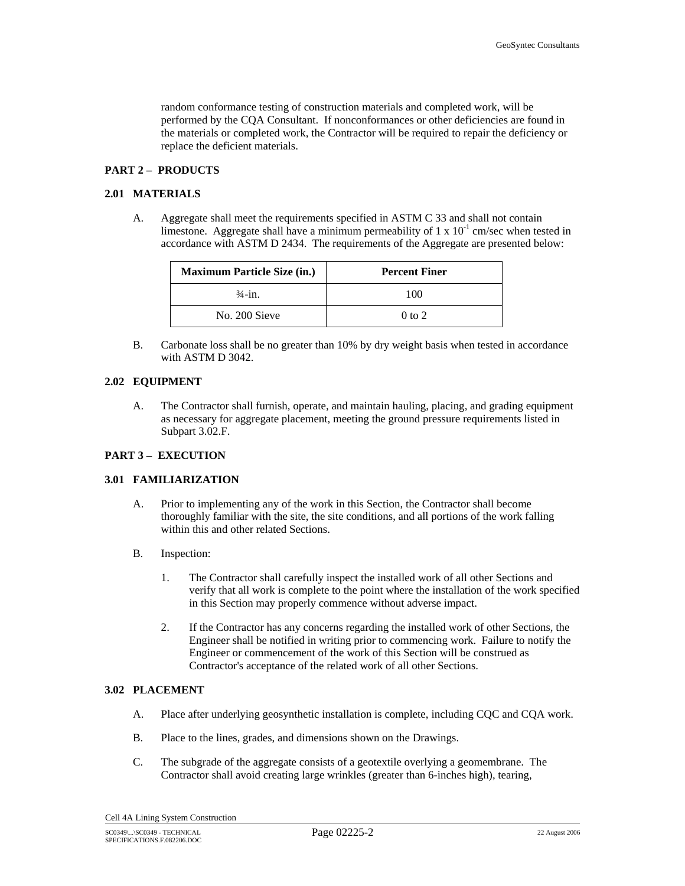random conformance testing of construction materials and completed work, will be performed by the CQA Consultant. If nonconformances or other deficiencies are found in the materials or completed work, the Contractor will be required to repair the deficiency or replace the deficient materials.

# **PART 2 – PRODUCTS**

### **2.01 MATERIALS**

A. Aggregate shall meet the requirements specified in ASTM C 33 and shall not contain limestone. Aggregate shall have a minimum permeability of 1 x  $10^{-1}$  cm/sec when tested in accordance with ASTM D 2434. The requirements of the Aggregate are presented below:

| <b>Maximum Particle Size (in.)</b> | <b>Percent Finer</b> |
|------------------------------------|----------------------|
| $\frac{3}{4}$ -in.                 | 100                  |
| No. 200 Sieve                      | $0$ to $2$           |

B. Carbonate loss shall be no greater than 10% by dry weight basis when tested in accordance with ASTM D 3042.

#### **2.02 EQUIPMENT**

A. The Contractor shall furnish, operate, and maintain hauling, placing, and grading equipment as necessary for aggregate placement, meeting the ground pressure requirements listed in Subpart 3.02.F.

# **PART 3 – EXECUTION**

#### **3.01 FAMILIARIZATION**

- A. Prior to implementing any of the work in this Section, the Contractor shall become thoroughly familiar with the site, the site conditions, and all portions of the work falling within this and other related Sections.
- B. Inspection:
	- 1. The Contractor shall carefully inspect the installed work of all other Sections and verify that all work is complete to the point where the installation of the work specified in this Section may properly commence without adverse impact.
	- 2. If the Contractor has any concerns regarding the installed work of other Sections, the Engineer shall be notified in writing prior to commencing work. Failure to notify the Engineer or commencement of the work of this Section will be construed as Contractor's acceptance of the related work of all other Sections.

# **3.02 PLACEMENT**

- A. Place after underlying geosynthetic installation is complete, including CQC and CQA work.
- B. Place to the lines, grades, and dimensions shown on the Drawings.
- C. The subgrade of the aggregate consists of a geotextile overlying a geomembrane. The Contractor shall avoid creating large wrinkles (greater than 6-inches high), tearing,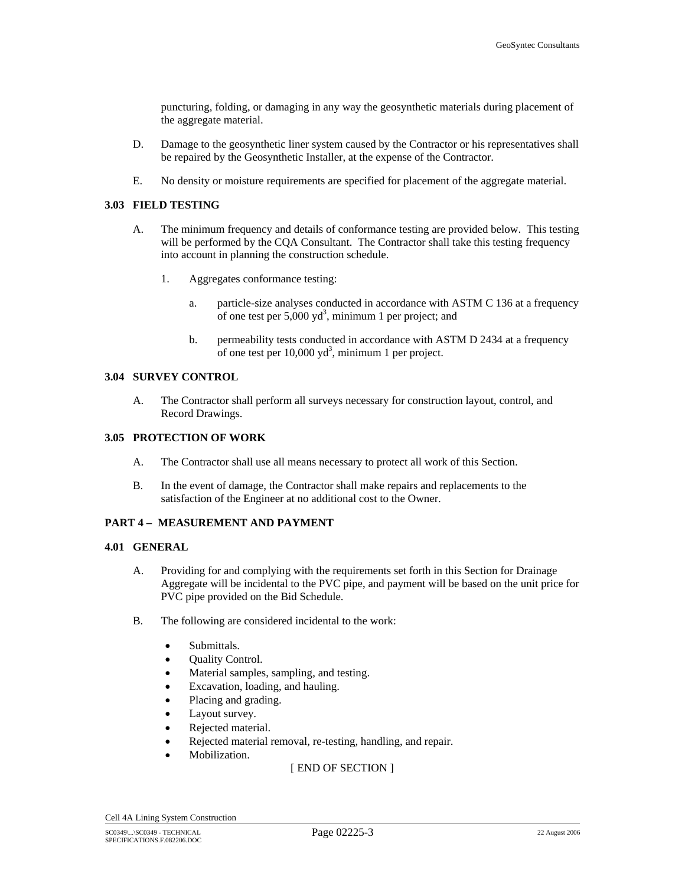puncturing, folding, or damaging in any way the geosynthetic materials during placement of the aggregate material.

- D. Damage to the geosynthetic liner system caused by the Contractor or his representatives shall be repaired by the Geosynthetic Installer, at the expense of the Contractor.
- E. No density or moisture requirements are specified for placement of the aggregate material.

### **3.03 FIELD TESTING**

- A. The minimum frequency and details of conformance testing are provided below. This testing will be performed by the CQA Consultant. The Contractor shall take this testing frequency into account in planning the construction schedule.
	- 1. Aggregates conformance testing:
		- a. particle-size analyses conducted in accordance with ASTM C 136 at a frequency of one test per  $5,000 \text{ yd}^3$ , minimum 1 per project; and
		- b. permeability tests conducted in accordance with ASTM D 2434 at a frequency of one test per  $10,000$  yd<sup>3</sup>, minimum 1 per project.

#### **3.04 SURVEY CONTROL**

A. The Contractor shall perform all surveys necessary for construction layout, control, and Record Drawings.

## **3.05 PROTECTION OF WORK**

- A. The Contractor shall use all means necessary to protect all work of this Section.
- B. In the event of damage, the Contractor shall make repairs and replacements to the satisfaction of the Engineer at no additional cost to the Owner.

# **PART 4 – MEASUREMENT AND PAYMENT**

#### **4.01 GENERAL**

- A. Providing for and complying with the requirements set forth in this Section for Drainage Aggregate will be incidental to the PVC pipe, and payment will be based on the unit price for PVC pipe provided on the Bid Schedule.
- B. The following are considered incidental to the work:
	- Submittals.
	- Quality Control.
	- Material samples, sampling, and testing.
	- Excavation, loading, and hauling.
	- Placing and grading.
	- Layout survey.
	- Rejected material.
	- Rejected material removal, re-testing, handling, and repair.
	- Mobilization.

[ END OF SECTION ]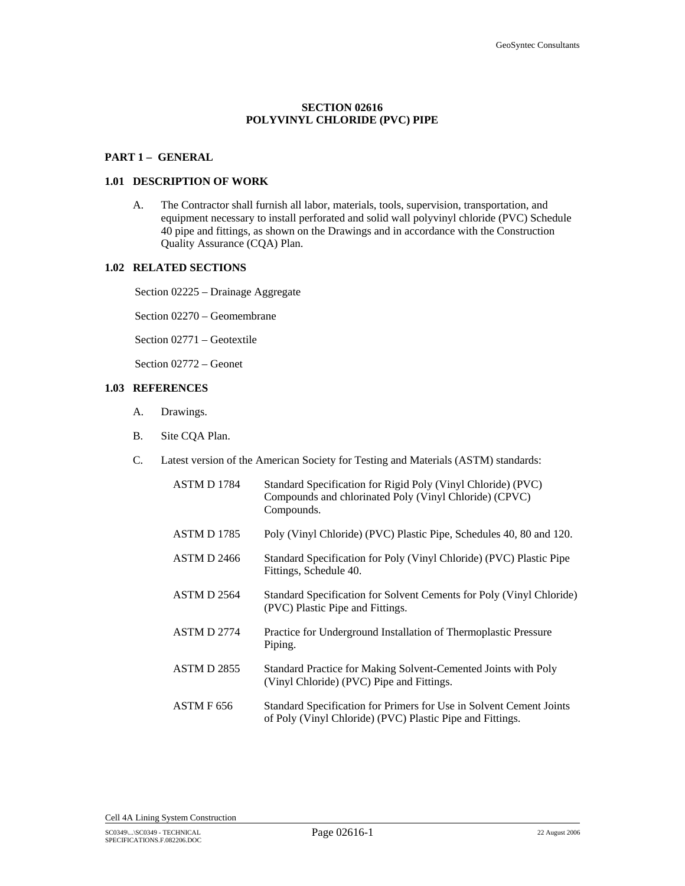# **SECTION 02616 POLYVINYL CHLORIDE (PVC) PIPE**

### **PART 1 – GENERAL**

### **1.01 DESCRIPTION OF WORK**

A. The Contractor shall furnish all labor, materials, tools, supervision, transportation, and equipment necessary to install perforated and solid wall polyvinyl chloride (PVC) Schedule 40 pipe and fittings, as shown on the Drawings and in accordance with the Construction Quality Assurance (CQA) Plan.

# **1.02 RELATED SECTIONS**

Section 02225 – Drainage Aggregate

Section 02270 – Geomembrane

Section 02771 – Geotextile

Section 02772 – Geonet

# **1.03 REFERENCES**

- A. Drawings.
- B. Site CQA Plan.
- C. Latest version of the American Society for Testing and Materials (ASTM) standards:

| ASTM D 1784        | Standard Specification for Rigid Poly (Vinyl Chloride) (PVC)<br>Compounds and chlorinated Poly (Vinyl Chloride) (CPVC)<br>Compounds. |
|--------------------|--------------------------------------------------------------------------------------------------------------------------------------|
| <b>ASTM D 1785</b> | Poly (Vinyl Chloride) (PVC) Plastic Pipe, Schedules 40, 80 and 120.                                                                  |
| <b>ASTM D 2466</b> | Standard Specification for Poly (Vinyl Chloride) (PVC) Plastic Pipe<br>Fittings, Schedule 40.                                        |
| ASTM D 2564        | Standard Specification for Solvent Cements for Poly (Vinyl Chloride)<br>(PVC) Plastic Pipe and Fittings.                             |
| <b>ASTM D 2774</b> | Practice for Underground Installation of Thermoplastic Pressure<br>Piping.                                                           |
| <b>ASTM D 2855</b> | Standard Practice for Making Solvent-Cemented Joints with Poly<br>(Vinyl Chloride) (PVC) Pipe and Fittings.                          |
| ASTM F 656         | Standard Specification for Primers for Use in Solvent Cement Joints<br>of Poly (Vinyl Chloride) (PVC) Plastic Pipe and Fittings.     |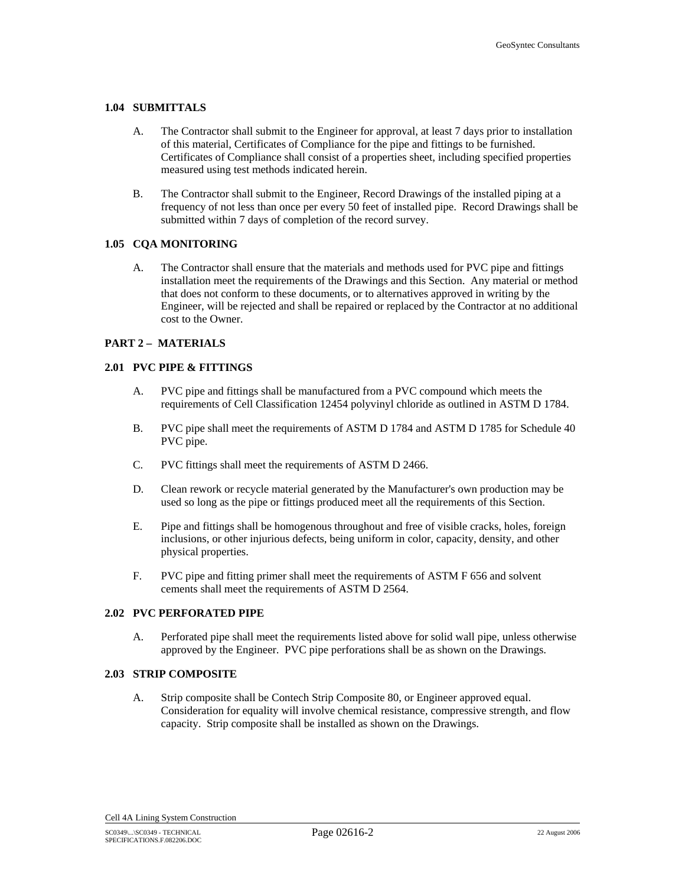### **1.04 SUBMITTALS**

- A. The Contractor shall submit to the Engineer for approval, at least 7 days prior to installation of this material, Certificates of Compliance for the pipe and fittings to be furnished. Certificates of Compliance shall consist of a properties sheet, including specified properties measured using test methods indicated herein.
- B. The Contractor shall submit to the Engineer, Record Drawings of the installed piping at a frequency of not less than once per every 50 feet of installed pipe. Record Drawings shall be submitted within 7 days of completion of the record survey.

## **1.05 CQA MONITORING**

A. The Contractor shall ensure that the materials and methods used for PVC pipe and fittings installation meet the requirements of the Drawings and this Section. Any material or method that does not conform to these documents, or to alternatives approved in writing by the Engineer, will be rejected and shall be repaired or replaced by the Contractor at no additional cost to the Owner.

## **PART 2 – MATERIALS**

### **2.01 PVC PIPE & FITTINGS**

- A. PVC pipe and fittings shall be manufactured from a PVC compound which meets the requirements of Cell Classification 12454 polyvinyl chloride as outlined in ASTM D 1784.
- B. PVC pipe shall meet the requirements of ASTM D 1784 and ASTM D 1785 for Schedule 40 PVC pipe.
- C. PVC fittings shall meet the requirements of ASTM D 2466.
- D. Clean rework or recycle material generated by the Manufacturer's own production may be used so long as the pipe or fittings produced meet all the requirements of this Section.
- E. Pipe and fittings shall be homogenous throughout and free of visible cracks, holes, foreign inclusions, or other injurious defects, being uniform in color, capacity, density, and other physical properties.
- F. PVC pipe and fitting primer shall meet the requirements of ASTM F 656 and solvent cements shall meet the requirements of ASTM D 2564.

# **2.02 PVC PERFORATED PIPE**

A. Perforated pipe shall meet the requirements listed above for solid wall pipe, unless otherwise approved by the Engineer. PVC pipe perforations shall be as shown on the Drawings.

#### **2.03 STRIP COMPOSITE**

A. Strip composite shall be Contech Strip Composite 80, or Engineer approved equal. Consideration for equality will involve chemical resistance, compressive strength, and flow capacity. Strip composite shall be installed as shown on the Drawings.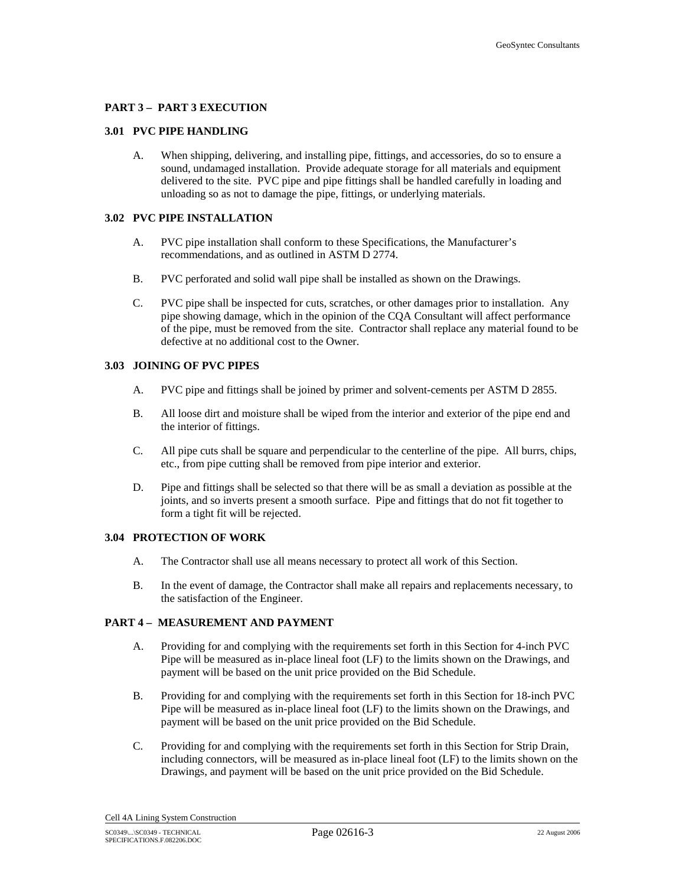## **PART 3 – PART 3 EXECUTION**

### **3.01 PVC PIPE HANDLING**

A. When shipping, delivering, and installing pipe, fittings, and accessories, do so to ensure a sound, undamaged installation. Provide adequate storage for all materials and equipment delivered to the site. PVC pipe and pipe fittings shall be handled carefully in loading and unloading so as not to damage the pipe, fittings, or underlying materials.

### **3.02 PVC PIPE INSTALLATION**

- A. PVC pipe installation shall conform to these Specifications, the Manufacturer's recommendations, and as outlined in ASTM D 2774.
- B. PVC perforated and solid wall pipe shall be installed as shown on the Drawings.
- C. PVC pipe shall be inspected for cuts, scratches, or other damages prior to installation. Any pipe showing damage, which in the opinion of the CQA Consultant will affect performance of the pipe, must be removed from the site. Contractor shall replace any material found to be defective at no additional cost to the Owner.

# **3.03 JOINING OF PVC PIPES**

- A. PVC pipe and fittings shall be joined by primer and solvent-cements per ASTM D 2855.
- B. All loose dirt and moisture shall be wiped from the interior and exterior of the pipe end and the interior of fittings.
- C. All pipe cuts shall be square and perpendicular to the centerline of the pipe. All burrs, chips, etc., from pipe cutting shall be removed from pipe interior and exterior.
- D. Pipe and fittings shall be selected so that there will be as small a deviation as possible at the joints, and so inverts present a smooth surface. Pipe and fittings that do not fit together to form a tight fit will be rejected.

### **3.04 PROTECTION OF WORK**

- A. The Contractor shall use all means necessary to protect all work of this Section.
- B. In the event of damage, the Contractor shall make all repairs and replacements necessary, to the satisfaction of the Engineer.

# **PART 4 – MEASUREMENT AND PAYMENT**

- A. Providing for and complying with the requirements set forth in this Section for 4-inch PVC Pipe will be measured as in-place lineal foot (LF) to the limits shown on the Drawings, and payment will be based on the unit price provided on the Bid Schedule.
- B. Providing for and complying with the requirements set forth in this Section for 18-inch PVC Pipe will be measured as in-place lineal foot (LF) to the limits shown on the Drawings, and payment will be based on the unit price provided on the Bid Schedule.
- C. Providing for and complying with the requirements set forth in this Section for Strip Drain, including connectors, will be measured as in-place lineal foot (LF) to the limits shown on the Drawings, and payment will be based on the unit price provided on the Bid Schedule.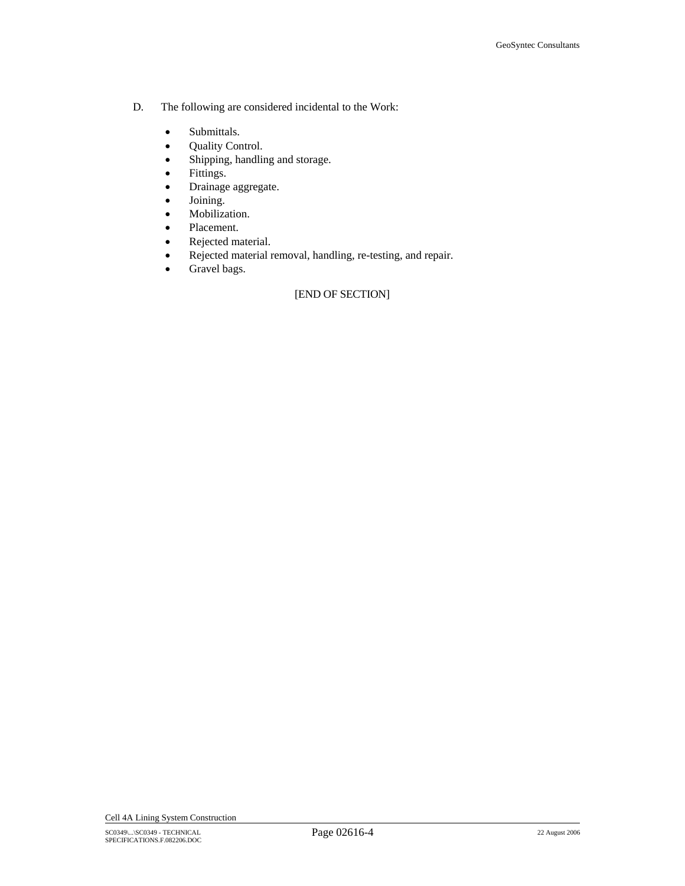- D. The following are considered incidental to the Work:
	- Submittals.
	- Quality Control.
	- Shipping, handling and storage.
	- Fittings.
	- Drainage aggregate.
	- Joining.
	- Mobilization.
	- Placement.
	- Rejected material.
	- Rejected material removal, handling, re-testing, and repair.
	- Gravel bags.

# [END OF SECTION]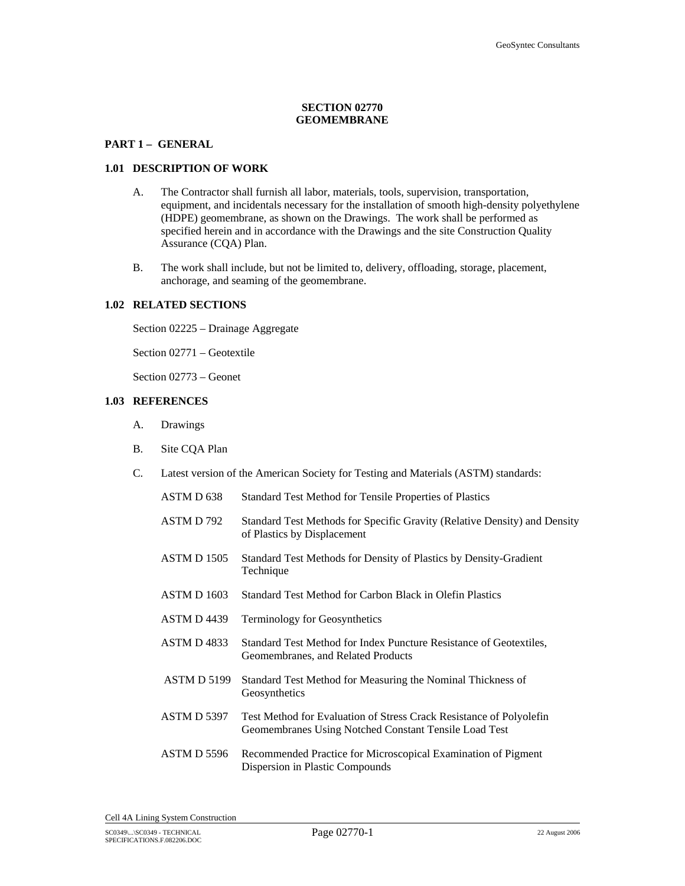# **SECTION 02770 GEOMEMBRANE**

# **PART 1 – GENERAL**

#### **1.01 DESCRIPTION OF WORK**

- A. The Contractor shall furnish all labor, materials, tools, supervision, transportation, equipment, and incidentals necessary for the installation of smooth high-density polyethylene (HDPE) geomembrane, as shown on the Drawings. The work shall be performed as specified herein and in accordance with the Drawings and the site Construction Quality Assurance (CQA) Plan.
- B. The work shall include, but not be limited to, delivery, offloading, storage, placement, anchorage, and seaming of the geomembrane.

#### **1.02 RELATED SECTIONS**

Section 02225 – Drainage Aggregate

Section 02771 – Geotextile

Section 02773 – Geonet

# **1.03 REFERENCES**

- A. Drawings
- B. Site CQA Plan
- C. Latest version of the American Society for Testing and Materials (ASTM) standards:

| ASTM D <sub>638</sub> | Standard Test Method for Tensile Properties of Plastics                                                                      |
|-----------------------|------------------------------------------------------------------------------------------------------------------------------|
| ASTM D 792            | Standard Test Methods for Specific Gravity (Relative Density) and Density<br>of Plastics by Displacement                     |
| ASTM D 1505           | Standard Test Methods for Density of Plastics by Density-Gradient<br>Technique                                               |
| <b>ASTM D 1603</b>    | Standard Test Method for Carbon Black in Olefin Plastics                                                                     |
| ASTM D4439            | Terminology for Geosynthetics                                                                                                |
| <b>ASTM D 4833</b>    | Standard Test Method for Index Puncture Resistance of Geotextiles,<br>Geomembranes, and Related Products                     |
| ASTM D 5199           | Standard Test Method for Measuring the Nominal Thickness of<br>Geosynthetics                                                 |
| ASTM D 5397           | Test Method for Evaluation of Stress Crack Resistance of Polyolefin<br>Geomembranes Using Notched Constant Tensile Load Test |
| ASTM D 5596           | Recommended Practice for Microscopical Examination of Pigment<br>Dispersion in Plastic Compounds                             |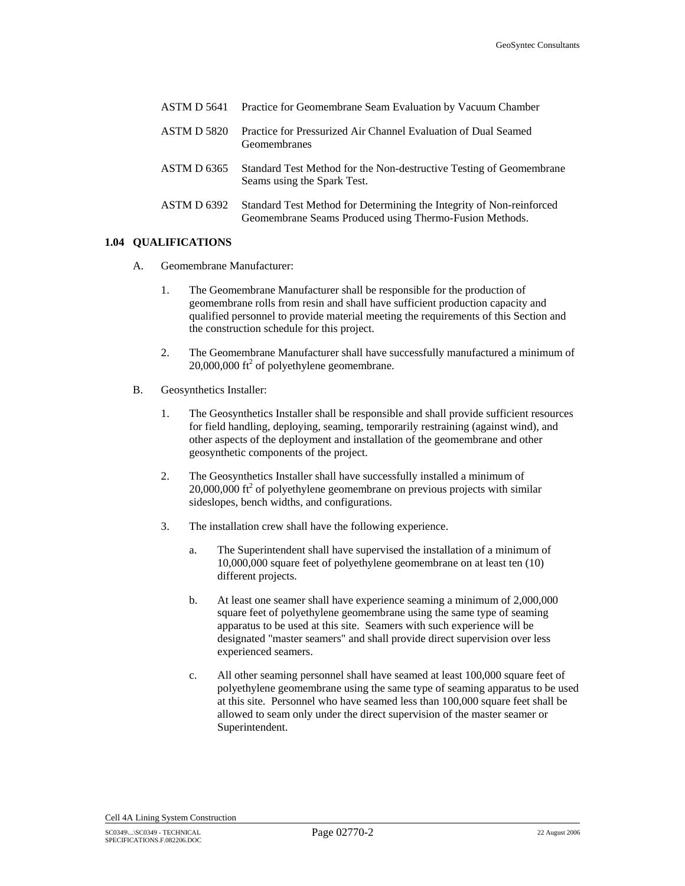|                    | <b>ASTM D 5641</b> Practice for Geomembrane Seam Evaluation by Vacuum Chamber                                                   |
|--------------------|---------------------------------------------------------------------------------------------------------------------------------|
| <b>ASTM D 5820</b> | Practice for Pressurized Air Channel Evaluation of Dual Seamed<br>Geomembranes                                                  |
| ASTM D 6365        | Standard Test Method for the Non-destructive Testing of Geomembrane<br>Seams using the Spark Test.                              |
| ASTM D 6392        | Standard Test Method for Determining the Integrity of Non-reinforced<br>Geomembrane Seams Produced using Thermo-Fusion Methods. |

## **1.04 QUALIFICATIONS**

- A. Geomembrane Manufacturer:
	- 1. The Geomembrane Manufacturer shall be responsible for the production of geomembrane rolls from resin and shall have sufficient production capacity and qualified personnel to provide material meeting the requirements of this Section and the construction schedule for this project.
	- 2. The Geomembrane Manufacturer shall have successfully manufactured a minimum of  $20,000,000$  ft<sup>2</sup> of polyethylene geomembrane.
- B. Geosynthetics Installer:
	- 1. The Geosynthetics Installer shall be responsible and shall provide sufficient resources for field handling, deploying, seaming, temporarily restraining (against wind), and other aspects of the deployment and installation of the geomembrane and other geosynthetic components of the project.
	- 2. The Geosynthetics Installer shall have successfully installed a minimum of  $20,000,000$  ft<sup>2</sup> of polyethylene geomembrane on previous projects with similar sideslopes, bench widths, and configurations.
	- 3. The installation crew shall have the following experience.
		- a. The Superintendent shall have supervised the installation of a minimum of 10,000,000 square feet of polyethylene geomembrane on at least ten (10) different projects.
		- b. At least one seamer shall have experience seaming a minimum of 2,000,000 square feet of polyethylene geomembrane using the same type of seaming apparatus to be used at this site. Seamers with such experience will be designated "master seamers" and shall provide direct supervision over less experienced seamers.
		- c. All other seaming personnel shall have seamed at least 100,000 square feet of polyethylene geomembrane using the same type of seaming apparatus to be used at this site. Personnel who have seamed less than 100,000 square feet shall be allowed to seam only under the direct supervision of the master seamer or Superintendent.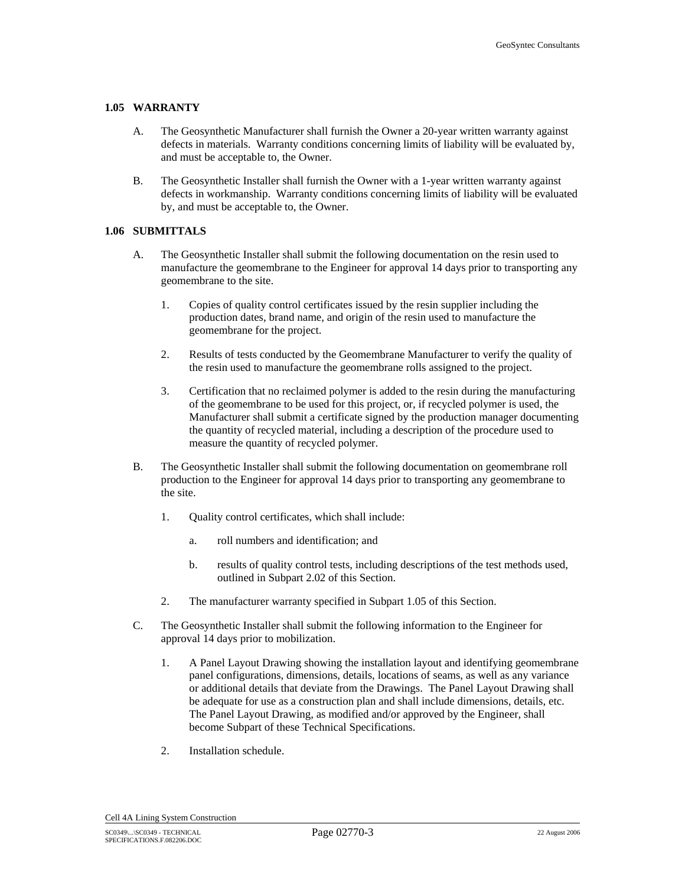### **1.05 WARRANTY**

- A. The Geosynthetic Manufacturer shall furnish the Owner a 20-year written warranty against defects in materials. Warranty conditions concerning limits of liability will be evaluated by, and must be acceptable to, the Owner.
- B. The Geosynthetic Installer shall furnish the Owner with a 1-year written warranty against defects in workmanship. Warranty conditions concerning limits of liability will be evaluated by, and must be acceptable to, the Owner.

#### **1.06 SUBMITTALS**

- A. The Geosynthetic Installer shall submit the following documentation on the resin used to manufacture the geomembrane to the Engineer for approval 14 days prior to transporting any geomembrane to the site.
	- 1. Copies of quality control certificates issued by the resin supplier including the production dates, brand name, and origin of the resin used to manufacture the geomembrane for the project.
	- 2. Results of tests conducted by the Geomembrane Manufacturer to verify the quality of the resin used to manufacture the geomembrane rolls assigned to the project.
	- 3. Certification that no reclaimed polymer is added to the resin during the manufacturing of the geomembrane to be used for this project, or, if recycled polymer is used, the Manufacturer shall submit a certificate signed by the production manager documenting the quantity of recycled material, including a description of the procedure used to measure the quantity of recycled polymer.
- B. The Geosynthetic Installer shall submit the following documentation on geomembrane roll production to the Engineer for approval 14 days prior to transporting any geomembrane to the site.
	- 1. Quality control certificates, which shall include:
		- a. roll numbers and identification; and
		- b. results of quality control tests, including descriptions of the test methods used, outlined in Subpart 2.02 of this Section.
	- 2. The manufacturer warranty specified in Subpart 1.05 of this Section.
- C. The Geosynthetic Installer shall submit the following information to the Engineer for approval 14 days prior to mobilization.
	- 1. A Panel Layout Drawing showing the installation layout and identifying geomembrane panel configurations, dimensions, details, locations of seams, as well as any variance or additional details that deviate from the Drawings. The Panel Layout Drawing shall be adequate for use as a construction plan and shall include dimensions, details, etc. The Panel Layout Drawing, as modified and/or approved by the Engineer, shall become Subpart of these Technical Specifications.
	- 2. Installation schedule.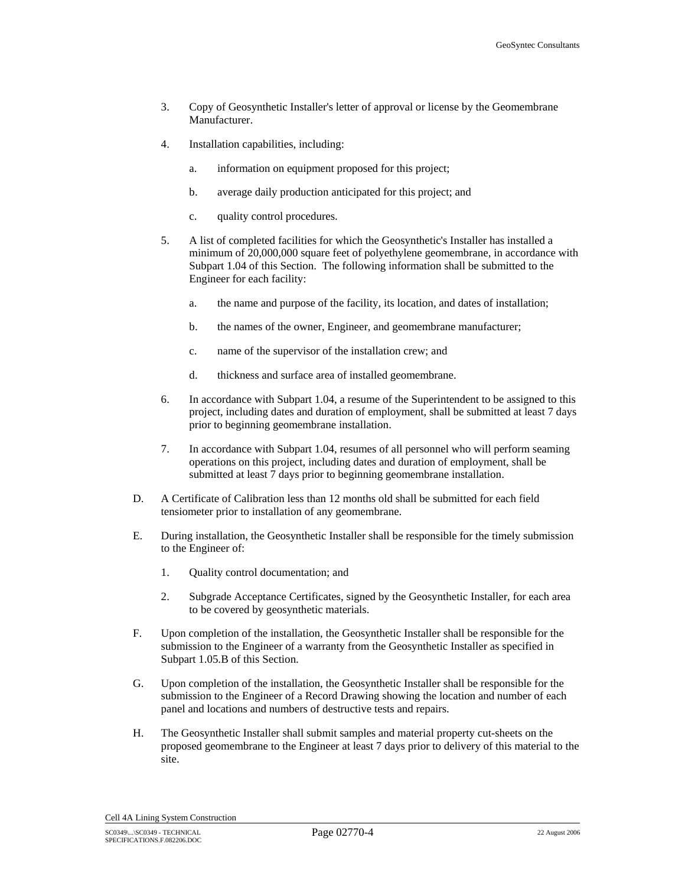- 3. Copy of Geosynthetic Installer's letter of approval or license by the Geomembrane Manufacturer.
- 4. Installation capabilities, including:
	- a. information on equipment proposed for this project;
	- b. average daily production anticipated for this project; and
	- c. quality control procedures.
- 5. A list of completed facilities for which the Geosynthetic's Installer has installed a minimum of 20,000,000 square feet of polyethylene geomembrane, in accordance with Subpart 1.04 of this Section. The following information shall be submitted to the Engineer for each facility:
	- a. the name and purpose of the facility, its location, and dates of installation;
	- b. the names of the owner, Engineer, and geomembrane manufacturer;
	- c. name of the supervisor of the installation crew; and
	- d. thickness and surface area of installed geomembrane.
- 6. In accordance with Subpart 1.04, a resume of the Superintendent to be assigned to this project, including dates and duration of employment, shall be submitted at least 7 days prior to beginning geomembrane installation.
- 7. In accordance with Subpart 1.04, resumes of all personnel who will perform seaming operations on this project, including dates and duration of employment, shall be submitted at least 7 days prior to beginning geomembrane installation.
- D. A Certificate of Calibration less than 12 months old shall be submitted for each field tensiometer prior to installation of any geomembrane.
- E. During installation, the Geosynthetic Installer shall be responsible for the timely submission to the Engineer of:
	- 1. Quality control documentation; and
	- 2. Subgrade Acceptance Certificates, signed by the Geosynthetic Installer, for each area to be covered by geosynthetic materials.
- F. Upon completion of the installation, the Geosynthetic Installer shall be responsible for the submission to the Engineer of a warranty from the Geosynthetic Installer as specified in Subpart 1.05.B of this Section.
- G. Upon completion of the installation, the Geosynthetic Installer shall be responsible for the submission to the Engineer of a Record Drawing showing the location and number of each panel and locations and numbers of destructive tests and repairs.
- H. The Geosynthetic Installer shall submit samples and material property cut-sheets on the proposed geomembrane to the Engineer at least 7 days prior to delivery of this material to the site.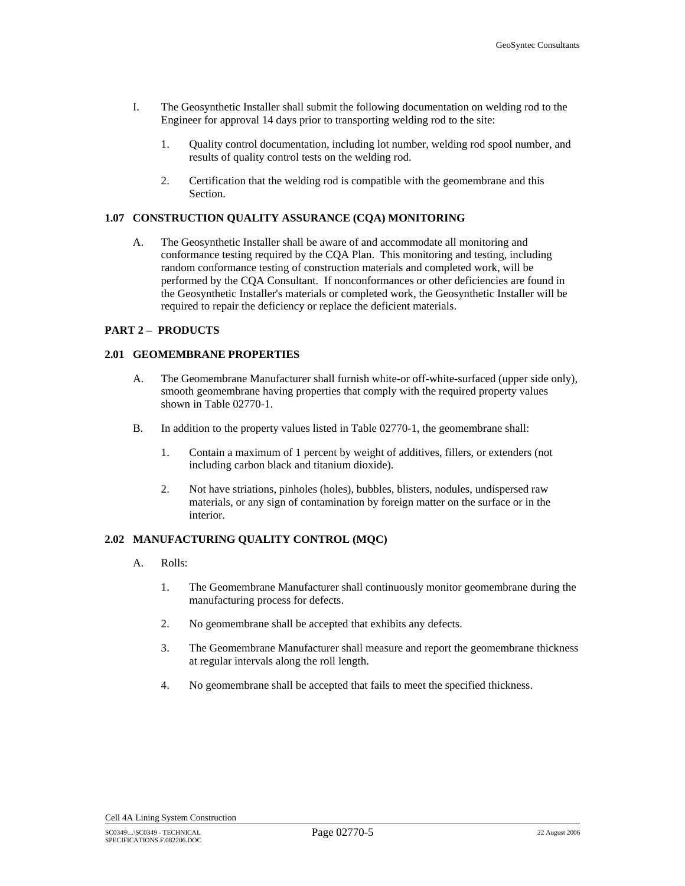- I. The Geosynthetic Installer shall submit the following documentation on welding rod to the Engineer for approval 14 days prior to transporting welding rod to the site:
	- 1. Quality control documentation, including lot number, welding rod spool number, and results of quality control tests on the welding rod.
	- 2. Certification that the welding rod is compatible with the geomembrane and this Section.

# **1.07 CONSTRUCTION QUALITY ASSURANCE (CQA) MONITORING**

A. The Geosynthetic Installer shall be aware of and accommodate all monitoring and conformance testing required by the CQA Plan. This monitoring and testing, including random conformance testing of construction materials and completed work, will be performed by the CQA Consultant. If nonconformances or other deficiencies are found in the Geosynthetic Installer's materials or completed work, the Geosynthetic Installer will be required to repair the deficiency or replace the deficient materials.

# **PART 2 – PRODUCTS**

# **2.01 GEOMEMBRANE PROPERTIES**

- A. The Geomembrane Manufacturer shall furnish white-or off-white-surfaced (upper side only), smooth geomembrane having properties that comply with the required property values shown in Table 02770-1.
- B. In addition to the property values listed in Table 02770-1, the geomembrane shall:
	- 1. Contain a maximum of 1 percent by weight of additives, fillers, or extenders (not including carbon black and titanium dioxide).
	- 2. Not have striations, pinholes (holes), bubbles, blisters, nodules, undispersed raw materials, or any sign of contamination by foreign matter on the surface or in the interior.

# **2.02 MANUFACTURING QUALITY CONTROL (MQC)**

- A. Rolls:
	- 1. The Geomembrane Manufacturer shall continuously monitor geomembrane during the manufacturing process for defects.
	- 2. No geomembrane shall be accepted that exhibits any defects.
	- 3. The Geomembrane Manufacturer shall measure and report the geomembrane thickness at regular intervals along the roll length.
	- 4. No geomembrane shall be accepted that fails to meet the specified thickness.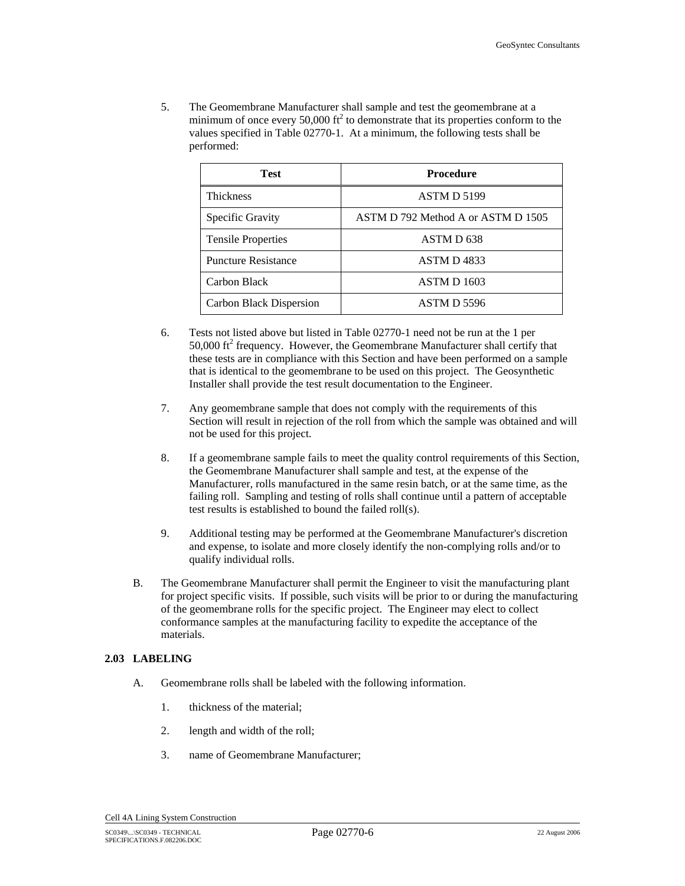5. The Geomembrane Manufacturer shall sample and test the geomembrane at a minimum of once every  $50,000$  ft<sup>2</sup> to demonstrate that its properties conform to the values specified in Table 02770-1. At a minimum, the following tests shall be performed:

| Test                       | <b>Procedure</b>                   |
|----------------------------|------------------------------------|
| <b>Thickness</b>           | ASTM D 5199                        |
| Specific Gravity           | ASTM D 792 Method A or ASTM D 1505 |
| <b>Tensile Properties</b>  | ASTM D <sub>638</sub>              |
| <b>Puncture Resistance</b> | ASTM D4833                         |
| Carbon Black               | ASTM D 1603                        |
| Carbon Black Dispersion    | ASTM D 5596                        |

- 6. Tests not listed above but listed in Table 02770-1 need not be run at the 1 per 50,000 ft<sup>2</sup> frequency. However, the Geomembrane Manufacturer shall certify that these tests are in compliance with this Section and have been performed on a sample that is identical to the geomembrane to be used on this project. The Geosynthetic Installer shall provide the test result documentation to the Engineer.
- 7. Any geomembrane sample that does not comply with the requirements of this Section will result in rejection of the roll from which the sample was obtained and will not be used for this project.
- 8. If a geomembrane sample fails to meet the quality control requirements of this Section, the Geomembrane Manufacturer shall sample and test, at the expense of the Manufacturer, rolls manufactured in the same resin batch, or at the same time, as the failing roll. Sampling and testing of rolls shall continue until a pattern of acceptable test results is established to bound the failed roll(s).
- 9. Additional testing may be performed at the Geomembrane Manufacturer's discretion and expense, to isolate and more closely identify the non-complying rolls and/or to qualify individual rolls.
- B. The Geomembrane Manufacturer shall permit the Engineer to visit the manufacturing plant for project specific visits. If possible, such visits will be prior to or during the manufacturing of the geomembrane rolls for the specific project. The Engineer may elect to collect conformance samples at the manufacturing facility to expedite the acceptance of the materials.

# **2.03 LABELING**

- A. Geomembrane rolls shall be labeled with the following information.
	- 1. thickness of the material;
	- 2. length and width of the roll;
	- 3. name of Geomembrane Manufacturer;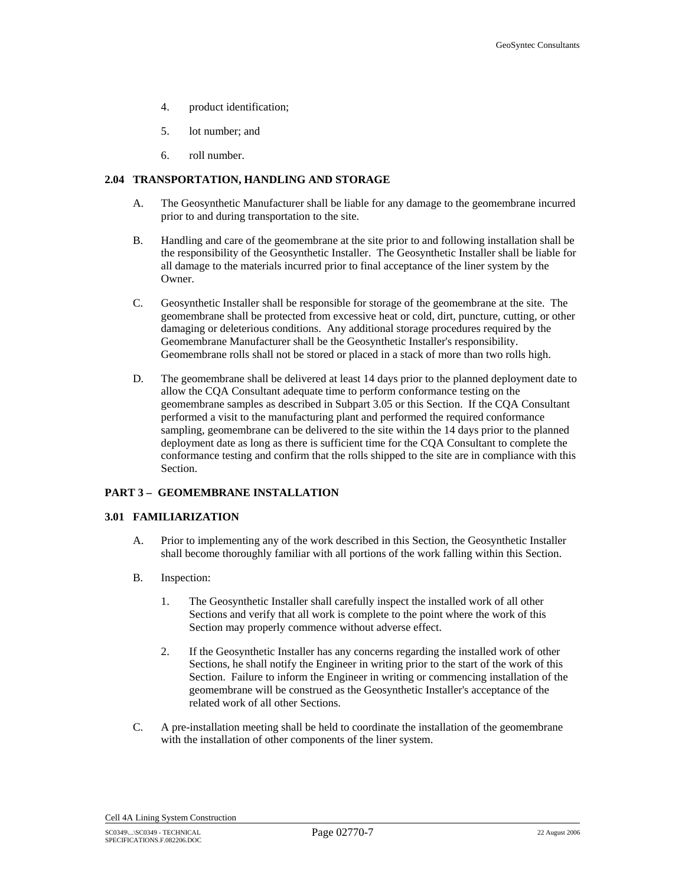- 4. product identification;
- 5. lot number; and
- 6. roll number.

# **2.04 TRANSPORTATION, HANDLING AND STORAGE**

- A. The Geosynthetic Manufacturer shall be liable for any damage to the geomembrane incurred prior to and during transportation to the site.
- B. Handling and care of the geomembrane at the site prior to and following installation shall be the responsibility of the Geosynthetic Installer. The Geosynthetic Installer shall be liable for all damage to the materials incurred prior to final acceptance of the liner system by the Owner.
- C. Geosynthetic Installer shall be responsible for storage of the geomembrane at the site. The geomembrane shall be protected from excessive heat or cold, dirt, puncture, cutting, or other damaging or deleterious conditions. Any additional storage procedures required by the Geomembrane Manufacturer shall be the Geosynthetic Installer's responsibility. Geomembrane rolls shall not be stored or placed in a stack of more than two rolls high.
- D. The geomembrane shall be delivered at least 14 days prior to the planned deployment date to allow the CQA Consultant adequate time to perform conformance testing on the geomembrane samples as described in Subpart 3.05 or this Section. If the CQA Consultant performed a visit to the manufacturing plant and performed the required conformance sampling, geomembrane can be delivered to the site within the 14 days prior to the planned deployment date as long as there is sufficient time for the CQA Consultant to complete the conformance testing and confirm that the rolls shipped to the site are in compliance with this Section.

## **PART 3 – GEOMEMBRANE INSTALLATION**

#### **3.01 FAMILIARIZATION**

- A. Prior to implementing any of the work described in this Section, the Geosynthetic Installer shall become thoroughly familiar with all portions of the work falling within this Section.
- B. Inspection:
	- 1. The Geosynthetic Installer shall carefully inspect the installed work of all other Sections and verify that all work is complete to the point where the work of this Section may properly commence without adverse effect.
	- 2. If the Geosynthetic Installer has any concerns regarding the installed work of other Sections, he shall notify the Engineer in writing prior to the start of the work of this Section. Failure to inform the Engineer in writing or commencing installation of the geomembrane will be construed as the Geosynthetic Installer's acceptance of the related work of all other Sections.
- C. A pre-installation meeting shall be held to coordinate the installation of the geomembrane with the installation of other components of the liner system.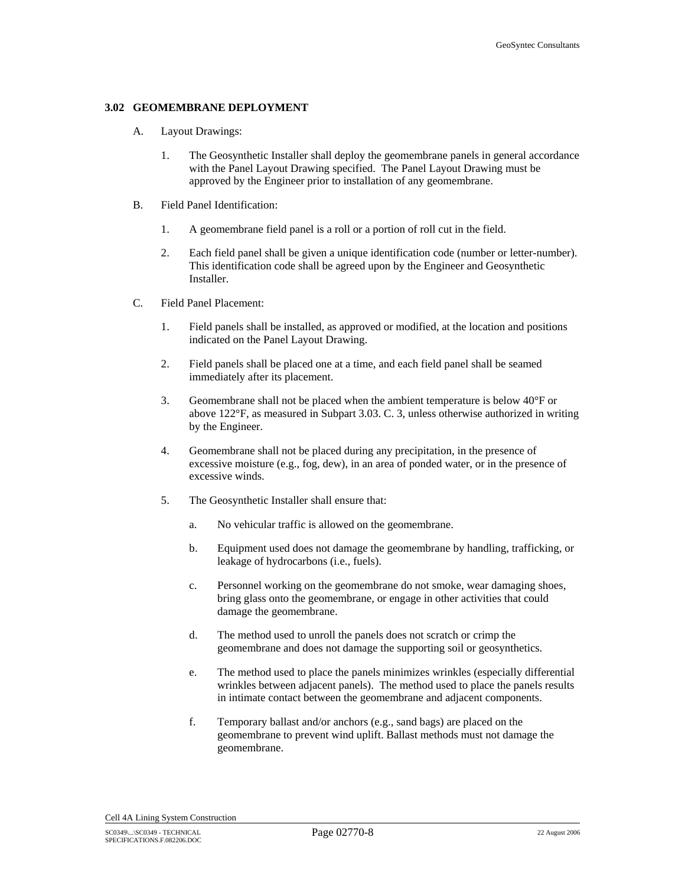### **3.02 GEOMEMBRANE DEPLOYMENT**

- A. Layout Drawings:
	- 1. The Geosynthetic Installer shall deploy the geomembrane panels in general accordance with the Panel Layout Drawing specified. The Panel Layout Drawing must be approved by the Engineer prior to installation of any geomembrane.
- B. Field Panel Identification:
	- 1. A geomembrane field panel is a roll or a portion of roll cut in the field.
	- 2. Each field panel shall be given a unique identification code (number or letter-number). This identification code shall be agreed upon by the Engineer and Geosynthetic Installer.
- C. Field Panel Placement:
	- 1. Field panels shall be installed, as approved or modified, at the location and positions indicated on the Panel Layout Drawing.
	- 2. Field panels shall be placed one at a time, and each field panel shall be seamed immediately after its placement.
	- 3. Geomembrane shall not be placed when the ambient temperature is below  $40^{\circ}$ F or above 122°F, as measured in Subpart 3.03. C. 3, unless otherwise authorized in writing by the Engineer.
	- 4. Geomembrane shall not be placed during any precipitation, in the presence of excessive moisture (e.g., fog, dew), in an area of ponded water, or in the presence of excessive winds.
	- 5. The Geosynthetic Installer shall ensure that:
		- a. No vehicular traffic is allowed on the geomembrane.
		- b. Equipment used does not damage the geomembrane by handling, trafficking, or leakage of hydrocarbons (i.e., fuels).
		- c. Personnel working on the geomembrane do not smoke, wear damaging shoes, bring glass onto the geomembrane, or engage in other activities that could damage the geomembrane.
		- d. The method used to unroll the panels does not scratch or crimp the geomembrane and does not damage the supporting soil or geosynthetics.
		- e. The method used to place the panels minimizes wrinkles (especially differential wrinkles between adjacent panels). The method used to place the panels results in intimate contact between the geomembrane and adjacent components.
		- f. Temporary ballast and/or anchors (e.g., sand bags) are placed on the geomembrane to prevent wind uplift. Ballast methods must not damage the geomembrane.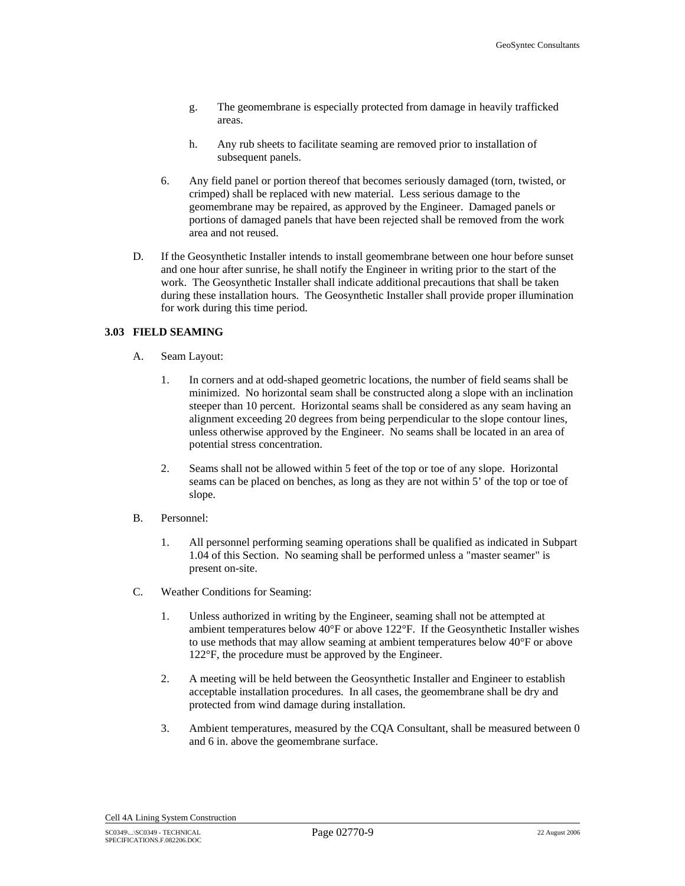- g. The geomembrane is especially protected from damage in heavily trafficked areas.
- h. Any rub sheets to facilitate seaming are removed prior to installation of subsequent panels.
- 6. Any field panel or portion thereof that becomes seriously damaged (torn, twisted, or crimped) shall be replaced with new material. Less serious damage to the geomembrane may be repaired, as approved by the Engineer. Damaged panels or portions of damaged panels that have been rejected shall be removed from the work area and not reused.
- D. If the Geosynthetic Installer intends to install geomembrane between one hour before sunset and one hour after sunrise, he shall notify the Engineer in writing prior to the start of the work. The Geosynthetic Installer shall indicate additional precautions that shall be taken during these installation hours. The Geosynthetic Installer shall provide proper illumination for work during this time period.

# **3.03 FIELD SEAMING**

- A. Seam Layout:
	- 1. In corners and at odd-shaped geometric locations, the number of field seams shall be minimized. No horizontal seam shall be constructed along a slope with an inclination steeper than 10 percent. Horizontal seams shall be considered as any seam having an alignment exceeding 20 degrees from being perpendicular to the slope contour lines, unless otherwise approved by the Engineer. No seams shall be located in an area of potential stress concentration.
	- 2. Seams shall not be allowed within 5 feet of the top or toe of any slope. Horizontal seams can be placed on benches, as long as they are not within 5' of the top or toe of slope.
- B. Personnel:
	- 1. All personnel performing seaming operations shall be qualified as indicated in Subpart 1.04 of this Section. No seaming shall be performed unless a "master seamer" is present on-site.
- C. Weather Conditions for Seaming:
	- 1. Unless authorized in writing by the Engineer, seaming shall not be attempted at ambient temperatures below  $40^{\circ}$ F or above 122 $^{\circ}$ F. If the Geosynthetic Installer wishes to use methods that may allow seaming at ambient temperatures below 40°F or above 122°F, the procedure must be approved by the Engineer.
	- 2. A meeting will be held between the Geosynthetic Installer and Engineer to establish acceptable installation procedures. In all cases, the geomembrane shall be dry and protected from wind damage during installation.
	- 3. Ambient temperatures, measured by the CQA Consultant, shall be measured between 0 and 6 in. above the geomembrane surface.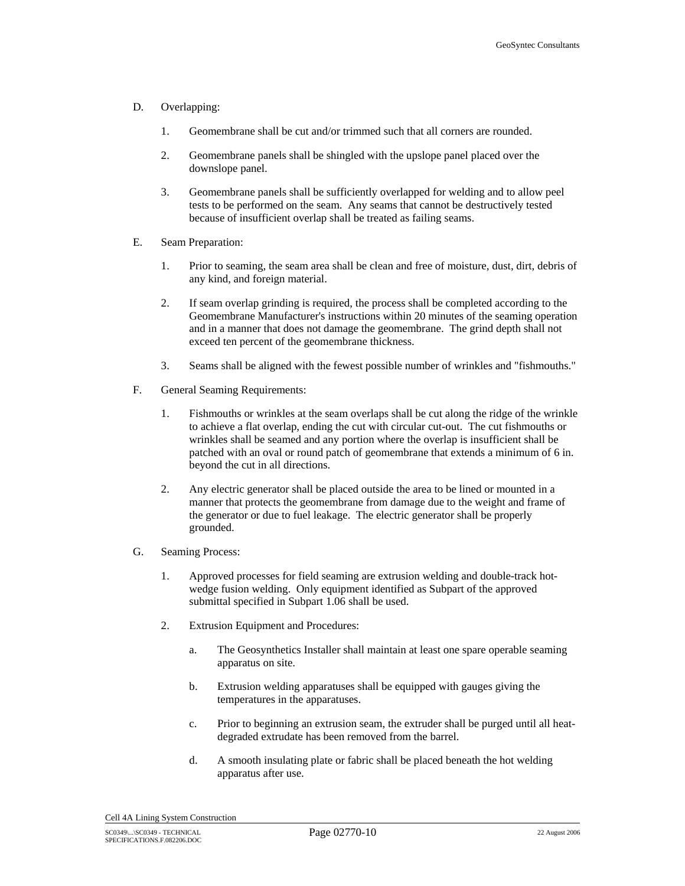#### D. Overlapping:

- 1. Geomembrane shall be cut and/or trimmed such that all corners are rounded.
- 2. Geomembrane panels shall be shingled with the upslope panel placed over the downslope panel.
- 3. Geomembrane panels shall be sufficiently overlapped for welding and to allow peel tests to be performed on the seam. Any seams that cannot be destructively tested because of insufficient overlap shall be treated as failing seams.
- E. Seam Preparation:
	- 1. Prior to seaming, the seam area shall be clean and free of moisture, dust, dirt, debris of any kind, and foreign material.
	- 2. If seam overlap grinding is required, the process shall be completed according to the Geomembrane Manufacturer's instructions within 20 minutes of the seaming operation and in a manner that does not damage the geomembrane. The grind depth shall not exceed ten percent of the geomembrane thickness.
	- 3. Seams shall be aligned with the fewest possible number of wrinkles and "fishmouths."
- F. General Seaming Requirements:
	- 1. Fishmouths or wrinkles at the seam overlaps shall be cut along the ridge of the wrinkle to achieve a flat overlap, ending the cut with circular cut-out. The cut fishmouths or wrinkles shall be seamed and any portion where the overlap is insufficient shall be patched with an oval or round patch of geomembrane that extends a minimum of 6 in. beyond the cut in all directions.
	- 2. Any electric generator shall be placed outside the area to be lined or mounted in a manner that protects the geomembrane from damage due to the weight and frame of the generator or due to fuel leakage. The electric generator shall be properly grounded.
- G. Seaming Process:
	- 1. Approved processes for field seaming are extrusion welding and double-track hotwedge fusion welding. Only equipment identified as Subpart of the approved submittal specified in Subpart 1.06 shall be used.
	- 2. Extrusion Equipment and Procedures:
		- a. The Geosynthetics Installer shall maintain at least one spare operable seaming apparatus on site.
		- b. Extrusion welding apparatuses shall be equipped with gauges giving the temperatures in the apparatuses.
		- c. Prior to beginning an extrusion seam, the extruder shall be purged until all heatdegraded extrudate has been removed from the barrel.
		- d. A smooth insulating plate or fabric shall be placed beneath the hot welding apparatus after use.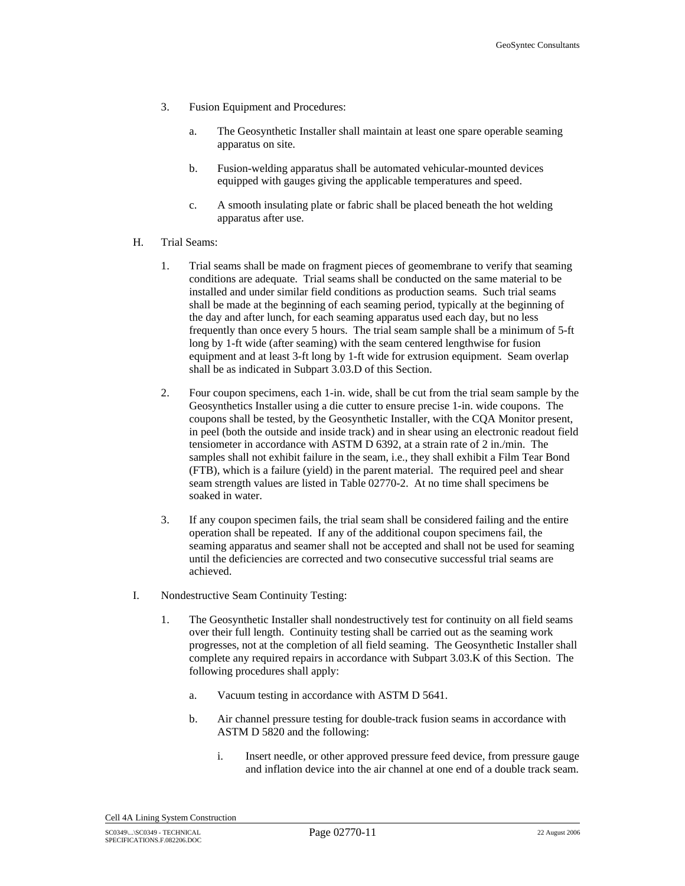- 3. Fusion Equipment and Procedures:
	- a. The Geosynthetic Installer shall maintain at least one spare operable seaming apparatus on site.
	- b. Fusion-welding apparatus shall be automated vehicular-mounted devices equipped with gauges giving the applicable temperatures and speed.
	- c. A smooth insulating plate or fabric shall be placed beneath the hot welding apparatus after use.
- H. Trial Seams:
	- 1. Trial seams shall be made on fragment pieces of geomembrane to verify that seaming conditions are adequate. Trial seams shall be conducted on the same material to be installed and under similar field conditions as production seams. Such trial seams shall be made at the beginning of each seaming period, typically at the beginning of the day and after lunch, for each seaming apparatus used each day, but no less frequently than once every 5 hours. The trial seam sample shall be a minimum of 5-ft long by 1-ft wide (after seaming) with the seam centered lengthwise for fusion equipment and at least 3-ft long by 1-ft wide for extrusion equipment. Seam overlap shall be as indicated in Subpart 3.03.D of this Section.
	- 2. Four coupon specimens, each 1-in. wide, shall be cut from the trial seam sample by the Geosynthetics Installer using a die cutter to ensure precise 1-in. wide coupons. The coupons shall be tested, by the Geosynthetic Installer, with the CQA Monitor present, in peel (both the outside and inside track) and in shear using an electronic readout field tensiometer in accordance with ASTM D 6392, at a strain rate of 2 in./min. The samples shall not exhibit failure in the seam, i.e., they shall exhibit a Film Tear Bond (FTB), which is a failure (yield) in the parent material. The required peel and shear seam strength values are listed in Table 02770-2. At no time shall specimens be soaked in water.
	- 3. If any coupon specimen fails, the trial seam shall be considered failing and the entire operation shall be repeated. If any of the additional coupon specimens fail, the seaming apparatus and seamer shall not be accepted and shall not be used for seaming until the deficiencies are corrected and two consecutive successful trial seams are achieved.
- I. Nondestructive Seam Continuity Testing:
	- 1. The Geosynthetic Installer shall nondestructively test for continuity on all field seams over their full length. Continuity testing shall be carried out as the seaming work progresses, not at the completion of all field seaming. The Geosynthetic Installer shall complete any required repairs in accordance with Subpart 3.03.K of this Section. The following procedures shall apply:
		- a. Vacuum testing in accordance with ASTM D 5641.
		- b. Air channel pressure testing for double-track fusion seams in accordance with ASTM D 5820 and the following:
			- i. Insert needle, or other approved pressure feed device, from pressure gauge and inflation device into the air channel at one end of a double track seam.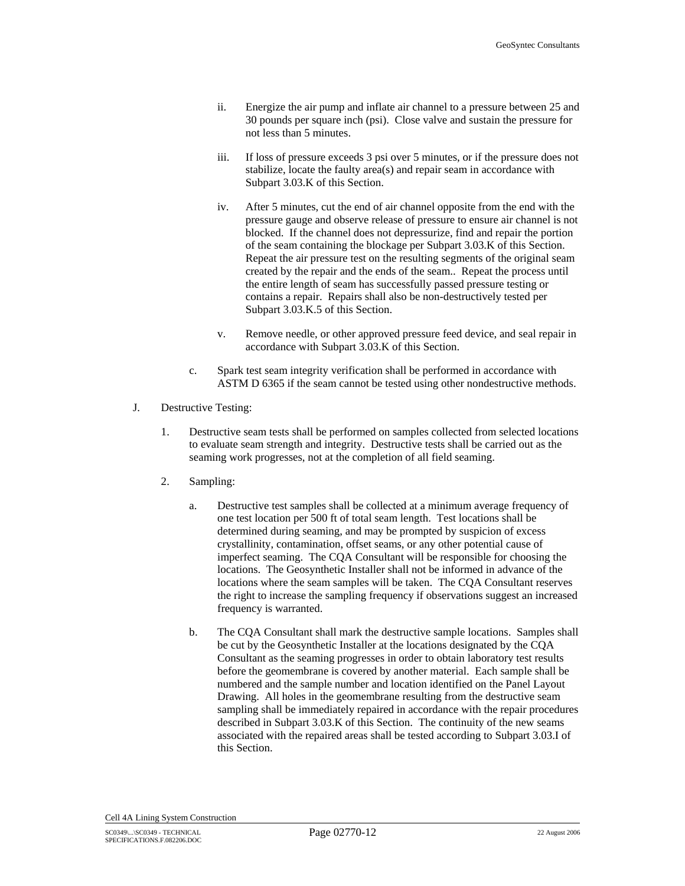- ii. Energize the air pump and inflate air channel to a pressure between 25 and 30 pounds per square inch (psi). Close valve and sustain the pressure for not less than 5 minutes.
- iii. If loss of pressure exceeds 3 psi over 5 minutes, or if the pressure does not stabilize, locate the faulty area(s) and repair seam in accordance with Subpart 3.03.K of this Section.
- iv. After 5 minutes, cut the end of air channel opposite from the end with the pressure gauge and observe release of pressure to ensure air channel is not blocked. If the channel does not depressurize, find and repair the portion of the seam containing the blockage per Subpart 3.03.K of this Section. Repeat the air pressure test on the resulting segments of the original seam created by the repair and the ends of the seam.. Repeat the process until the entire length of seam has successfully passed pressure testing or contains a repair. Repairs shall also be non-destructively tested per Subpart 3.03.K.5 of this Section.
- v. Remove needle, or other approved pressure feed device, and seal repair in accordance with Subpart 3.03.K of this Section.
- c. Spark test seam integrity verification shall be performed in accordance with ASTM D 6365 if the seam cannot be tested using other nondestructive methods.
- J. Destructive Testing:
	- 1. Destructive seam tests shall be performed on samples collected from selected locations to evaluate seam strength and integrity. Destructive tests shall be carried out as the seaming work progresses, not at the completion of all field seaming.
	- 2. Sampling:
		- a. Destructive test samples shall be collected at a minimum average frequency of one test location per 500 ft of total seam length. Test locations shall be determined during seaming, and may be prompted by suspicion of excess crystallinity, contamination, offset seams, or any other potential cause of imperfect seaming. The CQA Consultant will be responsible for choosing the locations. The Geosynthetic Installer shall not be informed in advance of the locations where the seam samples will be taken. The CQA Consultant reserves the right to increase the sampling frequency if observations suggest an increased frequency is warranted.
		- b. The CQA Consultant shall mark the destructive sample locations. Samples shall be cut by the Geosynthetic Installer at the locations designated by the CQA Consultant as the seaming progresses in order to obtain laboratory test results before the geomembrane is covered by another material. Each sample shall be numbered and the sample number and location identified on the Panel Layout Drawing. All holes in the geomembrane resulting from the destructive seam sampling shall be immediately repaired in accordance with the repair procedures described in Subpart 3.03.K of this Section. The continuity of the new seams associated with the repaired areas shall be tested according to Subpart 3.03.I of this Section.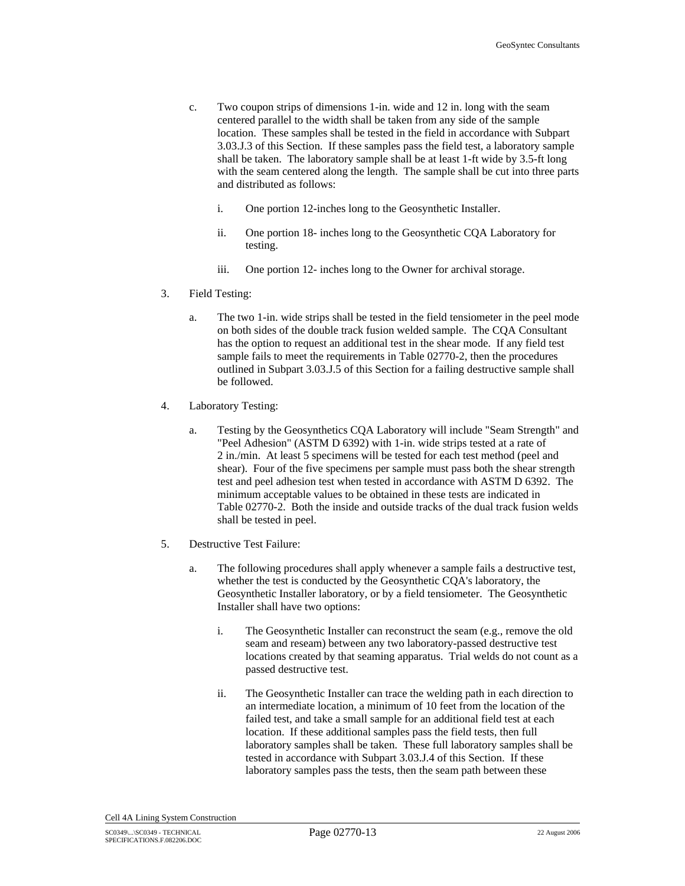- c. Two coupon strips of dimensions 1-in. wide and 12 in. long with the seam centered parallel to the width shall be taken from any side of the sample location. These samples shall be tested in the field in accordance with Subpart 3.03.J.3 of this Section. If these samples pass the field test, a laboratory sample shall be taken. The laboratory sample shall be at least 1-ft wide by 3.5-ft long with the seam centered along the length. The sample shall be cut into three parts and distributed as follows:
	- i. One portion 12-inches long to the Geosynthetic Installer.
	- ii. One portion 18- inches long to the Geosynthetic CQA Laboratory for testing.
	- iii. One portion 12- inches long to the Owner for archival storage.
- 3. Field Testing:
	- a. The two 1-in. wide strips shall be tested in the field tensiometer in the peel mode on both sides of the double track fusion welded sample. The CQA Consultant has the option to request an additional test in the shear mode. If any field test sample fails to meet the requirements in Table 02770-2, then the procedures outlined in Subpart 3.03.J.5 of this Section for a failing destructive sample shall be followed.
- 4. Laboratory Testing:
	- a. Testing by the Geosynthetics CQA Laboratory will include "Seam Strength" and "Peel Adhesion" (ASTM D 6392) with 1-in. wide strips tested at a rate of 2 in./min. At least 5 specimens will be tested for each test method (peel and shear). Four of the five specimens per sample must pass both the shear strength test and peel adhesion test when tested in accordance with ASTM D 6392. The minimum acceptable values to be obtained in these tests are indicated in Table 02770-2. Both the inside and outside tracks of the dual track fusion welds shall be tested in peel.
- 5. Destructive Test Failure:
	- a. The following procedures shall apply whenever a sample fails a destructive test, whether the test is conducted by the Geosynthetic CQA's laboratory, the Geosynthetic Installer laboratory, or by a field tensiometer. The Geosynthetic Installer shall have two options:
		- i. The Geosynthetic Installer can reconstruct the seam (e.g., remove the old seam and reseam) between any two laboratory-passed destructive test locations created by that seaming apparatus. Trial welds do not count as a passed destructive test.
		- ii. The Geosynthetic Installer can trace the welding path in each direction to an intermediate location, a minimum of 10 feet from the location of the failed test, and take a small sample for an additional field test at each location. If these additional samples pass the field tests, then full laboratory samples shall be taken. These full laboratory samples shall be tested in accordance with Subpart 3.03.J.4 of this Section. If these laboratory samples pass the tests, then the seam path between these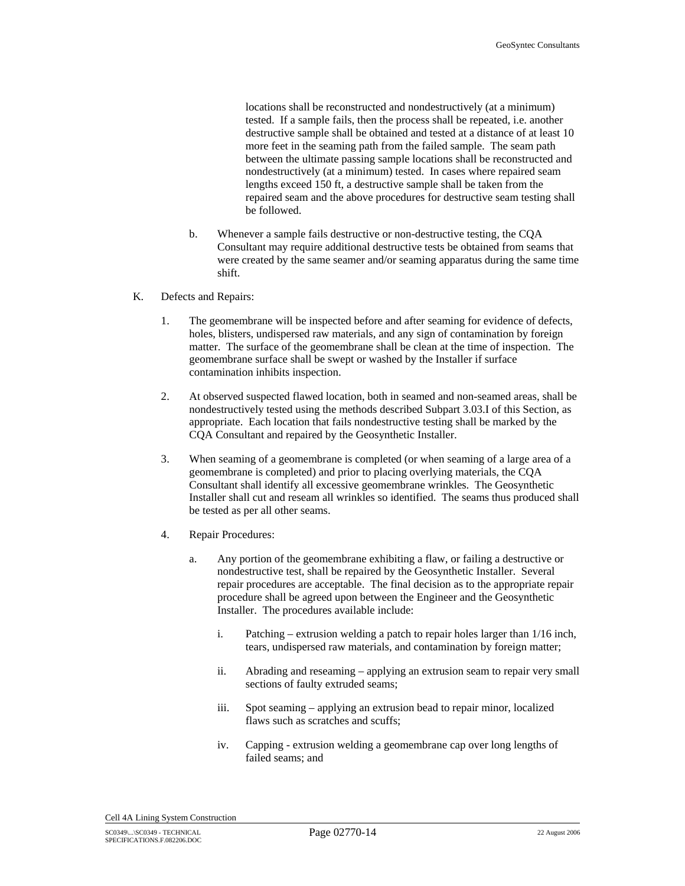locations shall be reconstructed and nondestructively (at a minimum) tested. If a sample fails, then the process shall be repeated, i.e. another destructive sample shall be obtained and tested at a distance of at least 10 more feet in the seaming path from the failed sample. The seam path between the ultimate passing sample locations shall be reconstructed and nondestructively (at a minimum) tested. In cases where repaired seam lengths exceed 150 ft, a destructive sample shall be taken from the repaired seam and the above procedures for destructive seam testing shall be followed.

- b. Whenever a sample fails destructive or non-destructive testing, the CQA Consultant may require additional destructive tests be obtained from seams that were created by the same seamer and/or seaming apparatus during the same time shift.
- K. Defects and Repairs:
	- 1. The geomembrane will be inspected before and after seaming for evidence of defects, holes, blisters, undispersed raw materials, and any sign of contamination by foreign matter. The surface of the geomembrane shall be clean at the time of inspection. The geomembrane surface shall be swept or washed by the Installer if surface contamination inhibits inspection.
	- 2. At observed suspected flawed location, both in seamed and non-seamed areas, shall be nondestructively tested using the methods described Subpart 3.03.I of this Section, as appropriate. Each location that fails nondestructive testing shall be marked by the CQA Consultant and repaired by the Geosynthetic Installer.
	- 3. When seaming of a geomembrane is completed (or when seaming of a large area of a geomembrane is completed) and prior to placing overlying materials, the CQA Consultant shall identify all excessive geomembrane wrinkles. The Geosynthetic Installer shall cut and reseam all wrinkles so identified. The seams thus produced shall be tested as per all other seams.
	- 4. Repair Procedures:
		- a. Any portion of the geomembrane exhibiting a flaw, or failing a destructive or nondestructive test, shall be repaired by the Geosynthetic Installer. Several repair procedures are acceptable. The final decision as to the appropriate repair procedure shall be agreed upon between the Engineer and the Geosynthetic Installer. The procedures available include:
			- i. Patching extrusion welding a patch to repair holes larger than 1/16 inch, tears, undispersed raw materials, and contamination by foreign matter;
			- ii. Abrading and reseaming applying an extrusion seam to repair very small sections of faulty extruded seams;
			- iii. Spot seaming applying an extrusion bead to repair minor, localized flaws such as scratches and scuffs;
			- iv. Capping extrusion welding a geomembrane cap over long lengths of failed seams; and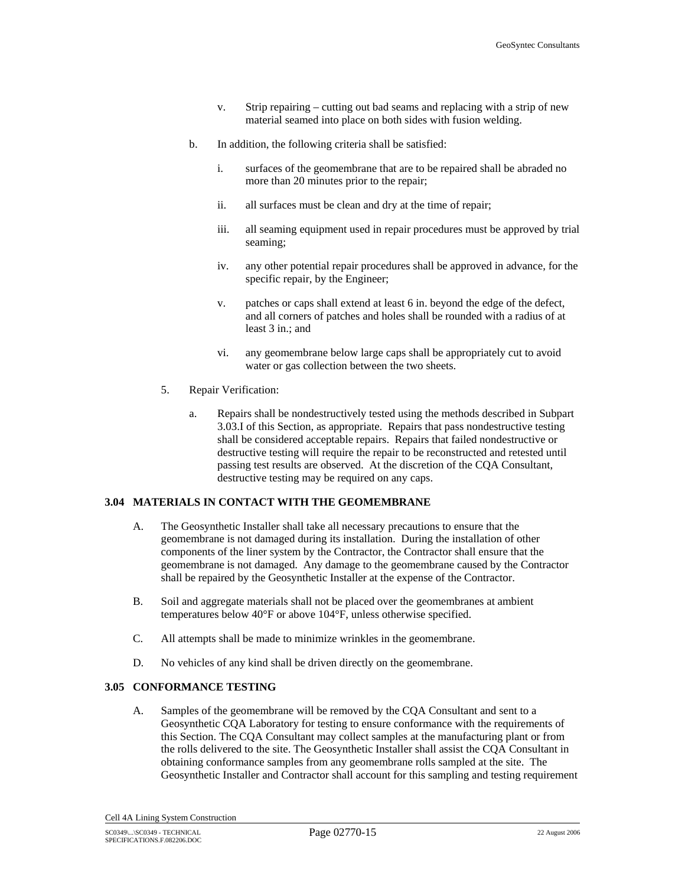- v. Strip repairing cutting out bad seams and replacing with a strip of new material seamed into place on both sides with fusion welding.
- b. In addition, the following criteria shall be satisfied:
	- i. surfaces of the geomembrane that are to be repaired shall be abraded no more than 20 minutes prior to the repair;
	- ii. all surfaces must be clean and dry at the time of repair;
	- iii. all seaming equipment used in repair procedures must be approved by trial seaming;
	- iv. any other potential repair procedures shall be approved in advance, for the specific repair, by the Engineer;
	- v. patches or caps shall extend at least 6 in. beyond the edge of the defect, and all corners of patches and holes shall be rounded with a radius of at least 3 in.; and
	- vi. any geomembrane below large caps shall be appropriately cut to avoid water or gas collection between the two sheets.
- 5. Repair Verification:
	- a. Repairs shall be nondestructively tested using the methods described in Subpart 3.03.I of this Section, as appropriate. Repairs that pass nondestructive testing shall be considered acceptable repairs. Repairs that failed nondestructive or destructive testing will require the repair to be reconstructed and retested until passing test results are observed. At the discretion of the CQA Consultant, destructive testing may be required on any caps.

#### **3.04 MATERIALS IN CONTACT WITH THE GEOMEMBRANE**

- A. The Geosynthetic Installer shall take all necessary precautions to ensure that the geomembrane is not damaged during its installation. During the installation of other components of the liner system by the Contractor, the Contractor shall ensure that the geomembrane is not damaged. Any damage to the geomembrane caused by the Contractor shall be repaired by the Geosynthetic Installer at the expense of the Contractor.
- B. Soil and aggregate materials shall not be placed over the geomembranes at ambient temperatures below 40°F or above 104°F, unless otherwise specified.
- C. All attempts shall be made to minimize wrinkles in the geomembrane.
- D. No vehicles of any kind shall be driven directly on the geomembrane.

## **3.05 CONFORMANCE TESTING**

A. Samples of the geomembrane will be removed by the CQA Consultant and sent to a Geosynthetic CQA Laboratory for testing to ensure conformance with the requirements of this Section. The CQA Consultant may collect samples at the manufacturing plant or from the rolls delivered to the site. The Geosynthetic Installer shall assist the CQA Consultant in obtaining conformance samples from any geomembrane rolls sampled at the site. The Geosynthetic Installer and Contractor shall account for this sampling and testing requirement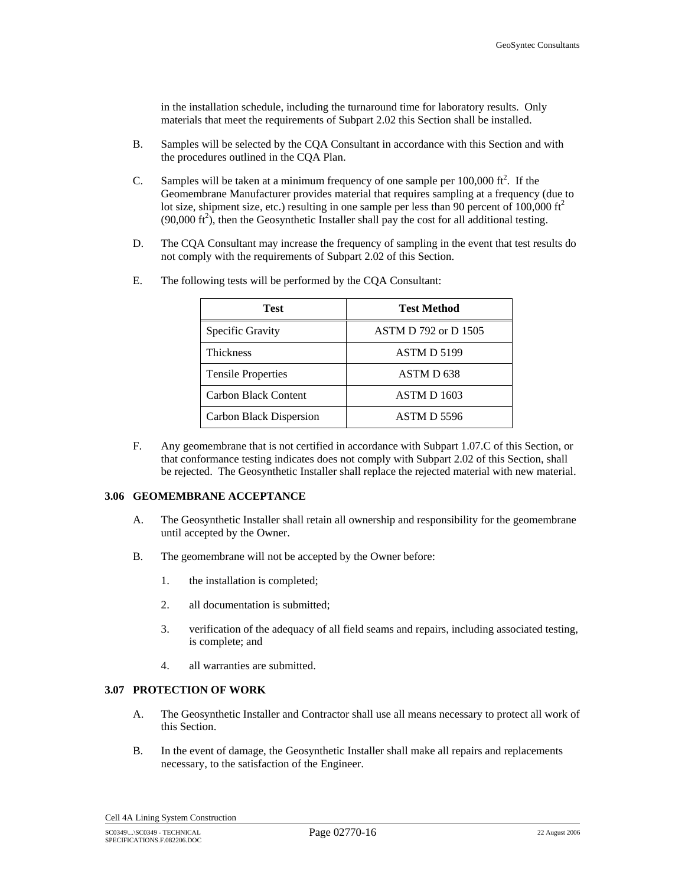in the installation schedule, including the turnaround time for laboratory results. Only materials that meet the requirements of Subpart 2.02 this Section shall be installed.

- B. Samples will be selected by the CQA Consultant in accordance with this Section and with the procedures outlined in the CQA Plan.
- C. Samples will be taken at a minimum frequency of one sample per  $100,000$  ft<sup>2</sup>. If the Geomembrane Manufacturer provides material that requires sampling at a frequency (due to lot size, shipment size, etc.) resulting in one sample per less than 90 percent of 100,000 ft<sup>2</sup>  $(90,000 \text{ ft}^2)$ , then the Geosynthetic Installer shall pay the cost for all additional testing.
- D. The CQA Consultant may increase the frequency of sampling in the event that test results do not comply with the requirements of Subpart 2.02 of this Section.

| Test                      | Test Method           |
|---------------------------|-----------------------|
| Specific Gravity          | ASTM D 792 or D 1505  |
| <b>Thickness</b>          | ASTM D 5199           |
| <b>Tensile Properties</b> | ASTM D <sub>638</sub> |
| Carbon Black Content      | <b>ASTM D 1603</b>    |
| Carbon Black Dispersion   | <b>ASTM D 5596</b>    |

E. The following tests will be performed by the CQA Consultant:

F. Any geomembrane that is not certified in accordance with Subpart 1.07.C of this Section, or that conformance testing indicates does not comply with Subpart 2.02 of this Section, shall be rejected. The Geosynthetic Installer shall replace the rejected material with new material.

#### **3.06 GEOMEMBRANE ACCEPTANCE**

- A. The Geosynthetic Installer shall retain all ownership and responsibility for the geomembrane until accepted by the Owner.
- B. The geomembrane will not be accepted by the Owner before:
	- 1. the installation is completed;
	- 2. all documentation is submitted;
	- 3. verification of the adequacy of all field seams and repairs, including associated testing, is complete; and
	- 4. all warranties are submitted.

# **3.07 PROTECTION OF WORK**

- A. The Geosynthetic Installer and Contractor shall use all means necessary to protect all work of this Section.
- B. In the event of damage, the Geosynthetic Installer shall make all repairs and replacements necessary, to the satisfaction of the Engineer.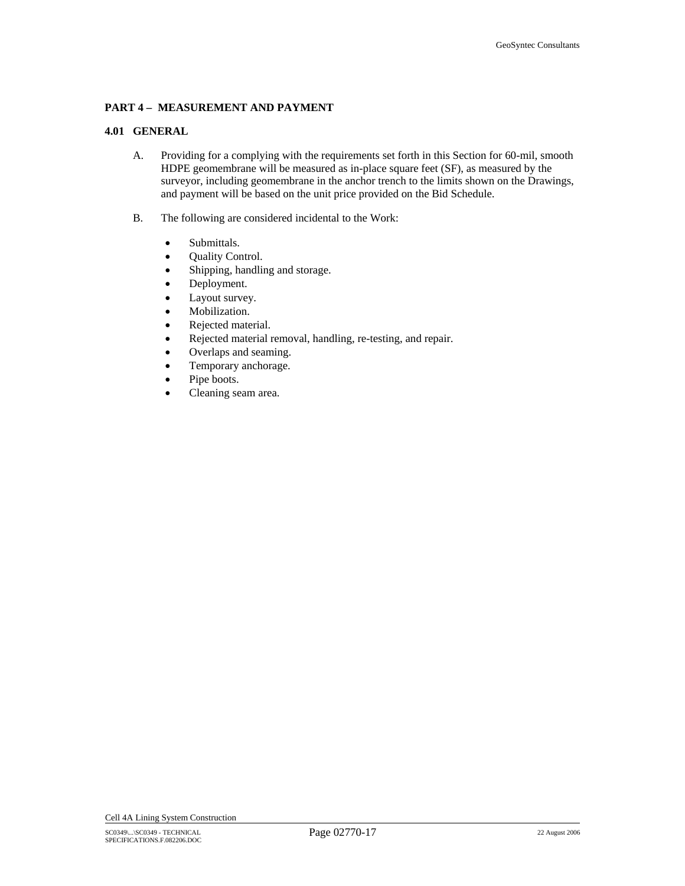# **PART 4 – MEASUREMENT AND PAYMENT**

# **4.01 GENERAL**

- A. Providing for a complying with the requirements set forth in this Section for 60-mil, smooth HDPE geomembrane will be measured as in-place square feet (SF), as measured by the surveyor, including geomembrane in the anchor trench to the limits shown on the Drawings, and payment will be based on the unit price provided on the Bid Schedule.
- B. The following are considered incidental to the Work:
	- Submittals.
	- Quality Control.
	- Shipping, handling and storage.
	- Deployment.
	- Layout survey.
	- Mobilization.
	- Rejected material.
	- Rejected material removal, handling, re-testing, and repair.
	- Overlaps and seaming.
	- Temporary anchorage.
	- Pipe boots.
	- Cleaning seam area.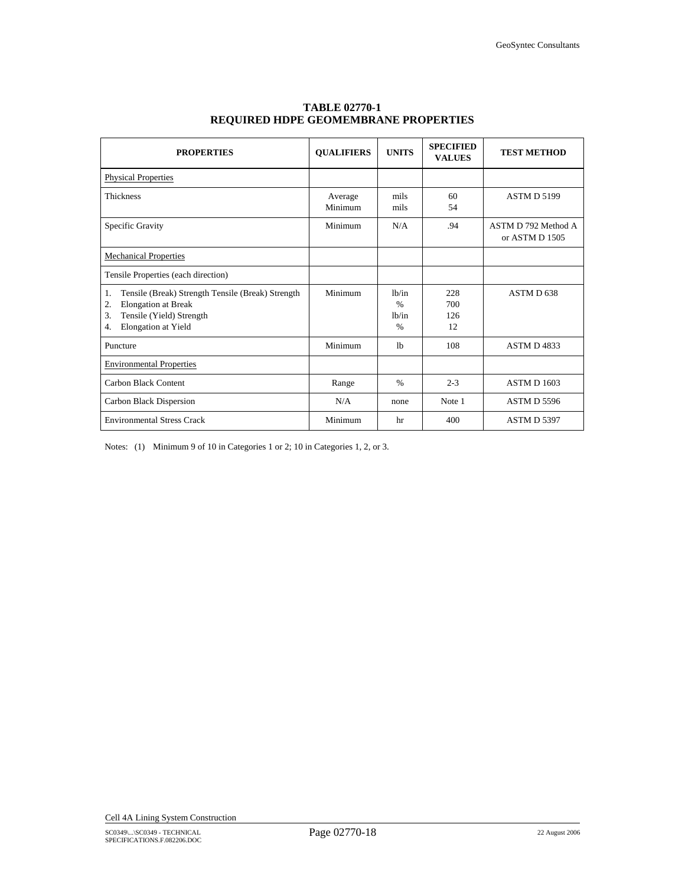| <b>PROPERTIES</b>                                                                                                                                          | <b>QUALIFIERS</b>  | <b>UNITS</b>                                                               | <b>SPECIFIED</b><br><b>VALUES</b> | <b>TEST METHOD</b>                    |
|------------------------------------------------------------------------------------------------------------------------------------------------------------|--------------------|----------------------------------------------------------------------------|-----------------------------------|---------------------------------------|
| <b>Physical Properties</b>                                                                                                                                 |                    |                                                                            |                                   |                                       |
| <b>Thickness</b>                                                                                                                                           | Average<br>Minimum | mils<br>mils                                                               | 60<br>54                          | ASTM D 5199                           |
| Specific Gravity                                                                                                                                           | Minimum            | N/A                                                                        | .94                               | ASTM D 792 Method A<br>or ASTM D 1505 |
| <b>Mechanical Properties</b>                                                                                                                               |                    |                                                                            |                                   |                                       |
| Tensile Properties (each direction)                                                                                                                        |                    |                                                                            |                                   |                                       |
| Tensile (Break) Strength Tensile (Break) Strength<br>1.<br><b>Elongation</b> at Break<br>2.<br>Tensile (Yield) Strength<br>3.<br>Elongation at Yield<br>4. | Minimum            | 1 <sub>h</sub> /in<br>$\frac{0}{0}$<br>1 <sub>h</sub> /in<br>$\frac{0}{0}$ | 228<br>700<br>126<br>12           | ASTM D 638                            |
| Puncture                                                                                                                                                   | Minimum            | <sup>1</sup> h                                                             | 108                               | ASTM D4833                            |
| <b>Environmental Properties</b>                                                                                                                            |                    |                                                                            |                                   |                                       |
| Carbon Black Content                                                                                                                                       | Range              | $\frac{0}{0}$                                                              | $2 - 3$                           | <b>ASTM D 1603</b>                    |
| Carbon Black Dispersion                                                                                                                                    | N/A                | none                                                                       | Note 1                            | ASTM D 5596                           |
| <b>Environmental Stress Crack</b>                                                                                                                          | Minimum            | hr                                                                         | 400                               | <b>ASTM D 5397</b>                    |

# **TABLE 02770-1 REQUIRED HDPE GEOMEMBRANE PROPERTIES**

Notes: (1) Minimum 9 of 10 in Categories 1 or 2; 10 in Categories 1, 2, or 3.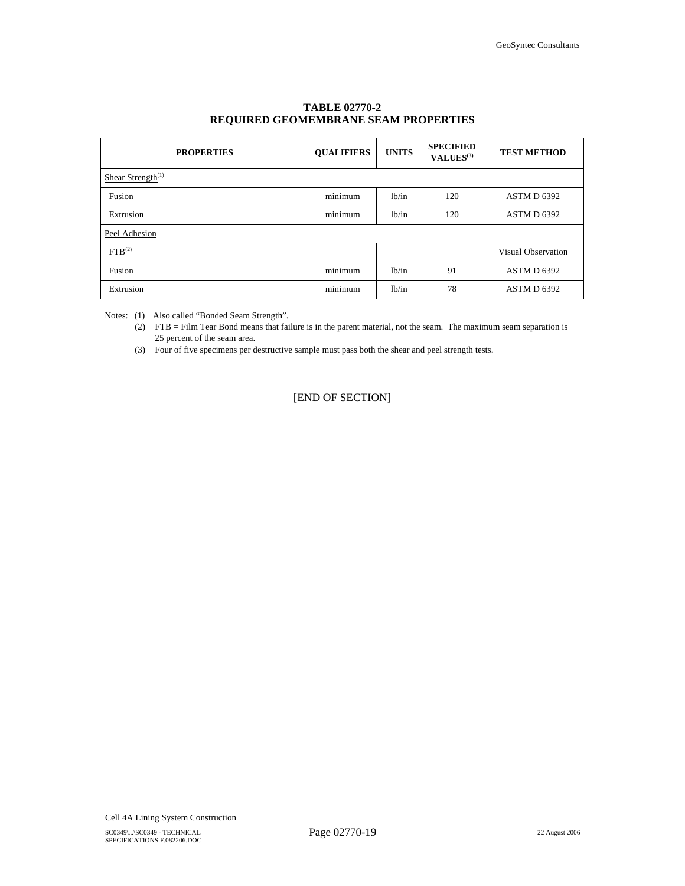| <b>PROPERTIES</b>             | <b>QUALIFIERS</b> | <b>UNITS</b>       | <b>SPECIFIED</b><br>VALUES <sup>(3)</sup> | <b>TEST METHOD</b> |
|-------------------------------|-------------------|--------------------|-------------------------------------------|--------------------|
| Shear Strength <sup>(1)</sup> |                   |                    |                                           |                    |
| Fusion                        | minimum           | lb/in              | 120                                       | ASTM D 6392        |
| Extrusion                     | minimum           | 1b/in              | 120                                       | ASTM D 6392        |
| Peel Adhesion                 |                   |                    |                                           |                    |
| FTB <sup>(2)</sup>            |                   |                    |                                           | Visual Observation |
| Fusion                        | minimum           | 1 <sub>b</sub> /in | 91                                        | ASTM D 6392        |
| Extrusion                     | minimum           | 1b/in              | 78                                        | ASTM D 6392        |

# **TABLE 02770-2 REQUIRED GEOMEMBRANE SEAM PROPERTIES**

Notes: (1) Also called "Bonded Seam Strength".

(2) FTB = Film Tear Bond means that failure is in the parent material, not the seam. The maximum seam separation is 25 percent of the seam area.

(3) Four of five specimens per destructive sample must pass both the shear and peel strength tests.

[END OF SECTION]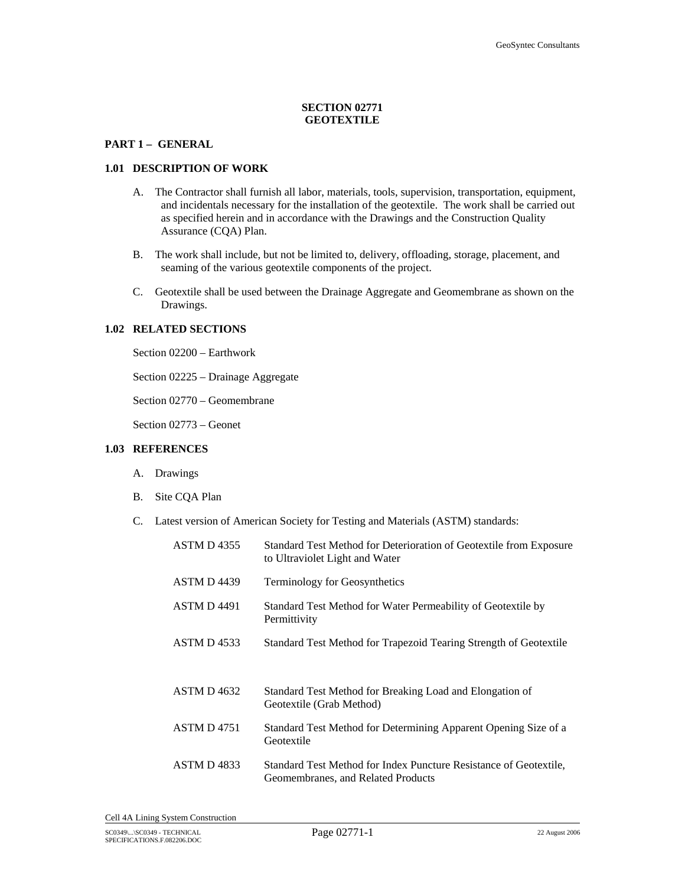# **SECTION 02771 GEOTEXTILE**

## **PART 1 – GENERAL**

### **1.01 DESCRIPTION OF WORK**

- A. The Contractor shall furnish all labor, materials, tools, supervision, transportation, equipment, and incidentals necessary for the installation of the geotextile. The work shall be carried out as specified herein and in accordance with the Drawings and the Construction Quality Assurance (CQA) Plan.
- B. The work shall include, but not be limited to, delivery, offloading, storage, placement, and seaming of the various geotextile components of the project.
- C. Geotextile shall be used between the Drainage Aggregate and Geomembrane as shown on the Drawings.

#### **1.02 RELATED SECTIONS**

Section 02200 – Earthwork

Section 02225 – Drainage Aggregate

Section 02770 – Geomembrane

Section 02773 – Geonet

#### **1.03 REFERENCES**

- A. Drawings
- B. Site CQA Plan
- C. Latest version of American Society for Testing and Materials (ASTM) standards:

| <b>ASTM D4355</b>  | Standard Test Method for Deterioration of Geotextile from Exposure<br>to Ultraviolet Light and Water    |
|--------------------|---------------------------------------------------------------------------------------------------------|
| <b>ASTM D 4439</b> | <b>Terminology for Geosynthetics</b>                                                                    |
| <b>ASTM D 4491</b> | Standard Test Method for Water Permeability of Geotextile by<br>Permittivity                            |
| ASTM D4533         | Standard Test Method for Trapezoid Tearing Strength of Geotextile                                       |
| <b>ASTM D 4632</b> | Standard Test Method for Breaking Load and Elongation of<br>Geotextile (Grab Method)                    |
| <b>ASTM D4751</b>  | Standard Test Method for Determining Apparent Opening Size of a<br>Geotextile                           |
| ASTM D4833         | Standard Test Method for Index Puncture Resistance of Geotextile.<br>Geomembranes, and Related Products |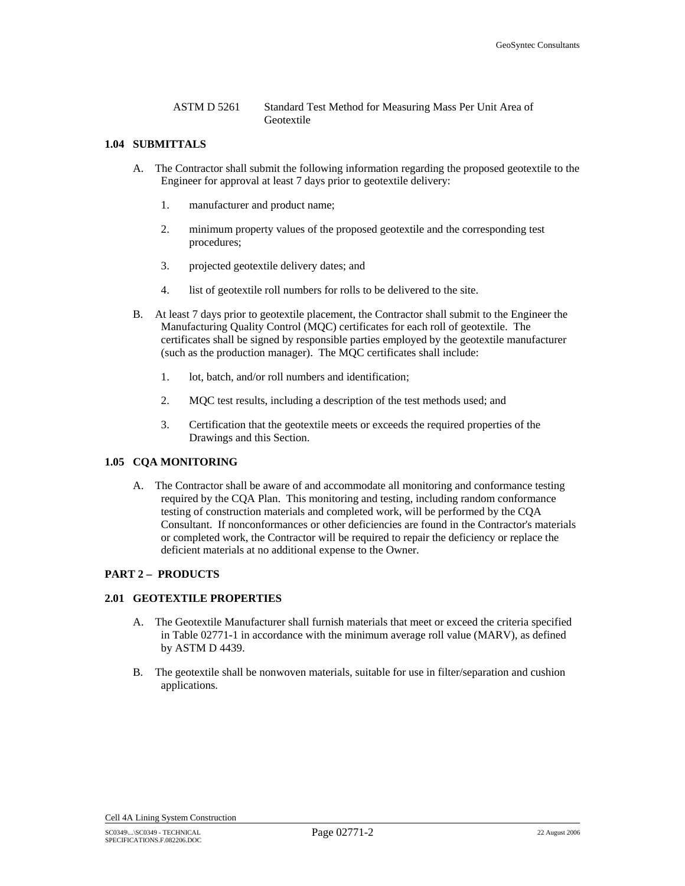ASTM D 5261 Standard Test Method for Measuring Mass Per Unit Area of Geotextile

## **1.04 SUBMITTALS**

- A. The Contractor shall submit the following information regarding the proposed geotextile to the Engineer for approval at least 7 days prior to geotextile delivery:
	- 1. manufacturer and product name;
	- 2. minimum property values of the proposed geotextile and the corresponding test procedures;
	- 3. projected geotextile delivery dates; and
	- 4. list of geotextile roll numbers for rolls to be delivered to the site.
- B. At least 7 days prior to geotextile placement, the Contractor shall submit to the Engineer the Manufacturing Quality Control (MQC) certificates for each roll of geotextile. The certificates shall be signed by responsible parties employed by the geotextile manufacturer (such as the production manager). The MQC certificates shall include:
	- 1. lot, batch, and/or roll numbers and identification;
	- 2. MQC test results, including a description of the test methods used; and
	- 3. Certification that the geotextile meets or exceeds the required properties of the Drawings and this Section.

## **1.05 CQA MONITORING**

A. The Contractor shall be aware of and accommodate all monitoring and conformance testing required by the CQA Plan. This monitoring and testing, including random conformance testing of construction materials and completed work, will be performed by the CQA Consultant. If nonconformances or other deficiencies are found in the Contractor's materials or completed work, the Contractor will be required to repair the deficiency or replace the deficient materials at no additional expense to the Owner.

#### **PART 2 – PRODUCTS**

### **2.01 GEOTEXTILE PROPERTIES**

- A. The Geotextile Manufacturer shall furnish materials that meet or exceed the criteria specified in Table 02771-1 in accordance with the minimum average roll value (MARV), as defined by ASTM D 4439.
- B. The geotextile shall be nonwoven materials, suitable for use in filter/separation and cushion applications.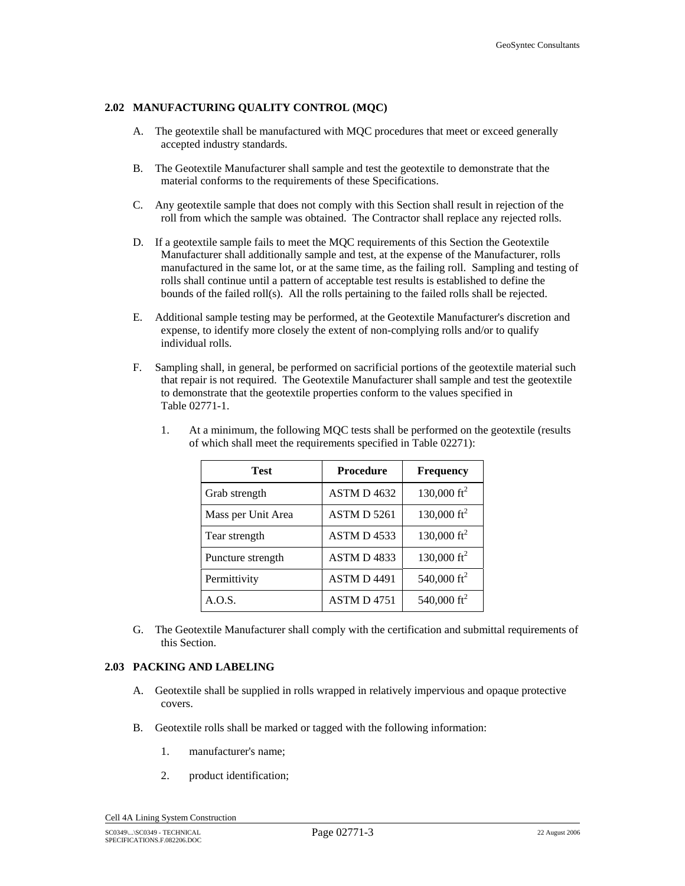# **2.02 MANUFACTURING QUALITY CONTROL (MQC)**

- A. The geotextile shall be manufactured with MQC procedures that meet or exceed generally accepted industry standards.
- B. The Geotextile Manufacturer shall sample and test the geotextile to demonstrate that the material conforms to the requirements of these Specifications.
- C. Any geotextile sample that does not comply with this Section shall result in rejection of the roll from which the sample was obtained. The Contractor shall replace any rejected rolls.
- D. If a geotextile sample fails to meet the MQC requirements of this Section the Geotextile Manufacturer shall additionally sample and test, at the expense of the Manufacturer, rolls manufactured in the same lot, or at the same time, as the failing roll. Sampling and testing of rolls shall continue until a pattern of acceptable test results is established to define the bounds of the failed roll(s). All the rolls pertaining to the failed rolls shall be rejected.
- E. Additional sample testing may be performed, at the Geotextile Manufacturer's discretion and expense, to identify more closely the extent of non-complying rolls and/or to qualify individual rolls.
- F. Sampling shall, in general, be performed on sacrificial portions of the geotextile material such that repair is not required. The Geotextile Manufacturer shall sample and test the geotextile to demonstrate that the geotextile properties conform to the values specified in Table 02771-1.

| <b>Test</b>        | <b>Procedure</b>   | <b>Frequency</b>        |
|--------------------|--------------------|-------------------------|
| Grab strength      | ASTM D 4632        | 130,000 $\text{ft}^2$   |
| Mass per Unit Area | <b>ASTM D 5261</b> | 130,000 $\text{ft}^2$   |
| Tear strength      | ASTM D 4533        | 130,000 $\text{ft}^2$   |
| Puncture strength  | ASTM D4833         | 130,000 $\text{ft}^2$   |
| Permittivity       | ASTM D 4491        | 540,000 ft <sup>2</sup> |
| A.O.S.             | <b>ASTM D 4751</b> | 540,000 ft <sup>2</sup> |

1. At a minimum, the following MQC tests shall be performed on the geotextile (results of which shall meet the requirements specified in Table 02271):

G. The Geotextile Manufacturer shall comply with the certification and submittal requirements of this Section.

#### **2.03 PACKING AND LABELING**

- A. Geotextile shall be supplied in rolls wrapped in relatively impervious and opaque protective covers.
- B. Geotextile rolls shall be marked or tagged with the following information:
	- 1. manufacturer's name;
	- 2. product identification;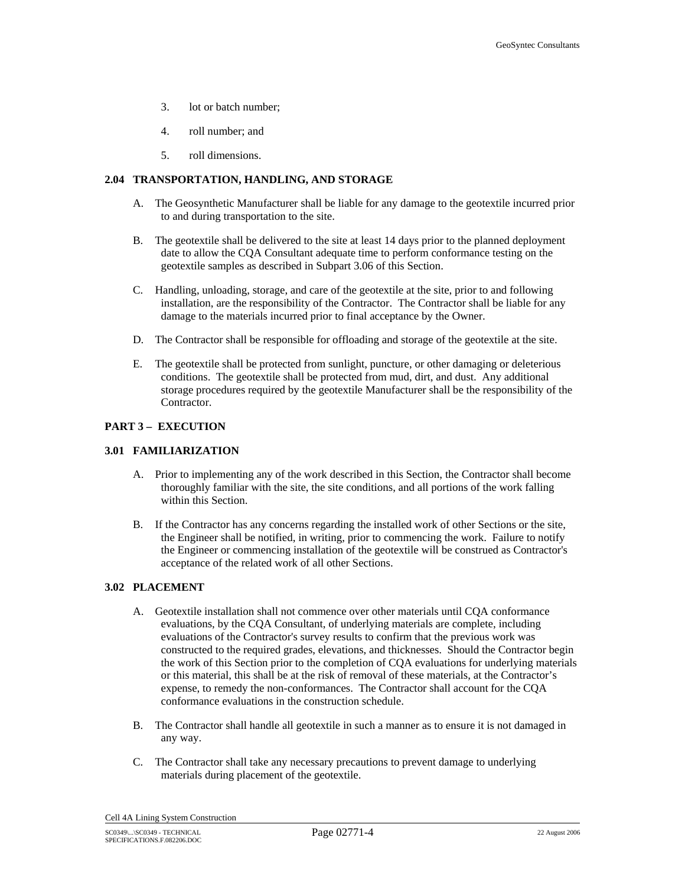- 3. lot or batch number;
- 4. roll number; and
- 5. roll dimensions.

# **2.04 TRANSPORTATION, HANDLING, AND STORAGE**

- A. The Geosynthetic Manufacturer shall be liable for any damage to the geotextile incurred prior to and during transportation to the site.
- B. The geotextile shall be delivered to the site at least 14 days prior to the planned deployment date to allow the CQA Consultant adequate time to perform conformance testing on the geotextile samples as described in Subpart 3.06 of this Section.
- C. Handling, unloading, storage, and care of the geotextile at the site, prior to and following installation, are the responsibility of the Contractor. The Contractor shall be liable for any damage to the materials incurred prior to final acceptance by the Owner.
- D. The Contractor shall be responsible for offloading and storage of the geotextile at the site.
- E. The geotextile shall be protected from sunlight, puncture, or other damaging or deleterious conditions. The geotextile shall be protected from mud, dirt, and dust. Any additional storage procedures required by the geotextile Manufacturer shall be the responsibility of the Contractor.

## **PART 3 – EXECUTION**

#### **3.01 FAMILIARIZATION**

- A. Prior to implementing any of the work described in this Section, the Contractor shall become thoroughly familiar with the site, the site conditions, and all portions of the work falling within this Section.
- B. If the Contractor has any concerns regarding the installed work of other Sections or the site, the Engineer shall be notified, in writing, prior to commencing the work. Failure to notify the Engineer or commencing installation of the geotextile will be construed as Contractor's acceptance of the related work of all other Sections.

## **3.02 PLACEMENT**

- A. Geotextile installation shall not commence over other materials until CQA conformance evaluations, by the CQA Consultant, of underlying materials are complete, including evaluations of the Contractor's survey results to confirm that the previous work was constructed to the required grades, elevations, and thicknesses. Should the Contractor begin the work of this Section prior to the completion of CQA evaluations for underlying materials or this material, this shall be at the risk of removal of these materials, at the Contractor's expense, to remedy the non-conformances. The Contractor shall account for the CQA conformance evaluations in the construction schedule.
- B. The Contractor shall handle all geotextile in such a manner as to ensure it is not damaged in any way.
- C. The Contractor shall take any necessary precautions to prevent damage to underlying materials during placement of the geotextile.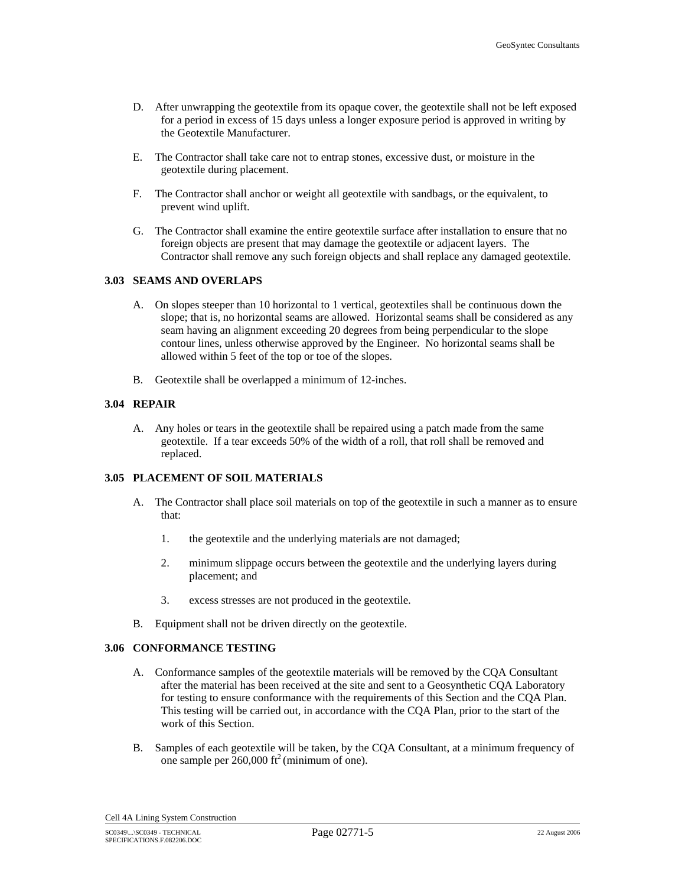- D. After unwrapping the geotextile from its opaque cover, the geotextile shall not be left exposed for a period in excess of 15 days unless a longer exposure period is approved in writing by the Geotextile Manufacturer.
- E. The Contractor shall take care not to entrap stones, excessive dust, or moisture in the geotextile during placement.
- F. The Contractor shall anchor or weight all geotextile with sandbags, or the equivalent, to prevent wind uplift.
- G. The Contractor shall examine the entire geotextile surface after installation to ensure that no foreign objects are present that may damage the geotextile or adjacent layers. The Contractor shall remove any such foreign objects and shall replace any damaged geotextile.

## **3.03 SEAMS AND OVERLAPS**

- A. On slopes steeper than 10 horizontal to 1 vertical, geotextiles shall be continuous down the slope; that is, no horizontal seams are allowed. Horizontal seams shall be considered as any seam having an alignment exceeding 20 degrees from being perpendicular to the slope contour lines, unless otherwise approved by the Engineer. No horizontal seams shall be allowed within 5 feet of the top or toe of the slopes.
- B. Geotextile shall be overlapped a minimum of 12-inches.

## **3.04 REPAIR**

A. Any holes or tears in the geotextile shall be repaired using a patch made from the same geotextile. If a tear exceeds 50% of the width of a roll, that roll shall be removed and replaced.

# **3.05 PLACEMENT OF SOIL MATERIALS**

- A. The Contractor shall place soil materials on top of the geotextile in such a manner as to ensure that:
	- 1. the geotextile and the underlying materials are not damaged;
	- 2. minimum slippage occurs between the geotextile and the underlying layers during placement; and
	- 3. excess stresses are not produced in the geotextile.
- B. Equipment shall not be driven directly on the geotextile.

# **3.06 CONFORMANCE TESTING**

- A. Conformance samples of the geotextile materials will be removed by the CQA Consultant after the material has been received at the site and sent to a Geosynthetic CQA Laboratory for testing to ensure conformance with the requirements of this Section and the CQA Plan. This testing will be carried out, in accordance with the CQA Plan, prior to the start of the work of this Section.
- B. Samples of each geotextile will be taken, by the CQA Consultant, at a minimum frequency of one sample per  $260,000$  ft<sup>2</sup> (minimum of one).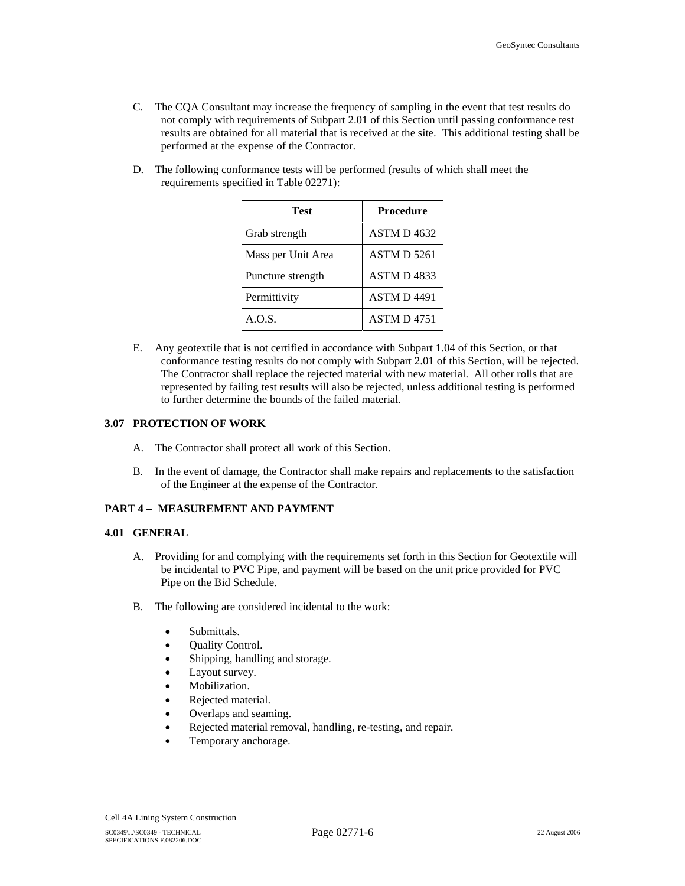- C. The CQA Consultant may increase the frequency of sampling in the event that test results do not comply with requirements of Subpart 2.01 of this Section until passing conformance test results are obtained for all material that is received at the site. This additional testing shall be performed at the expense of the Contractor.
- D. The following conformance tests will be performed (results of which shall meet the requirements specified in Table 02271):

| <b>Test</b>        | <b>Procedure</b>   |
|--------------------|--------------------|
| Grab strength      | ASTM D4632         |
| Mass per Unit Area | <b>ASTM D 5261</b> |
| Puncture strength  | ASTM D4833         |
| Permittivity       | ASTM D 4491        |
| A.O.S.             | <b>ASTM D 4751</b> |

E. Any geotextile that is not certified in accordance with Subpart 1.04 of this Section, or that conformance testing results do not comply with Subpart 2.01 of this Section, will be rejected. The Contractor shall replace the rejected material with new material. All other rolls that are represented by failing test results will also be rejected, unless additional testing is performed to further determine the bounds of the failed material.

# **3.07 PROTECTION OF WORK**

- A. The Contractor shall protect all work of this Section.
- B. In the event of damage, the Contractor shall make repairs and replacements to the satisfaction of the Engineer at the expense of the Contractor.

# **PART 4 – MEASUREMENT AND PAYMENT**

## **4.01 GENERAL**

- A. Providing for and complying with the requirements set forth in this Section for Geotextile will be incidental to PVC Pipe, and payment will be based on the unit price provided for PVC Pipe on the Bid Schedule.
- B. The following are considered incidental to the work:
	- Submittals.
	- Quality Control.
	- Shipping, handling and storage.
	- Layout survey.
	- Mobilization.
	- Rejected material.
	- Overlaps and seaming.
	- Rejected material removal, handling, re-testing, and repair.
	- Temporary anchorage.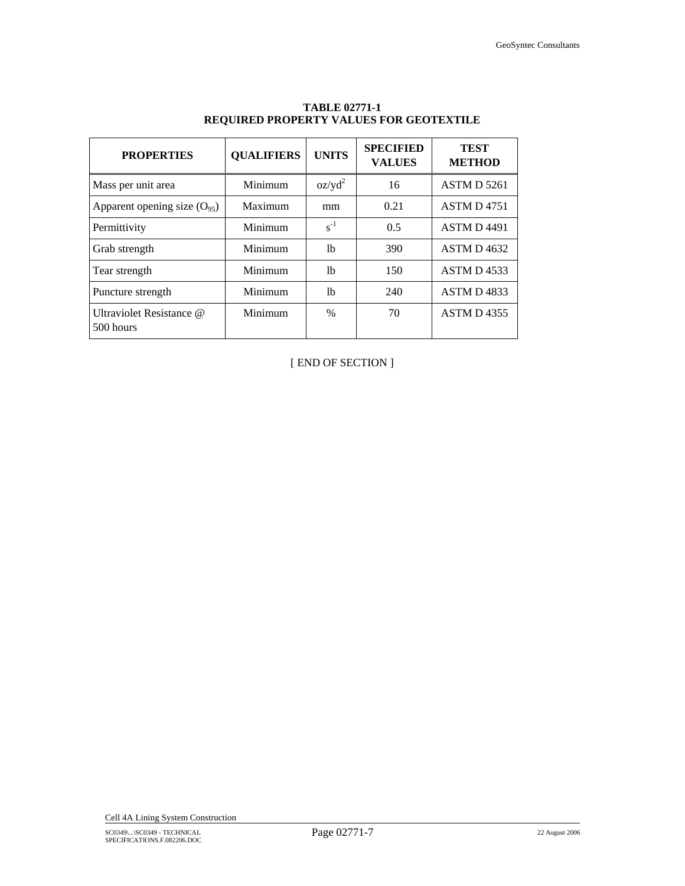| <b>PROPERTIES</b>                     | <b>QUALIFIERS</b> | <b>UNITS</b> | <b>SPECIFIED</b><br><b>VALUES</b> | <b>TEST</b><br><b>METHOD</b> |
|---------------------------------------|-------------------|--------------|-----------------------------------|------------------------------|
| Mass per unit area                    | Minimum           | $oz/yd^2$    | 16                                | <b>ASTM D 5261</b>           |
| Apparent opening size $(O_{95})$      | Maximum           | mm           | 0.21                              | <b>ASTM D4751</b>            |
| Permittivity                          | Minimum           | $s^{-1}$     | 0.5                               | <b>ASTM D 4491</b>           |
| Grab strength                         | Minimum           | 1b           | 390                               | <b>ASTM D 4632</b>           |
| Tear strength                         | Minimum           | 1b           | 150                               | ASTM D4533                   |
| Puncture strength                     | Minimum           | lb           | 240                               | <b>ASTM D4833</b>            |
| Ultraviolet Resistance @<br>500 hours | Minimum           | $\%$         | 70                                | <b>ASTM D4355</b>            |

# **TABLE 02771-1 REQUIRED PROPERTY VALUES FOR GEOTEXTILE**

[ END OF SECTION ]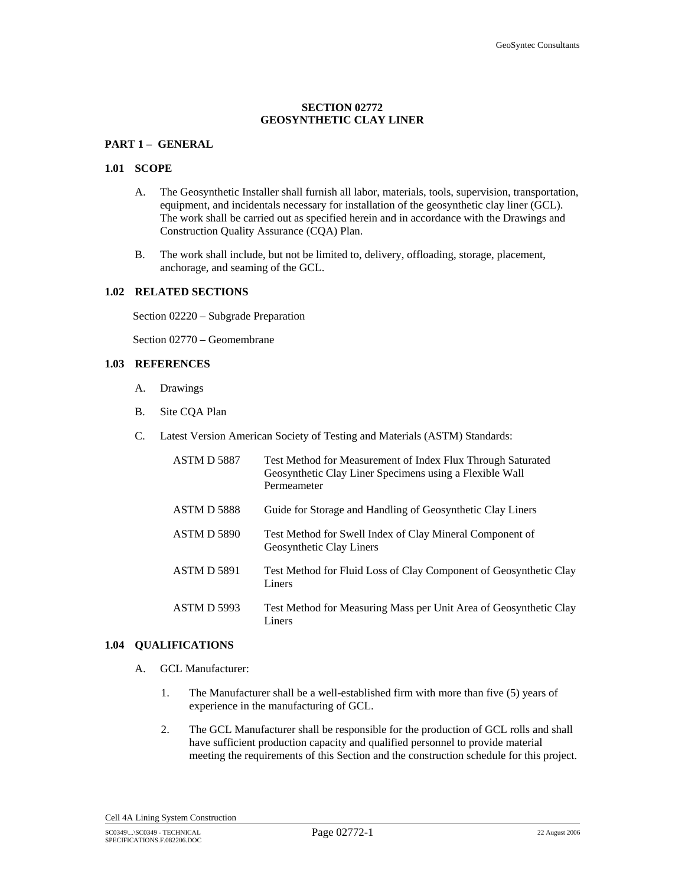# **SECTION 02772 GEOSYNTHETIC CLAY LINER**

## **PART 1 – GENERAL**

### **1.01 SCOPE**

- A. The Geosynthetic Installer shall furnish all labor, materials, tools, supervision, transportation, equipment, and incidentals necessary for installation of the geosynthetic clay liner (GCL). The work shall be carried out as specified herein and in accordance with the Drawings and Construction Quality Assurance (CQA) Plan.
- B. The work shall include, but not be limited to, delivery, offloading, storage, placement, anchorage, and seaming of the GCL.

# **1.02 RELATED SECTIONS**

Section 02220 – Subgrade Preparation

Section 02770 – Geomembrane

## **1.03 REFERENCES**

- A. Drawings
- B. Site CQA Plan
- C. Latest Version American Society of Testing and Materials (ASTM) Standards:

| <b>ASTM D 5887</b> | Test Method for Measurement of Index Flux Through Saturated<br>Geosynthetic Clay Liner Specimens using a Flexible Wall<br>Permeameter |
|--------------------|---------------------------------------------------------------------------------------------------------------------------------------|
| <b>ASTM D 5888</b> | Guide for Storage and Handling of Geosynthetic Clay Liners                                                                            |
| <b>ASTM D 5890</b> | Test Method for Swell Index of Clay Mineral Component of<br>Geosynthetic Clay Liners                                                  |
| <b>ASTM D 5891</b> | Test Method for Fluid Loss of Clay Component of Geosynthetic Clay<br>Liners                                                           |
| <b>ASTM D 5993</b> | Test Method for Measuring Mass per Unit Area of Geosynthetic Clay<br>Liners                                                           |

#### **1.04 QUALIFICATIONS**

- A. GCL Manufacturer:
	- 1. The Manufacturer shall be a well-established firm with more than five (5) years of experience in the manufacturing of GCL.
	- 2. The GCL Manufacturer shall be responsible for the production of GCL rolls and shall have sufficient production capacity and qualified personnel to provide material meeting the requirements of this Section and the construction schedule for this project.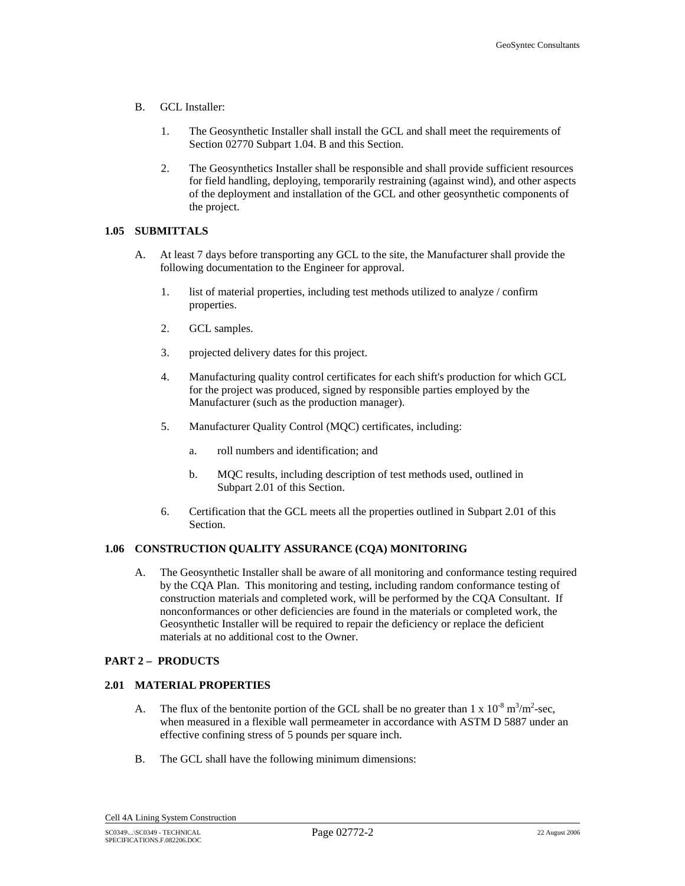- B. GCL Installer:
	- 1. The Geosynthetic Installer shall install the GCL and shall meet the requirements of Section 02770 Subpart 1.04. B and this Section.
	- 2. The Geosynthetics Installer shall be responsible and shall provide sufficient resources for field handling, deploying, temporarily restraining (against wind), and other aspects of the deployment and installation of the GCL and other geosynthetic components of the project.

# **1.05 SUBMITTALS**

- A. At least 7 days before transporting any GCL to the site, the Manufacturer shall provide the following documentation to the Engineer for approval.
	- 1. list of material properties, including test methods utilized to analyze / confirm properties.
	- 2. GCL samples.
	- 3. projected delivery dates for this project.
	- 4. Manufacturing quality control certificates for each shift's production for which GCL for the project was produced, signed by responsible parties employed by the Manufacturer (such as the production manager).
	- 5. Manufacturer Quality Control (MQC) certificates, including:
		- a. roll numbers and identification; and
		- b. MQC results, including description of test methods used, outlined in Subpart 2.01 of this Section.
	- 6. Certification that the GCL meets all the properties outlined in Subpart 2.01 of this Section.

# **1.06 CONSTRUCTION QUALITY ASSURANCE (CQA) MONITORING**

A. The Geosynthetic Installer shall be aware of all monitoring and conformance testing required by the CQA Plan. This monitoring and testing, including random conformance testing of construction materials and completed work, will be performed by the CQA Consultant. If nonconformances or other deficiencies are found in the materials or completed work, the Geosynthetic Installer will be required to repair the deficiency or replace the deficient materials at no additional cost to the Owner.

# **PART 2 – PRODUCTS**

# **2.01 MATERIAL PROPERTIES**

- A. The flux of the bentonite portion of the GCL shall be no greater than  $1 \times 10^{-8}$  m<sup>3</sup>/m<sup>2</sup>-sec, when measured in a flexible wall permeameter in accordance with ASTM D 5887 under an effective confining stress of 5 pounds per square inch.
- B. The GCL shall have the following minimum dimensions: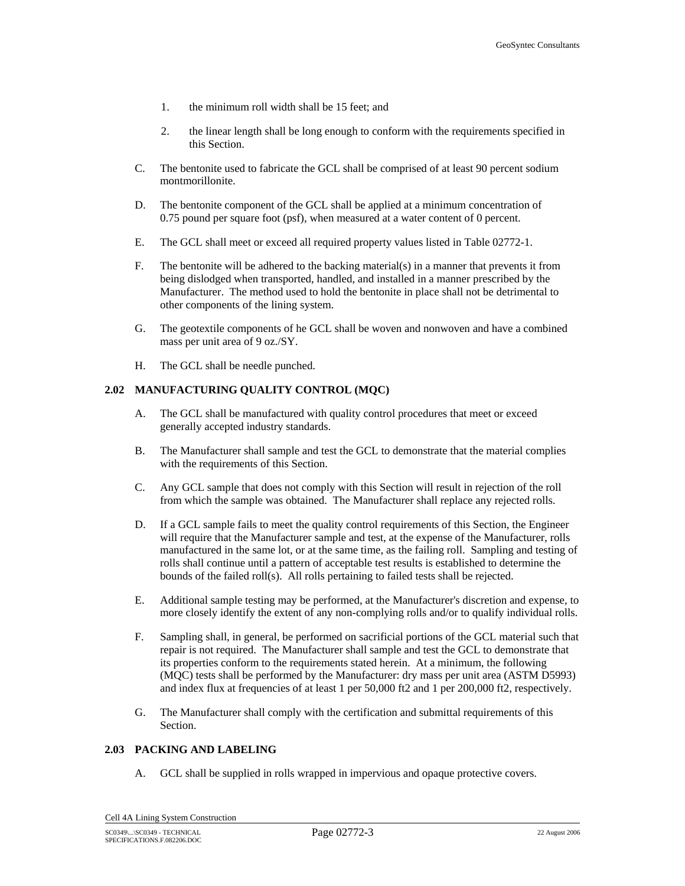- 1. the minimum roll width shall be 15 feet; and
- 2. the linear length shall be long enough to conform with the requirements specified in this Section.
- C. The bentonite used to fabricate the GCL shall be comprised of at least 90 percent sodium montmorillonite.
- D. The bentonite component of the GCL shall be applied at a minimum concentration of 0.75 pound per square foot (psf), when measured at a water content of 0 percent.
- E. The GCL shall meet or exceed all required property values listed in Table 02772-1.
- F. The bentonite will be adhered to the backing material(s) in a manner that prevents it from being dislodged when transported, handled, and installed in a manner prescribed by the Manufacturer. The method used to hold the bentonite in place shall not be detrimental to other components of the lining system.
- G. The geotextile components of he GCL shall be woven and nonwoven and have a combined mass per unit area of 9 oz./SY.
- H. The GCL shall be needle punched.

#### **2.02 MANUFACTURING QUALITY CONTROL (MQC)**

- A. The GCL shall be manufactured with quality control procedures that meet or exceed generally accepted industry standards.
- B. The Manufacturer shall sample and test the GCL to demonstrate that the material complies with the requirements of this Section.
- C. Any GCL sample that does not comply with this Section will result in rejection of the roll from which the sample was obtained. The Manufacturer shall replace any rejected rolls.
- D. If a GCL sample fails to meet the quality control requirements of this Section, the Engineer will require that the Manufacturer sample and test, at the expense of the Manufacturer, rolls manufactured in the same lot, or at the same time, as the failing roll. Sampling and testing of rolls shall continue until a pattern of acceptable test results is established to determine the bounds of the failed roll(s). All rolls pertaining to failed tests shall be rejected.
- E. Additional sample testing may be performed, at the Manufacturer's discretion and expense, to more closely identify the extent of any non-complying rolls and/or to qualify individual rolls.
- F. Sampling shall, in general, be performed on sacrificial portions of the GCL material such that repair is not required. The Manufacturer shall sample and test the GCL to demonstrate that its properties conform to the requirements stated herein. At a minimum, the following (MQC) tests shall be performed by the Manufacturer: dry mass per unit area (ASTM D5993) and index flux at frequencies of at least 1 per 50,000 ft2 and 1 per 200,000 ft2, respectively.
- G. The Manufacturer shall comply with the certification and submittal requirements of this Section.

## **2.03 PACKING AND LABELING**

A. GCL shall be supplied in rolls wrapped in impervious and opaque protective covers.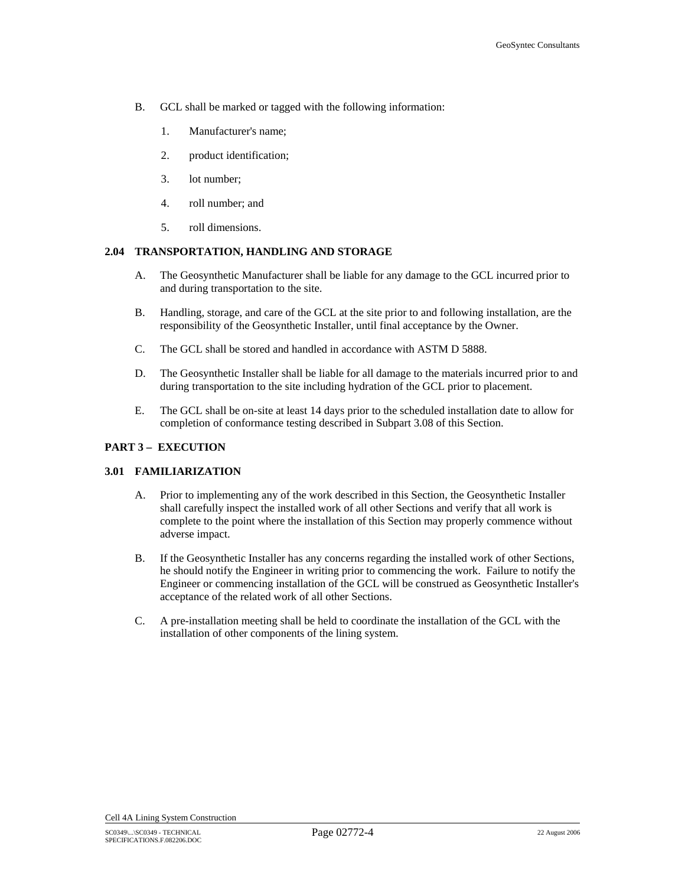- B. GCL shall be marked or tagged with the following information:
	- 1. Manufacturer's name;
	- 2. product identification;
	- 3. lot number;
	- 4. roll number; and
	- 5. roll dimensions.

## **2.04 TRANSPORTATION, HANDLING AND STORAGE**

- A. The Geosynthetic Manufacturer shall be liable for any damage to the GCL incurred prior to and during transportation to the site.
- B. Handling, storage, and care of the GCL at the site prior to and following installation, are the responsibility of the Geosynthetic Installer, until final acceptance by the Owner.
- C. The GCL shall be stored and handled in accordance with ASTM D 5888.
- D. The Geosynthetic Installer shall be liable for all damage to the materials incurred prior to and during transportation to the site including hydration of the GCL prior to placement.
- E. The GCL shall be on-site at least 14 days prior to the scheduled installation date to allow for completion of conformance testing described in Subpart 3.08 of this Section.

### **PART 3 – EXECUTION**

# **3.01 FAMILIARIZATION**

- A. Prior to implementing any of the work described in this Section, the Geosynthetic Installer shall carefully inspect the installed work of all other Sections and verify that all work is complete to the point where the installation of this Section may properly commence without adverse impact.
- B. If the Geosynthetic Installer has any concerns regarding the installed work of other Sections, he should notify the Engineer in writing prior to commencing the work. Failure to notify the Engineer or commencing installation of the GCL will be construed as Geosynthetic Installer's acceptance of the related work of all other Sections.
- C. A pre-installation meeting shall be held to coordinate the installation of the GCL with the installation of other components of the lining system.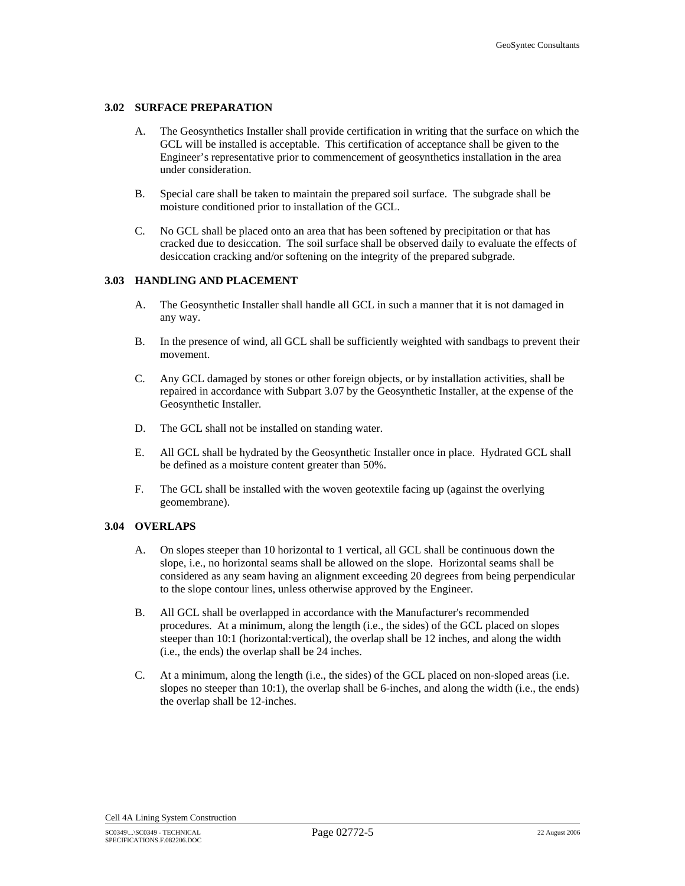## **3.02 SURFACE PREPARATION**

- A. The Geosynthetics Installer shall provide certification in writing that the surface on which the GCL will be installed is acceptable. This certification of acceptance shall be given to the Engineer's representative prior to commencement of geosynthetics installation in the area under consideration.
- B. Special care shall be taken to maintain the prepared soil surface. The subgrade shall be moisture conditioned prior to installation of the GCL.
- C. No GCL shall be placed onto an area that has been softened by precipitation or that has cracked due to desiccation. The soil surface shall be observed daily to evaluate the effects of desiccation cracking and/or softening on the integrity of the prepared subgrade.

#### **3.03 HANDLING AND PLACEMENT**

- A. The Geosynthetic Installer shall handle all GCL in such a manner that it is not damaged in any way.
- B. In the presence of wind, all GCL shall be sufficiently weighted with sandbags to prevent their movement.
- C. Any GCL damaged by stones or other foreign objects, or by installation activities, shall be repaired in accordance with Subpart 3.07 by the Geosynthetic Installer, at the expense of the Geosynthetic Installer.
- D. The GCL shall not be installed on standing water.
- E. All GCL shall be hydrated by the Geosynthetic Installer once in place. Hydrated GCL shall be defined as a moisture content greater than 50%.
- F. The GCL shall be installed with the woven geotextile facing up (against the overlying geomembrane).

# **3.04 OVERLAPS**

- A. On slopes steeper than 10 horizontal to 1 vertical, all GCL shall be continuous down the slope, i.e., no horizontal seams shall be allowed on the slope. Horizontal seams shall be considered as any seam having an alignment exceeding 20 degrees from being perpendicular to the slope contour lines, unless otherwise approved by the Engineer.
- B. All GCL shall be overlapped in accordance with the Manufacturer's recommended procedures. At a minimum, along the length (i.e., the sides) of the GCL placed on slopes steeper than 10:1 (horizontal:vertical), the overlap shall be 12 inches, and along the width (i.e., the ends) the overlap shall be 24 inches.
- C. At a minimum, along the length (i.e., the sides) of the GCL placed on non-sloped areas (i.e. slopes no steeper than 10:1), the overlap shall be 6-inches, and along the width (i.e., the ends) the overlap shall be 12-inches.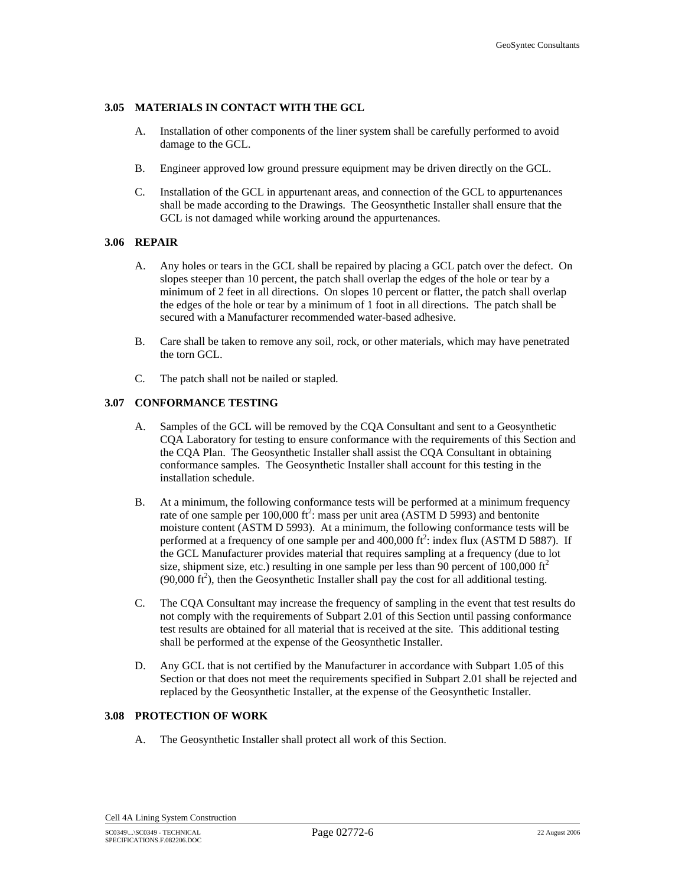## **3.05 MATERIALS IN CONTACT WITH THE GCL**

- A. Installation of other components of the liner system shall be carefully performed to avoid damage to the GCL.
- B. Engineer approved low ground pressure equipment may be driven directly on the GCL.
- C. Installation of the GCL in appurtenant areas, and connection of the GCL to appurtenances shall be made according to the Drawings. The Geosynthetic Installer shall ensure that the GCL is not damaged while working around the appurtenances.

## **3.06 REPAIR**

- A. Any holes or tears in the GCL shall be repaired by placing a GCL patch over the defect. On slopes steeper than 10 percent, the patch shall overlap the edges of the hole or tear by a minimum of 2 feet in all directions. On slopes 10 percent or flatter, the patch shall overlap the edges of the hole or tear by a minimum of 1 foot in all directions. The patch shall be secured with a Manufacturer recommended water-based adhesive.
- B. Care shall be taken to remove any soil, rock, or other materials, which may have penetrated the torn GCL.
- C. The patch shall not be nailed or stapled.

## **3.07 CONFORMANCE TESTING**

- A. Samples of the GCL will be removed by the CQA Consultant and sent to a Geosynthetic CQA Laboratory for testing to ensure conformance with the requirements of this Section and the CQA Plan. The Geosynthetic Installer shall assist the CQA Consultant in obtaining conformance samples. The Geosynthetic Installer shall account for this testing in the installation schedule.
- B. At a minimum, the following conformance tests will be performed at a minimum frequency rate of one sample per 100,000 ft<sup>2</sup>: mass per unit area (ASTM D 5993) and bentonite moisture content (ASTM D 5993). At a minimum, the following conformance tests will be performed at a frequency of one sample per and  $400,000$  ft<sup>2</sup>: index flux (ASTM D 5887). If the GCL Manufacturer provides material that requires sampling at a frequency (due to lot size, shipment size, etc.) resulting in one sample per less than 90 percent of 100,000  $\text{ft}^2$  $(90,000 \text{ ft}^2)$ , then the Geosynthetic Installer shall pay the cost for all additional testing.
- C. The CQA Consultant may increase the frequency of sampling in the event that test results do not comply with the requirements of Subpart 2.01 of this Section until passing conformance test results are obtained for all material that is received at the site. This additional testing shall be performed at the expense of the Geosynthetic Installer.
- D. Any GCL that is not certified by the Manufacturer in accordance with Subpart 1.05 of this Section or that does not meet the requirements specified in Subpart 2.01 shall be rejected and replaced by the Geosynthetic Installer, at the expense of the Geosynthetic Installer.

## **3.08 PROTECTION OF WORK**

A. The Geosynthetic Installer shall protect all work of this Section.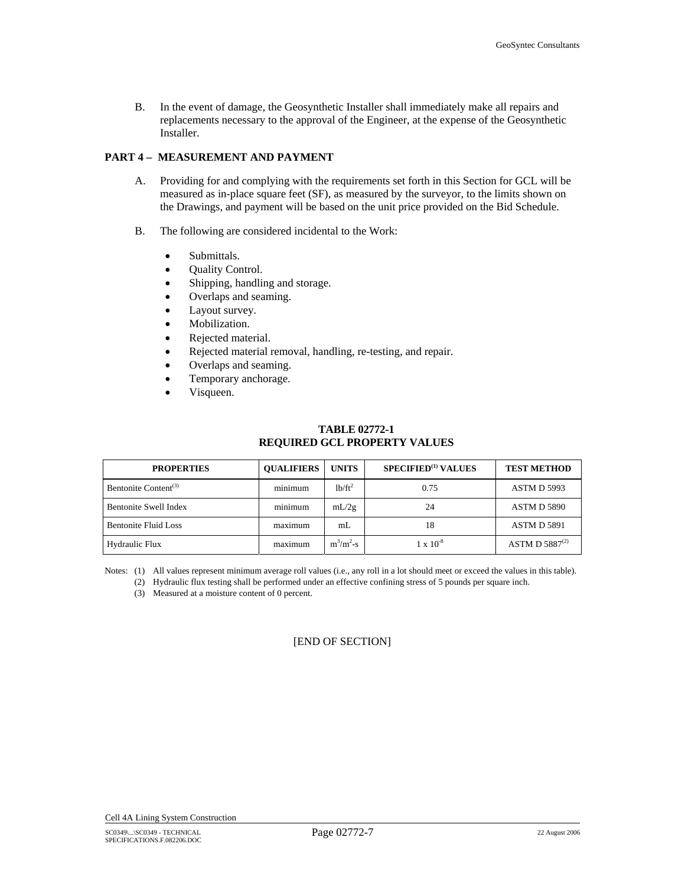B. In the event of damage, the Geosynthetic Installer shall immediately make all repairs and replacements necessary to the approval of the Engineer, at the expense of the Geosynthetic Installer.

# **PART 4 – MEASUREMENT AND PAYMENT**

- A. Providing for and complying with the requirements set forth in this Section for GCL will be measured as in-place square feet (SF), as measured by the surveyor, to the limits shown on the Drawings, and payment will be based on the unit price provided on the Bid Schedule.
- B. The following are considered incidental to the Work:
	- Submittals.
	- Ouality Control.
	- Shipping, handling and storage.
	- Overlaps and seaming.
	- Layout survey.
	- Mobilization.
	- Rejected material.
	- Rejected material removal, handling, re-testing, and repair.
	- Overlaps and seaming.
	- Temporary anchorage.
	- Visqueen.

# **TABLE 02772-1 REQUIRED GCL PROPERTY VALUES**

| <b>PROPERTIES</b>                | <b>OUALIFIERS</b> | <b>UNITS</b>                    | SPECIFIED <sup>(1)</sup> VALUES | <b>TEST METHOD</b>  |
|----------------------------------|-------------------|---------------------------------|---------------------------------|---------------------|
| Bentonite Content <sup>(3)</sup> | minimum           | 1 <sup>b</sup> /ft <sup>2</sup> | 0.75                            | <b>ASTM D 5993</b>  |
| <b>Bentonite Swell Index</b>     | minimum           | mL/2g                           | 24                              | <b>ASTM D 5890</b>  |
| <b>Bentonite Fluid Loss</b>      | maximum           | mL                              | 18                              | <b>ASTM D 5891</b>  |
| Hydraulic Flux                   | maximum           | $m^3/m^2-s$                     | $1 \times 10^{-8}$              | ASTM D $5887^{(2)}$ |

Notes: (1) All values represent minimum average roll values (i.e., any roll in a lot should meet or exceed the values in this table). (2) Hydraulic flux testing shall be performed under an effective confining stress of 5 pounds per square inch.

(3) Measured at a moisture content of 0 percent.

[END OF SECTION]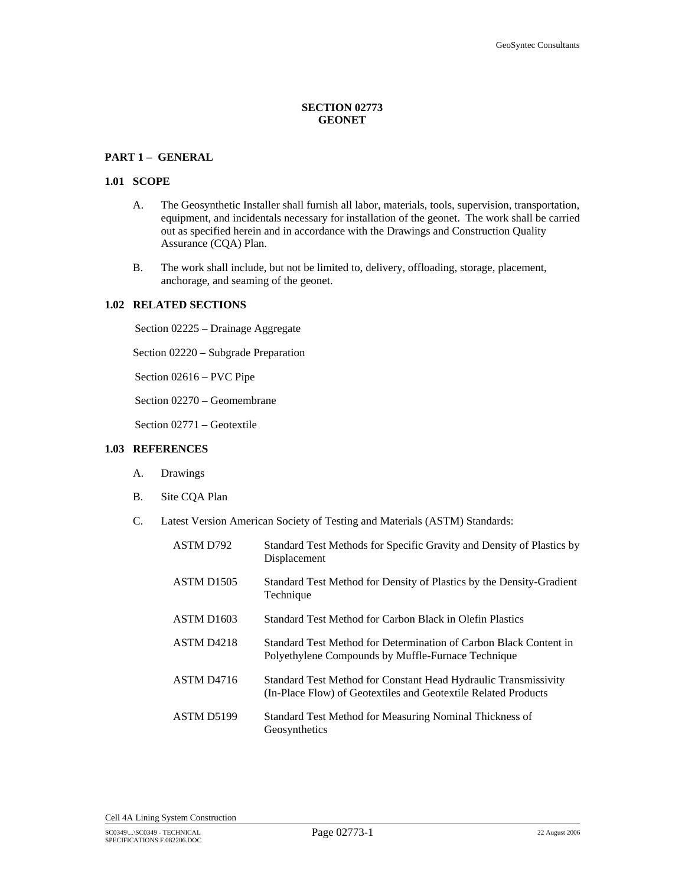# **SECTION 02773 GEONET**

# **PART 1 – GENERAL**

#### **1.01 SCOPE**

- A. The Geosynthetic Installer shall furnish all labor, materials, tools, supervision, transportation, equipment, and incidentals necessary for installation of the geonet. The work shall be carried out as specified herein and in accordance with the Drawings and Construction Quality Assurance (CQA) Plan.
- B. The work shall include, but not be limited to, delivery, offloading, storage, placement, anchorage, and seaming of the geonet.

#### **1.02 RELATED SECTIONS**

Section 02225 – Drainage Aggregate

Section 02220 – Subgrade Preparation

Section 02616 – PVC Pipe

Section 02270 – Geomembrane

Section 02771 – Geotextile

# **1.03 REFERENCES**

- A. Drawings
- B. Site CQA Plan
- C. Latest Version American Society of Testing and Materials (ASTM) Standards:

| ASTM D792              | Standard Test Methods for Specific Gravity and Density of Plastics by<br>Displacement                                             |
|------------------------|-----------------------------------------------------------------------------------------------------------------------------------|
| ASTM D1505             | Standard Test Method for Density of Plastics by the Density-Gradient<br>Technique                                                 |
| ASTM D <sub>1603</sub> | Standard Test Method for Carbon Black in Olefin Plastics                                                                          |
| ASTM D <sub>4218</sub> | Standard Test Method for Determination of Carbon Black Content in<br>Polyethylene Compounds by Muffle-Furnace Technique           |
| ASTM D <sub>4716</sub> | Standard Test Method for Constant Head Hydraulic Transmissivity<br>(In-Place Flow) of Geotextiles and Geotextile Related Products |
| ASTM D5199             | Standard Test Method for Measuring Nominal Thickness of<br>Geosynthetics                                                          |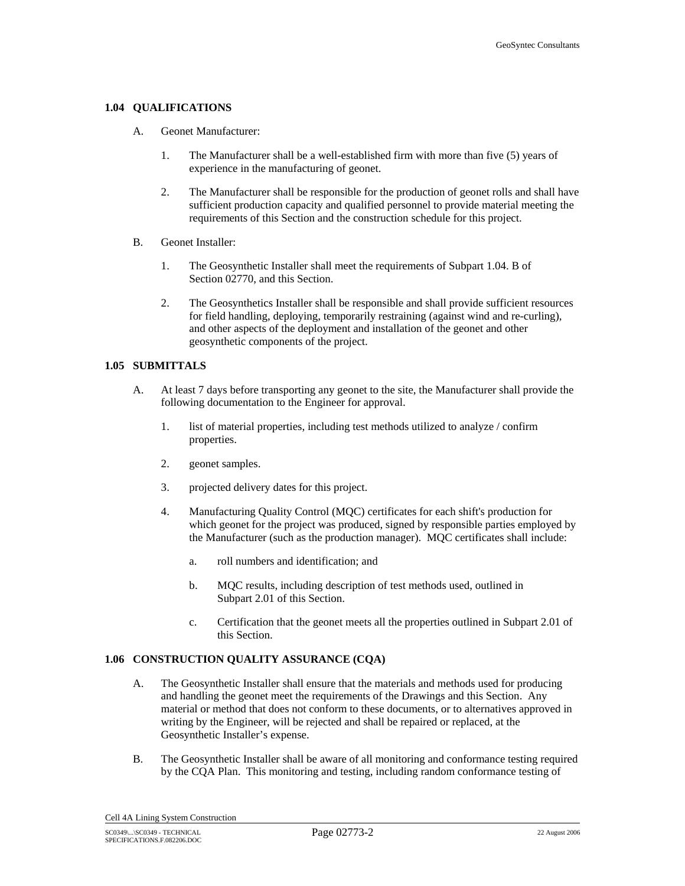## **1.04 QUALIFICATIONS**

- A. Geonet Manufacturer:
	- 1. The Manufacturer shall be a well-established firm with more than five (5) years of experience in the manufacturing of geonet.
	- 2. The Manufacturer shall be responsible for the production of geonet rolls and shall have sufficient production capacity and qualified personnel to provide material meeting the requirements of this Section and the construction schedule for this project.
- B. Geonet Installer:
	- 1. The Geosynthetic Installer shall meet the requirements of Subpart 1.04. B of Section 02770, and this Section.
	- 2. The Geosynthetics Installer shall be responsible and shall provide sufficient resources for field handling, deploying, temporarily restraining (against wind and re-curling), and other aspects of the deployment and installation of the geonet and other geosynthetic components of the project.

## **1.05 SUBMITTALS**

- A. At least 7 days before transporting any geonet to the site, the Manufacturer shall provide the following documentation to the Engineer for approval.
	- 1. list of material properties, including test methods utilized to analyze / confirm properties.
	- 2. geonet samples.
	- 3. projected delivery dates for this project.
	- 4. Manufacturing Quality Control (MQC) certificates for each shift's production for which geonet for the project was produced, signed by responsible parties employed by the Manufacturer (such as the production manager). MQC certificates shall include:
		- a. roll numbers and identification; and
		- b. MQC results, including description of test methods used, outlined in Subpart 2.01 of this Section.
		- c. Certification that the geonet meets all the properties outlined in Subpart 2.01 of this Section.

## **1.06 CONSTRUCTION QUALITY ASSURANCE (CQA)**

- A. The Geosynthetic Installer shall ensure that the materials and methods used for producing and handling the geonet meet the requirements of the Drawings and this Section. Any material or method that does not conform to these documents, or to alternatives approved in writing by the Engineer, will be rejected and shall be repaired or replaced, at the Geosynthetic Installer's expense.
- B. The Geosynthetic Installer shall be aware of all monitoring and conformance testing required by the CQA Plan. This monitoring and testing, including random conformance testing of

Cell 4A Lining System Construction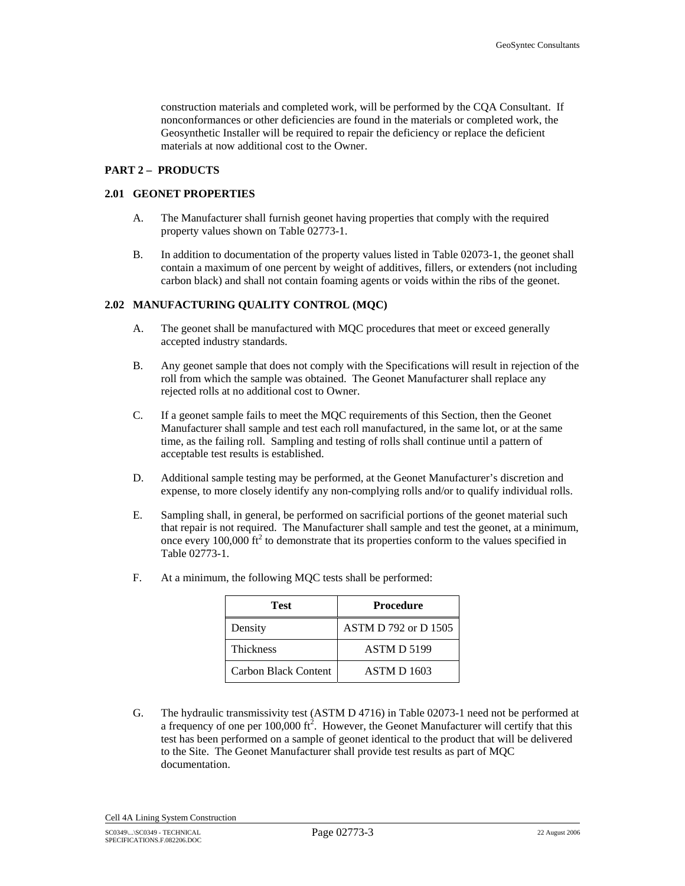construction materials and completed work, will be performed by the CQA Consultant. If nonconformances or other deficiencies are found in the materials or completed work, the Geosynthetic Installer will be required to repair the deficiency or replace the deficient materials at now additional cost to the Owner.

# **PART 2 – PRODUCTS**

## **2.01 GEONET PROPERTIES**

- A. The Manufacturer shall furnish geonet having properties that comply with the required property values shown on Table 02773-1.
- B. In addition to documentation of the property values listed in Table 02073-1, the geonet shall contain a maximum of one percent by weight of additives, fillers, or extenders (not including carbon black) and shall not contain foaming agents or voids within the ribs of the geonet.

## **2.02 MANUFACTURING QUALITY CONTROL (MQC)**

- A. The geonet shall be manufactured with MQC procedures that meet or exceed generally accepted industry standards.
- B. Any geonet sample that does not comply with the Specifications will result in rejection of the roll from which the sample was obtained. The Geonet Manufacturer shall replace any rejected rolls at no additional cost to Owner.
- C. If a geonet sample fails to meet the MQC requirements of this Section, then the Geonet Manufacturer shall sample and test each roll manufactured, in the same lot, or at the same time, as the failing roll. Sampling and testing of rolls shall continue until a pattern of acceptable test results is established.
- D. Additional sample testing may be performed, at the Geonet Manufacturer's discretion and expense, to more closely identify any non-complying rolls and/or to qualify individual rolls.
- E. Sampling shall, in general, be performed on sacrificial portions of the geonet material such that repair is not required. The Manufacturer shall sample and test the geonet, at a minimum, once every  $100,000$  ft<sup>2</sup> to demonstrate that its properties conform to the values specified in Table 02773-1.

| Test                 | <b>Procedure</b>     |
|----------------------|----------------------|
| Density              | ASTM D 792 or D 1505 |
| <b>Thickness</b>     | ASTM D 5199          |
| Carbon Black Content | <b>ASTM D 1603</b>   |

F. At a minimum, the following MQC tests shall be performed:

G. The hydraulic transmissivity test (ASTM D 4716) in Table 02073-1 need not be performed at a frequency of one per 100,000 ft<sup>2</sup>. However, the Geonet Manufacturer will certify that this test has been performed on a sample of geonet identical to the product that will be delivered to the Site. The Geonet Manufacturer shall provide test results as part of MQC documentation.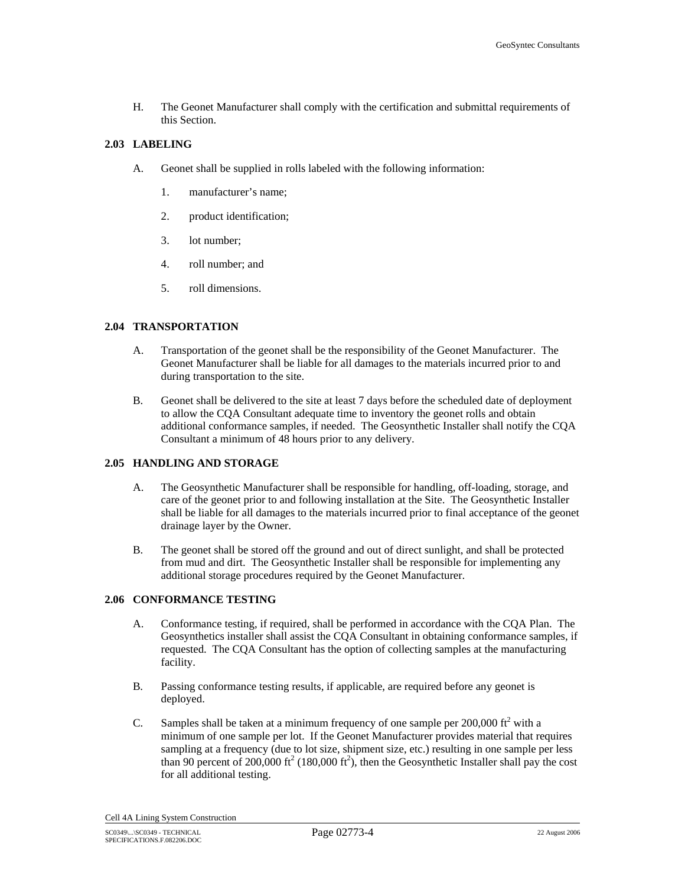H. The Geonet Manufacturer shall comply with the certification and submittal requirements of this Section.

#### **2.03 LABELING**

- A. Geonet shall be supplied in rolls labeled with the following information:
	- 1. manufacturer's name;
	- 2. product identification;
	- 3. lot number;
	- 4. roll number; and
	- 5. roll dimensions.

# **2.04 TRANSPORTATION**

- A. Transportation of the geonet shall be the responsibility of the Geonet Manufacturer. The Geonet Manufacturer shall be liable for all damages to the materials incurred prior to and during transportation to the site.
- B. Geonet shall be delivered to the site at least 7 days before the scheduled date of deployment to allow the CQA Consultant adequate time to inventory the geonet rolls and obtain additional conformance samples, if needed. The Geosynthetic Installer shall notify the CQA Consultant a minimum of 48 hours prior to any delivery.

## **2.05 HANDLING AND STORAGE**

- A. The Geosynthetic Manufacturer shall be responsible for handling, off-loading, storage, and care of the geonet prior to and following installation at the Site. The Geosynthetic Installer shall be liable for all damages to the materials incurred prior to final acceptance of the geonet drainage layer by the Owner.
- B. The geonet shall be stored off the ground and out of direct sunlight, and shall be protected from mud and dirt. The Geosynthetic Installer shall be responsible for implementing any additional storage procedures required by the Geonet Manufacturer.

#### **2.06 CONFORMANCE TESTING**

- A. Conformance testing, if required, shall be performed in accordance with the CQA Plan. The Geosynthetics installer shall assist the CQA Consultant in obtaining conformance samples, if requested. The CQA Consultant has the option of collecting samples at the manufacturing facility.
- B. Passing conformance testing results, if applicable, are required before any geonet is deployed.
- C. Samples shall be taken at a minimum frequency of one sample per  $200,000$  ft<sup>2</sup> with a minimum of one sample per lot. If the Geonet Manufacturer provides material that requires sampling at a frequency (due to lot size, shipment size, etc.) resulting in one sample per less than 90 percent of 200,000 ft<sup>2</sup> (180,000 ft<sup>2</sup>), then the Geosynthetic Installer shall pay the cost for all additional testing.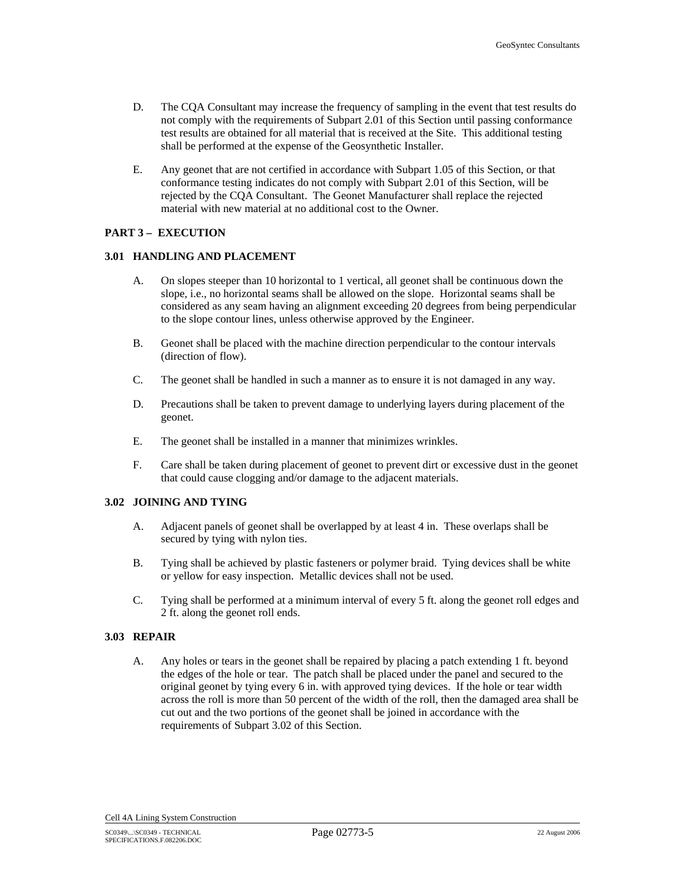- D. The CQA Consultant may increase the frequency of sampling in the event that test results do not comply with the requirements of Subpart 2.01 of this Section until passing conformance test results are obtained for all material that is received at the Site. This additional testing shall be performed at the expense of the Geosynthetic Installer.
- E. Any geonet that are not certified in accordance with Subpart 1.05 of this Section, or that conformance testing indicates do not comply with Subpart 2.01 of this Section, will be rejected by the CQA Consultant. The Geonet Manufacturer shall replace the rejected material with new material at no additional cost to the Owner.

# **PART 3 – EXECUTION**

## **3.01 HANDLING AND PLACEMENT**

- A. On slopes steeper than 10 horizontal to 1 vertical, all geonet shall be continuous down the slope, i.e., no horizontal seams shall be allowed on the slope. Horizontal seams shall be considered as any seam having an alignment exceeding 20 degrees from being perpendicular to the slope contour lines, unless otherwise approved by the Engineer.
- B. Geonet shall be placed with the machine direction perpendicular to the contour intervals (direction of flow).
- C. The geonet shall be handled in such a manner as to ensure it is not damaged in any way.
- D. Precautions shall be taken to prevent damage to underlying layers during placement of the geonet.
- E. The geonet shall be installed in a manner that minimizes wrinkles.
- F. Care shall be taken during placement of geonet to prevent dirt or excessive dust in the geonet that could cause clogging and/or damage to the adjacent materials.

# **3.02 JOINING AND TYING**

- A. Adjacent panels of geonet shall be overlapped by at least 4 in. These overlaps shall be secured by tying with nylon ties.
- B. Tying shall be achieved by plastic fasteners or polymer braid. Tying devices shall be white or yellow for easy inspection. Metallic devices shall not be used.
- C. Tying shall be performed at a minimum interval of every 5 ft. along the geonet roll edges and 2 ft. along the geonet roll ends.

# **3.03 REPAIR**

A. Any holes or tears in the geonet shall be repaired by placing a patch extending 1 ft. beyond the edges of the hole or tear. The patch shall be placed under the panel and secured to the original geonet by tying every 6 in. with approved tying devices. If the hole or tear width across the roll is more than 50 percent of the width of the roll, then the damaged area shall be cut out and the two portions of the geonet shall be joined in accordance with the requirements of Subpart 3.02 of this Section.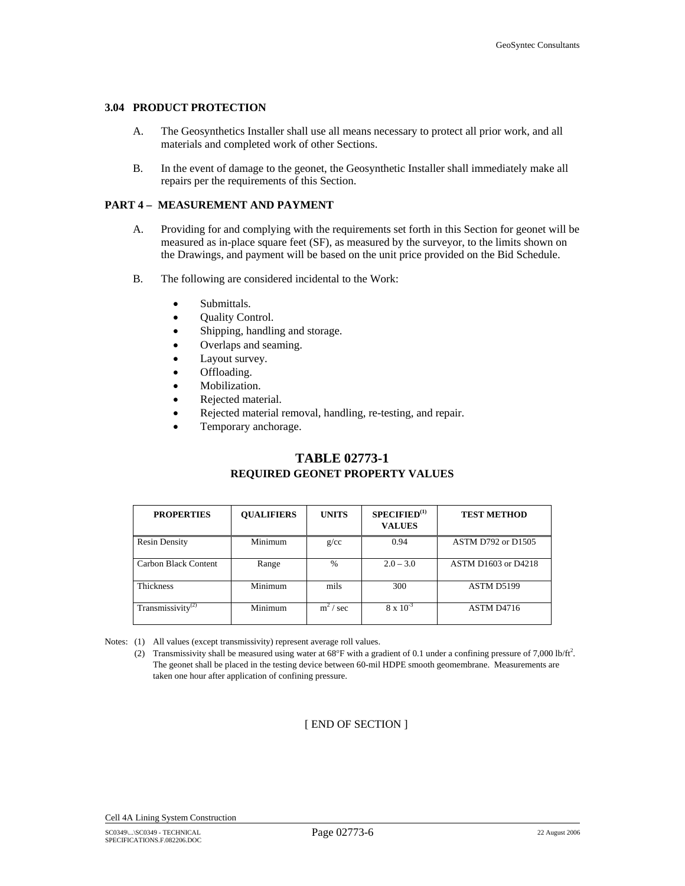#### **3.04 PRODUCT PROTECTION**

- A. The Geosynthetics Installer shall use all means necessary to protect all prior work, and all materials and completed work of other Sections.
- B. In the event of damage to the geonet, the Geosynthetic Installer shall immediately make all repairs per the requirements of this Section.

# **PART 4 – MEASUREMENT AND PAYMENT**

- A. Providing for and complying with the requirements set forth in this Section for geonet will be measured as in-place square feet (SF), as measured by the surveyor, to the limits shown on the Drawings, and payment will be based on the unit price provided on the Bid Schedule.
- B. The following are considered incidental to the Work:
	- Submittals.
	- Quality Control.
	- Shipping, handling and storage.
	- Overlaps and seaming.
	- Layout survey.
	- Offloading.
	- Mobilization.
	- Rejected material.
	- Rejected material removal, handling, re-testing, and repair.
	- Temporary anchorage.

# **TABLE 02773-1 REQUIRED GEONET PROPERTY VALUES**

| <b>PROPERTIES</b>             | <b>OUALIFIERS</b> | <b>UNITS</b>  | SPECTFIED <sup>(1)</sup><br><b>VALUES</b> | <b>TEST METHOD</b>        |
|-------------------------------|-------------------|---------------|-------------------------------------------|---------------------------|
| <b>Resin Density</b>          | Minimum           | g/cc          | 0.94                                      | <b>ASTM D792 or D1505</b> |
| Carbon Black Content          | Range             | $\frac{0}{0}$ | $2.0 - 3.0$                               | ASTM D1603 or D4218       |
| Thickness                     | Minimum           | mils          | 300                                       | ASTM D5199                |
| Transmissivity <sup>(2)</sup> | Minimum           | $m^2$ / sec   | $8 \times 10^{-3}$                        | ASTM D4716                |

Notes: (1) All values (except transmissivity) represent average roll values.

(2) Transmissivity shall be measured using water at  $68^\circ$ F with a gradient of 0.1 under a confining pressure of 7,000 lb/ft<sup>2</sup>. The geonet shall be placed in the testing device between 60-mil HDPE smooth geomembrane. Measurements are taken one hour after application of confining pressure.

[ END OF SECTION ]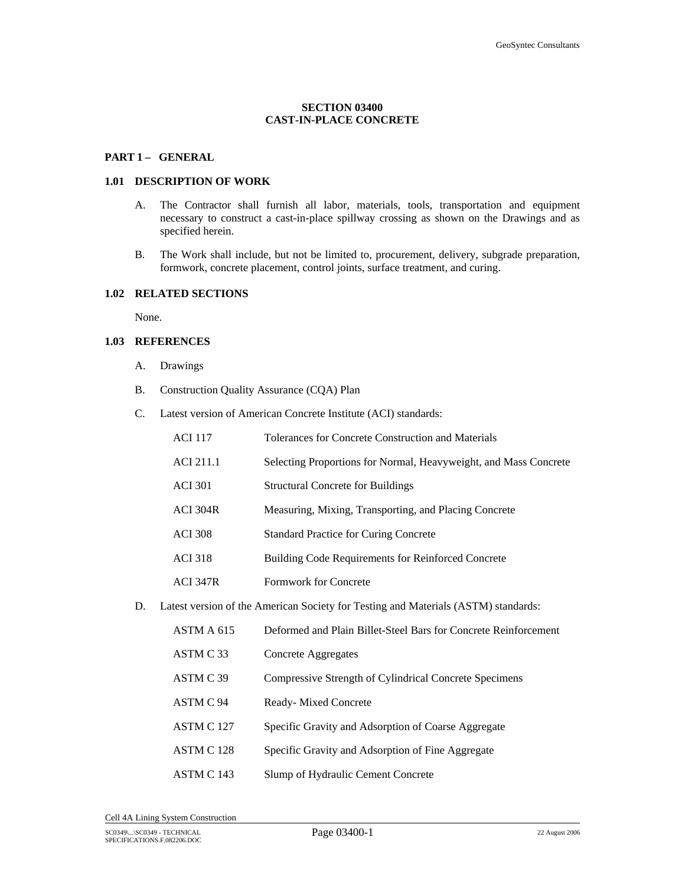## **SECTION 03400 CAST-IN-PLACE CONCRETE**

## PART 1- GENERAL

## **1.01 DESCRIPTION OF WORK**

- A. The Contractor shall furnish all labor, materials, tools, transportation and equipment necessary to construct a cast-in-place spillway crossing as shown on the Drawings and as specified herein.
- B. The Work shall include, but not be limited to, procurement, delivery, subgrade preparation, formwork, concrete placement, control joints, surface treatment, and curing.

## **1.02 RELATED SECTIONS**

None.

#### **1.03 REFERENCES**

- A. Drawings
- B. Construction Quality Assurance (CQA) Plan
- C. Latest version of American Concrete Institute (ACI) standards:

| <b>ACI 117</b>  | Tolerances for Concrete Construction and Materials               |
|-----------------|------------------------------------------------------------------|
| ACI 211.1       | Selecting Proportions for Normal, Heavyweight, and Mass Concrete |
| <b>ACI</b> 301  | <b>Structural Concrete for Buildings</b>                         |
| <b>ACI 304R</b> | Measuring, Mixing, Transporting, and Placing Concrete            |
| <b>ACI</b> 308  | <b>Standard Practice for Curing Concrete</b>                     |
| <b>ACI</b> 318  | <b>Building Code Requirements for Reinforced Concrete</b>        |
| <b>ACI 347R</b> | Formwork for Concrete                                            |
|                 |                                                                  |

D. Latest version of the American Society for Testing and Materials (ASTM) standards:

| ASTM A 615 | Deformed and Plain Billet-Steel Bars for Concrete Reinforcement |
|------------|-----------------------------------------------------------------|
| ASTM C33   | Concrete Aggregates                                             |
| ASTM C 39  | Compressive Strength of Cylindrical Concrete Specimens          |
| ASTM C 94  | Ready-Mixed Concrete                                            |
| ASTM C 127 | Specific Gravity and Adsorption of Coarse Aggregate             |
| ASTM C 128 | Specific Gravity and Adsorption of Fine Aggregate               |
| ASTM C 143 | Slump of Hydraulic Cement Concrete                              |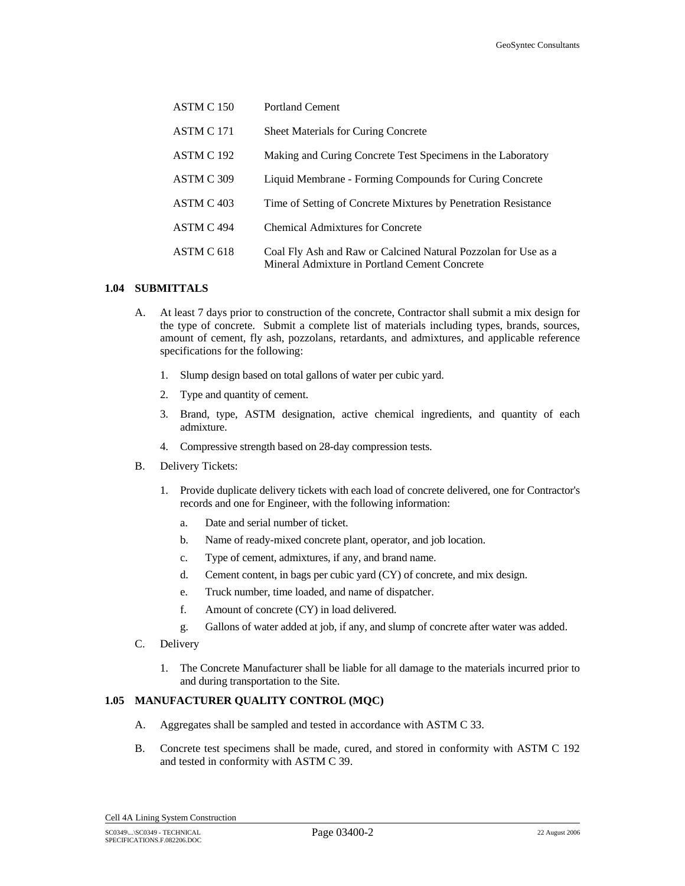| ASTM C 150 | <b>Portland Cement</b>                                                                                          |
|------------|-----------------------------------------------------------------------------------------------------------------|
| ASTM C 171 | <b>Sheet Materials for Curing Concrete</b>                                                                      |
| ASTM C 192 | Making and Curing Concrete Test Specimens in the Laboratory                                                     |
| ASTM C 309 | Liquid Membrane - Forming Compounds for Curing Concrete                                                         |
| ASTM C 403 | Time of Setting of Concrete Mixtures by Penetration Resistance                                                  |
| ASTM C 494 | Chemical Admixtures for Concrete                                                                                |
| ASTM C 618 | Coal Fly Ash and Raw or Calcined Natural Pozzolan for Use as a<br>Mineral Admixture in Portland Cement Concrete |

## **1.04 SUBMITTALS**

- A. At least 7 days prior to construction of the concrete, Contractor shall submit a mix design for the type of concrete. Submit a complete list of materials including types, brands, sources, amount of cement, fly ash, pozzolans, retardants, and admixtures, and applicable reference specifications for the following:
	- 1. Slump design based on total gallons of water per cubic yard.
	- 2. Type and quantity of cement.
	- 3. Brand, type, ASTM designation, active chemical ingredients, and quantity of each admixture.
	- 4. Compressive strength based on 28-day compression tests.
- B. Delivery Tickets:
	- 1. Provide duplicate delivery tickets with each load of concrete delivered, one for Contractor's records and one for Engineer, with the following information:
		- a. Date and serial number of ticket.
		- b. Name of ready-mixed concrete plant, operator, and job location.
		- c. Type of cement, admixtures, if any, and brand name.
		- d. Cement content, in bags per cubic yard (CY) of concrete, and mix design.
		- e. Truck number, time loaded, and name of dispatcher.
		- f. Amount of concrete (CY) in load delivered.
		- g. Gallons of water added at job, if any, and slump of concrete after water was added.
- C. Delivery
	- 1. The Concrete Manufacturer shall be liable for all damage to the materials incurred prior to and during transportation to the Site.

## **1.05 MANUFACTURER QUALITY CONTROL (MQC)**

- A. Aggregates shall be sampled and tested in accordance with ASTM C 33.
- B. Concrete test specimens shall be made, cured, and stored in conformity with ASTM C 192 and tested in conformity with ASTM C 39.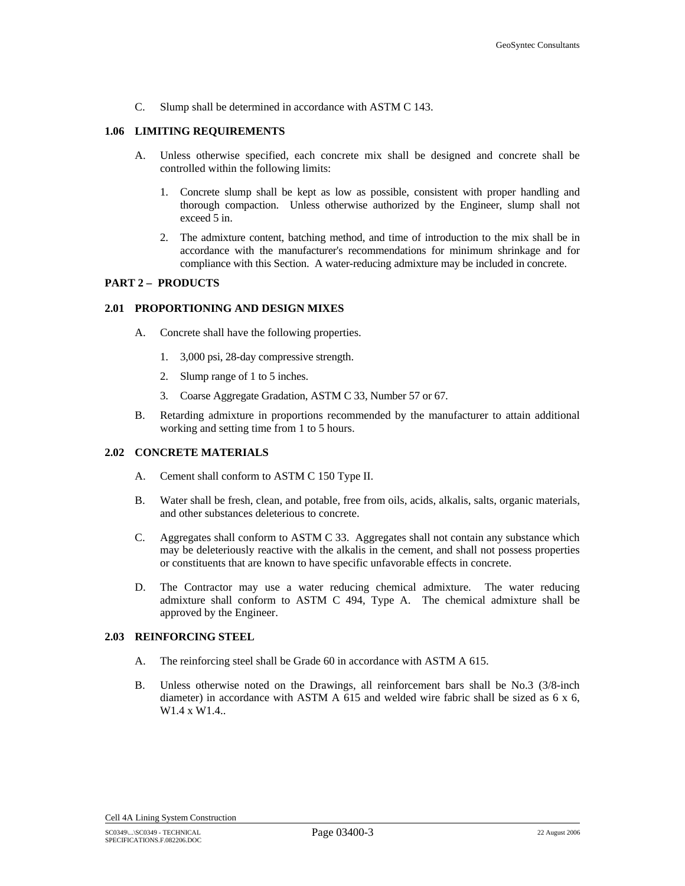C. Slump shall be determined in accordance with ASTM C 143.

#### **1.06 LIMITING REQUIREMENTS**

- A. Unless otherwise specified, each concrete mix shall be designed and concrete shall be controlled within the following limits:
	- 1. Concrete slump shall be kept as low as possible, consistent with proper handling and thorough compaction. Unless otherwise authorized by the Engineer, slump shall not exceed 5 in.
	- 2. The admixture content, batching method, and time of introduction to the mix shall be in accordance with the manufacturer's recommendations for minimum shrinkage and for compliance with this Section. A water-reducing admixture may be included in concrete.

## **PART 2 – PRODUCTS**

#### **2.01 PROPORTIONING AND DESIGN MIXES**

- A. Concrete shall have the following properties.
	- 1. 3,000 psi, 28-day compressive strength.
	- 2. Slump range of 1 to 5 inches.
	- 3. Coarse Aggregate Gradation, ASTM C 33, Number 57 or 67.
- B. Retarding admixture in proportions recommended by the manufacturer to attain additional working and setting time from 1 to 5 hours.

## **2.02 CONCRETE MATERIALS**

- A. Cement shall conform to ASTM C 150 Type II.
- B. Water shall be fresh, clean, and potable, free from oils, acids, alkalis, salts, organic materials, and other substances deleterious to concrete.
- C. Aggregates shall conform to ASTM C 33. Aggregates shall not contain any substance which may be deleteriously reactive with the alkalis in the cement, and shall not possess properties or constituents that are known to have specific unfavorable effects in concrete.
- D. The Contractor may use a water reducing chemical admixture. The water reducing admixture shall conform to ASTM C 494, Type A. The chemical admixture shall be approved by the Engineer.

#### **2.03 REINFORCING STEEL**

- A. The reinforcing steel shall be Grade 60 in accordance with ASTM A 615.
- B. Unless otherwise noted on the Drawings, all reinforcement bars shall be No.3 (3/8-inch diameter) in accordance with ASTM A 615 and welded wire fabric shall be sized as  $6 \times 6$ , W1.4 x W1.4..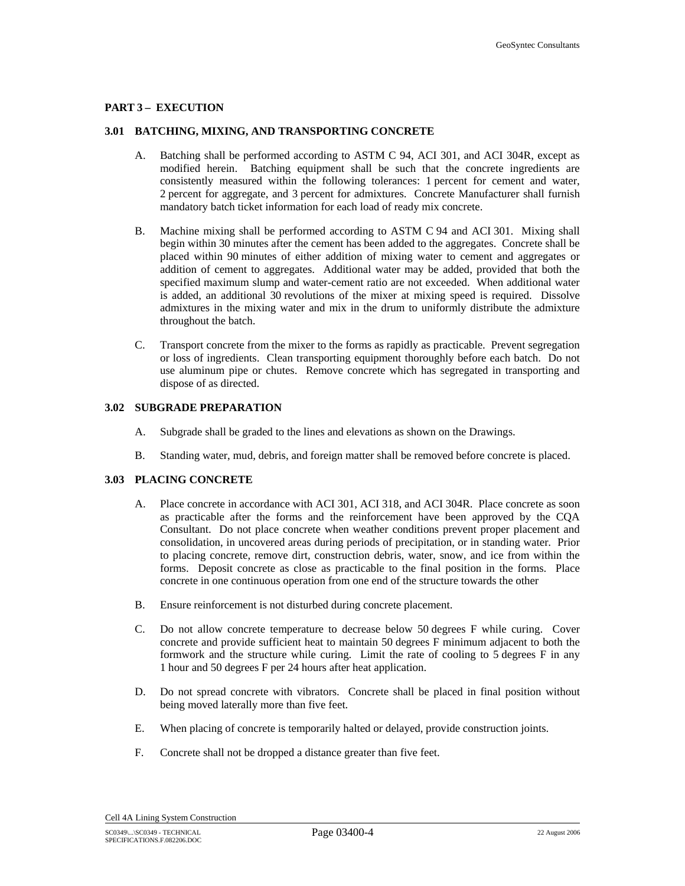# **PART 3 – EXECUTION**

# **3.01 BATCHING, MIXING, AND TRANSPORTING CONCRETE**

- A. Batching shall be performed according to ASTM C 94, ACI 301, and ACI 304R, except as modified herein. Batching equipment shall be such that the concrete ingredients are consistently measured within the following tolerances: 1 percent for cement and water, 2 percent for aggregate, and 3 percent for admixtures. Concrete Manufacturer shall furnish mandatory batch ticket information for each load of ready mix concrete.
- B. Machine mixing shall be performed according to ASTM C 94 and ACI 301. Mixing shall begin within 30 minutes after the cement has been added to the aggregates. Concrete shall be placed within 90 minutes of either addition of mixing water to cement and aggregates or addition of cement to aggregates. Additional water may be added, provided that both the specified maximum slump and water-cement ratio are not exceeded. When additional water is added, an additional 30 revolutions of the mixer at mixing speed is required. Dissolve admixtures in the mixing water and mix in the drum to uniformly distribute the admixture throughout the batch.
- C. Transport concrete from the mixer to the forms as rapidly as practicable. Prevent segregation or loss of ingredients. Clean transporting equipment thoroughly before each batch. Do not use aluminum pipe or chutes. Remove concrete which has segregated in transporting and dispose of as directed.

## **3.02 SUBGRADE PREPARATION**

- A. Subgrade shall be graded to the lines and elevations as shown on the Drawings.
- B. Standing water, mud, debris, and foreign matter shall be removed before concrete is placed.

# **3.03 PLACING CONCRETE**

- A. Place concrete in accordance with ACI 301, ACI 318, and ACI 304R. Place concrete as soon as practicable after the forms and the reinforcement have been approved by the CQA Consultant. Do not place concrete when weather conditions prevent proper placement and consolidation, in uncovered areas during periods of precipitation, or in standing water. Prior to placing concrete, remove dirt, construction debris, water, snow, and ice from within the forms. Deposit concrete as close as practicable to the final position in the forms. Place concrete in one continuous operation from one end of the structure towards the other
- B. Ensure reinforcement is not disturbed during concrete placement.
- C. Do not allow concrete temperature to decrease below 50 degrees F while curing. Cover concrete and provide sufficient heat to maintain 50 degrees F minimum adjacent to both the formwork and the structure while curing. Limit the rate of cooling to 5 degrees F in any 1 hour and 50 degrees F per 24 hours after heat application.
- D. Do not spread concrete with vibrators. Concrete shall be placed in final position without being moved laterally more than five feet.
- E. When placing of concrete is temporarily halted or delayed, provide construction joints.
- F. Concrete shall not be dropped a distance greater than five feet.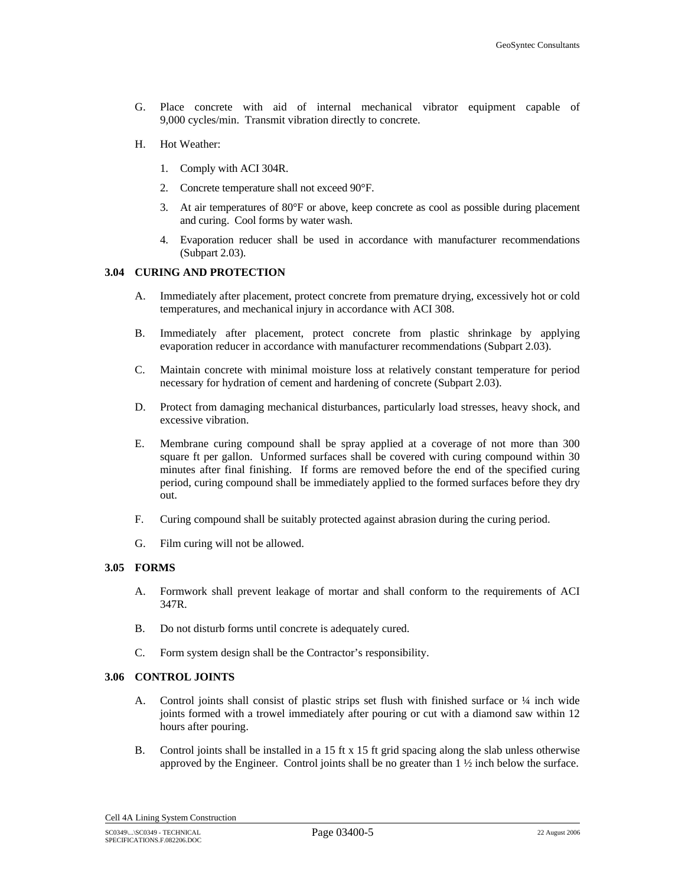- G. Place concrete with aid of internal mechanical vibrator equipment capable of 9,000 cycles/min. Transmit vibration directly to concrete.
- H. Hot Weather:
	- 1. Comply with ACI 304R.
	- 2. Concrete temperature shall not exceed 90°F.
	- 3. At air temperatures of 80°F or above, keep concrete as cool as possible during placement and curing. Cool forms by water wash.
	- 4. Evaporation reducer shall be used in accordance with manufacturer recommendations (Subpart 2.03).

## **3.04 CURING AND PROTECTION**

- A. Immediately after placement, protect concrete from premature drying, excessively hot or cold temperatures, and mechanical injury in accordance with ACI 308.
- B. Immediately after placement, protect concrete from plastic shrinkage by applying evaporation reducer in accordance with manufacturer recommendations (Subpart 2.03).
- C. Maintain concrete with minimal moisture loss at relatively constant temperature for period necessary for hydration of cement and hardening of concrete (Subpart 2.03).
- D. Protect from damaging mechanical disturbances, particularly load stresses, heavy shock, and excessive vibration.
- E. Membrane curing compound shall be spray applied at a coverage of not more than 300 square ft per gallon. Unformed surfaces shall be covered with curing compound within 30 minutes after final finishing. If forms are removed before the end of the specified curing period, curing compound shall be immediately applied to the formed surfaces before they dry out.
- F. Curing compound shall be suitably protected against abrasion during the curing period.
- G. Film curing will not be allowed.

#### **3.05 FORMS**

- A. Formwork shall prevent leakage of mortar and shall conform to the requirements of ACI 347R.
- B. Do not disturb forms until concrete is adequately cured.
- C. Form system design shall be the Contractor's responsibility.

#### **3.06 CONTROL JOINTS**

- A. Control joints shall consist of plastic strips set flush with finished surface or  $\frac{1}{4}$  inch wide joints formed with a trowel immediately after pouring or cut with a diamond saw within 12 hours after pouring.
- B. Control joints shall be installed in a 15 ft x 15 ft grid spacing along the slab unless otherwise approved by the Engineer. Control joints shall be no greater than 1 ½ inch below the surface.